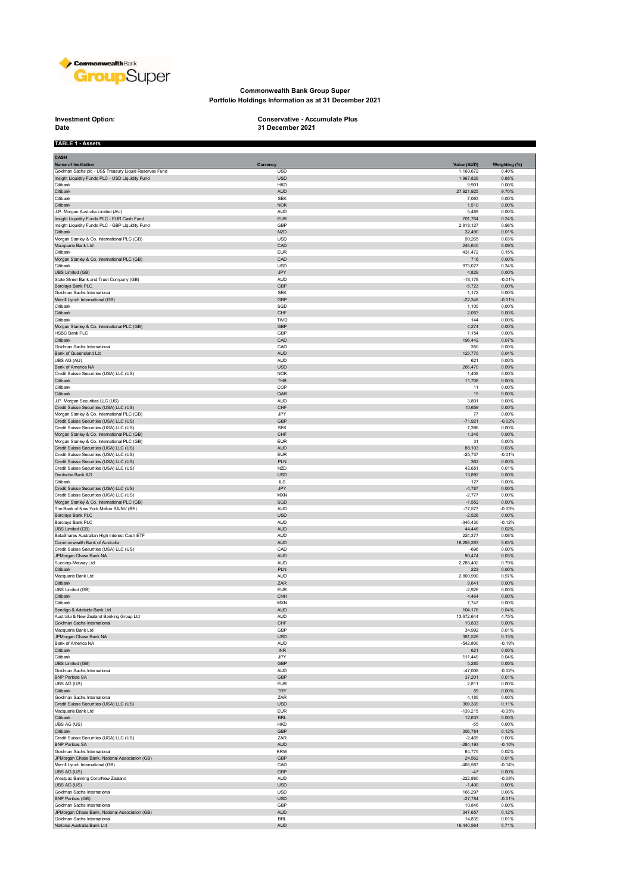

## **Commonwealth Bank Group Super Portfolio Holdings Information as at 31 December 2021**

**Investment Option:**<br>Date

**TABLE 1 - Assets**

**Investment Option: Conservative - Accumulate Plus 31 December 2021**

| <b>CASH</b>                                                                        |                             |                      |                   |
|------------------------------------------------------------------------------------|-----------------------------|----------------------|-------------------|
| Name of Institution                                                                | Currency                    | Value (AUD)          | Weighting (%)     |
| Goldman Sachs plc - US\$ Treasury Liquid Reserves Fund                             | <b>USD</b>                  | 1,160,672            | 0.40%             |
| Insight Liquidity Funds PLC - USD Liquidity Fund<br>Citibank                       | <b>USD</b><br><b>HKD</b>    | 1,967,829<br>9,901   | 0.68%<br>0.00%    |
| Citibank                                                                           | <b>AUD</b>                  | 27,921,925           | 9.70%             |
| Citibank                                                                           | <b>SEK</b>                  | 7,063                | 0.00%             |
| Citibank                                                                           | <b>NOK</b>                  | 1,510                | 0.00%             |
| J.P. Morgan Australia Limited (AU)                                                 | <b>AUD</b>                  | 5,489                | 0.00%             |
| Insight Liquidity Funds PLC - EUR Cash Fund                                        | <b>EUR</b>                  | 701,764              | 0.24%             |
| Insight Liquidity Funds PLC - GBP Liquidity Fund                                   | GBP                         | 2,818,127            | 0.98%             |
| Citibank                                                                           | <b>NZD</b>                  | 32,490               | 0.01%             |
| Morgan Stanley & Co. International PLC (GB)                                        | <b>USD</b>                  | 90,265               | 0.03%             |
| Macquarie Bank Ltd                                                                 | CAD                         | 248,640              | 0.09%             |
| Citibank<br>Morgan Stanley & Co. International PLC (GB)                            | <b>EUR</b><br>CAD           | 431,472<br>716       | 0.15%<br>0.00%    |
| Citibank                                                                           | <b>USD</b>                  | 973,077              | 0.34%             |
| UBS Limited (GB)                                                                   | JPY                         | 4,829                | 0.00%             |
| State Street Bank and Trust Company (GB)                                           | <b>AUD</b>                  | $-18,178$            | $-0.01%$          |
| Barclays Bank PLC                                                                  | GBP                         | $-5,723$             | 0.00%             |
| Goldman Sachs International                                                        | <b>SEK</b>                  | 1,172                | 0.00%             |
| Merrill Lynch International (GB)                                                   | <b>GBP</b>                  | $-22,348$            | $-0.01%$          |
| Citibank                                                                           | SGD                         | 1,100                | 0.00%             |
| Citibank                                                                           | CHF                         | 2,053                | 0.00%             |
| Citibank<br>Morgan Stanley & Co. International PLC (GB)                            | TWD<br><b>GBP</b>           | 144<br>4,274         | 0.00%<br>0.00%    |
| HSBC Bank PLC                                                                      | GBP                         | 7,154                | 0.00%             |
| Citibank                                                                           | CAD                         | 196,442              | 0.07%             |
| Goldman Sachs International                                                        | CAD                         | 350                  | 0.00%             |
| Bank of Queensland Ltd                                                             | <b>AUD</b>                  | 123,770              | 0.04%             |
| UBS AG (AU)                                                                        | <b>AUD</b>                  | 621                  | 0.00%             |
| Bank of America NA                                                                 | <b>USD</b>                  | 266,470              | 0.09%             |
| Credit Suisse Securities (USA) LLC (US)                                            | <b>NOK</b>                  | 1,408                | 0.00%             |
| Citibank                                                                           | THB                         | 11,708               | 0.00%             |
| Citibank                                                                           | COP                         | 11                   | 0.00%             |
| Citibank<br>J.P. Morgan Securities LLC (US)                                        | QAR<br>AUD                  | 15<br>3,801          | 0.00%<br>0.00%    |
| Credit Suisse Securities (USA) LLC (US)                                            | CHF                         | 10,659               | 0.00%             |
| Morgan Stanley & Co. International PLC (GB)                                        | .JPY                        | 77                   | 0.00%             |
| Credit Suisse Securities (USA) LLC (US)                                            | GBP                         | $-71,921$            | $-0.02%$          |
| Credit Suisse Securities (USA) LLC (US)                                            | <b>SEK</b>                  | 7,396                | 0.00%             |
| Morgan Stanley & Co. International PLC (GB)                                        | CHF                         | 1,346                | 0.00%             |
| Morgan Stanley & Co. International PLC (GB)                                        | <b>EUR</b>                  | 31                   | 0.00%             |
| Credit Suisse Securities (USA) LLC (US)                                            | <b>AUD</b>                  | 88,103               | 0.03%             |
| Credit Suisse Securities (USA) LLC (US)                                            | <b>EUR</b>                  | $-25,737$            | $-0.01%$          |
| Credit Suisse Securities (USA) LLC (US)                                            | PLN                         | 362                  | 0.00%             |
| Credit Suisse Securities (USA) LLC (US)                                            | <b>NZD</b>                  | 42,651               | 0.01%             |
| Deutsche Bank AG<br>Citibank                                                       | <b>USD</b><br><b>ILS</b>    | 13,892<br>127        | 0.00%<br>0.00%    |
| Credit Suisse Securities (USA) LLC (US)                                            | JPY                         | $-4,787$             | 0.00%             |
| Credit Suisse Securities (USA) LLC (US)                                            | <b>MXN</b>                  | $-2,777$             | 0.00%             |
| Morgan Stanley & Co. International PLC (GB)                                        | SGD                         | $-1,552$             | 0.00%             |
| The Bank of New York Mellon SA/NV (BE)                                             | AUD                         | $-77,577$            | $-0.03%$          |
| Barclays Bank PLC                                                                  | <b>USD</b>                  | $-2,526$             | 0.00%             |
| Barclays Bank PLC                                                                  | <b>AUD</b>                  | $-346,430$           | $-0.12%$          |
| <b>UBS Limited (GB)</b>                                                            | <b>AUD</b>                  | 44,446               | 0.02%             |
| BetaShares Australian High Interest Cash ETF                                       | AUD                         | 224,377              | 0.08%             |
| Commonwealth Bank of Australia                                                     | <b>AUD</b><br>CAD           | 16,208,283           | 5.63%             |
| Credit Suisse Securities (USA) LLC (US)<br>JPMorgan Chase Bank NA                  | <b>AUD</b>                  | $-696$<br>90,474     | 0.00%<br>0.03%    |
| Suncorp-Metway Ltd                                                                 | <b>AUD</b>                  | 2,285,402            | 0.79%             |
| Citibank                                                                           | PLN                         | 223                  | 0.00%             |
| Macquarie Bank Ltd                                                                 | <b>AUD</b>                  | 2,800,990            | 0.97%             |
| Citibank                                                                           | ZAR                         | 9,641                | 0.00%             |
| UBS Limited (GB)                                                                   | <b>EUR</b>                  | $-2,926$             | 0.00%             |
| Citibank                                                                           | CNH                         | 4,464                | 0.00%             |
| Citibank                                                                           | <b>MXN</b>                  | 7,747                | 0.00%             |
| Bendigo & Adelaide Bank Ltd                                                        | <b>AUD</b>                  | 104,176              | 0.04%             |
| Australia & New Zealand Banking Group Ltd<br>Goldman Sachs International           | <b>AUD</b><br>CHF           | 13,672,644<br>10,833 | 4.75%<br>0.00%    |
| Macquarie Bank Ltd                                                                 | GB⊦                         | 34.992               | 0.01%             |
| JPMorgan Chase Bank NA                                                             | <b>USD</b>                  | 381,526              | 0.13%             |
| Bank of America NA                                                                 | <b>AUD</b>                  | $-542,800$           | $-0.19%$          |
| Citibank                                                                           | $\ensuremath{\mathsf{INR}}$ | 621                  | 0.00%             |
| Citibank                                                                           | JPY                         | 111,449              | 0.04%             |
| <b>UBS Limited (GB)</b>                                                            | <b>GBP</b>                  | 5,285                | 0.00%             |
| Goldman Sachs International                                                        | <b>AUD</b>                  | $-47,008$            | $-0.02%$          |
| <b>BNP Paribas SA</b>                                                              | GBP                         | 37,201               | 0.01%             |
| UBS AG (US)                                                                        | <b>EUR</b>                  | 2,811                | 0.00%             |
| Citibank<br>Goldman Sachs International                                            | <b>TRY</b><br>ZAR           | 59<br>4,185          | 0.00%<br>0.00%    |
| Credit Suisse Securities (USA) LLC (US)                                            | <b>USD</b>                  | 309,339              | 0.11%             |
| Macquarie Bank Ltd                                                                 | <b>EUR</b>                  | $-139,215$           | $-0.05%$          |
| Citibank                                                                           | <b>BRL</b>                  | 12,633               | 0.00%             |
| UBS AG (US)                                                                        | <b>HKD</b>                  | $-55$                | 0.00%             |
| Citibank                                                                           | GBP                         | 356,784              | 0.12%             |
| Credit Suisse Securities (USA) LLC (US)                                            | ZAR                         | $-2,465$             | 0.00%             |
| <b>BNP Paribas SA</b>                                                              | <b>AUD</b>                  | $-284, 193$          | $-0.10%$          |
| Goldman Sachs International                                                        | <b>KRW</b>                  | 64,775               | 0.02%             |
| JPMorgan Chase Bank, National Association (GB)<br>Merrill Lynch International (GB) | GBP<br>CAD                  | 24,562<br>$-408,567$ | 0.01%<br>$-0.14%$ |
| UBS AG (US)                                                                        | <b>GBP</b>                  | $-47$                | 0.00%             |
| Westpac Banking Corp/New Zealand                                                   | <b>AUD</b>                  | $-222,880$           | $-0.08%$          |
| UBS AG (US)                                                                        | <b>USD</b>                  | $-1,400$             | 0.00%             |
| Goldman Sachs International                                                        | USD                         | 166,297              | 0.06%             |
| <b>BNP Paribas (GB)</b>                                                            | <b>USD</b>                  | $-27,784$            | $-0.01%$          |
| Goldman Sachs International                                                        | GBP                         | 10,846               | 0.00%             |
| JPMorgan Chase Bank, National Association (GB)                                     | <b>AUD</b>                  | 347,657              | 0.12%             |
| Goldman Sachs International                                                        | <b>BRL</b>                  | 14,839               | 0.01%             |
| National Australia Bank Ltd                                                        | AUD                         | 16,440,564           | 5.71%             |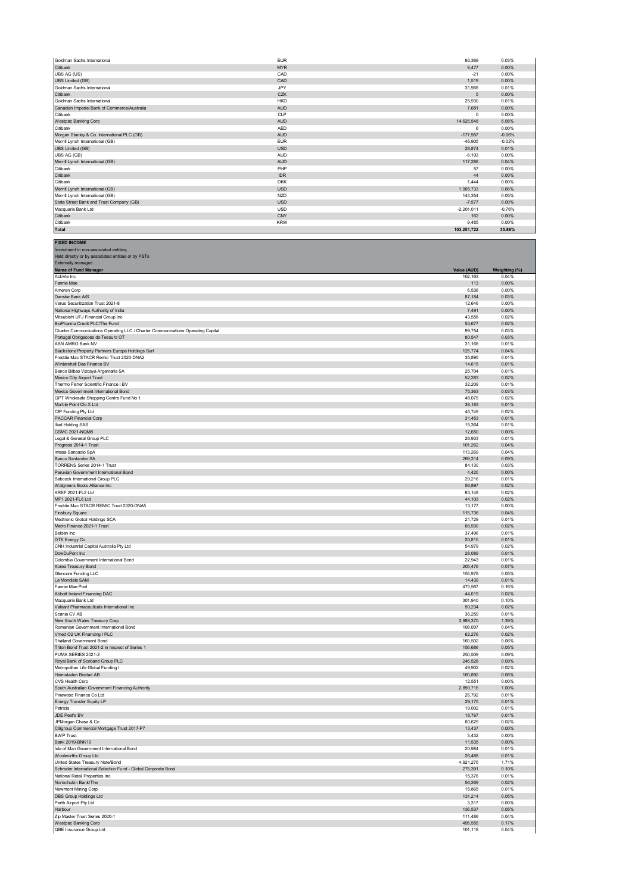| Goldman Sachs International                  | <b>EUR</b> | 93.369       | 0.03%    |
|----------------------------------------------|------------|--------------|----------|
| Citibank                                     | <b>MYR</b> | 9.477        | 0.00%    |
| UBS AG (US)                                  | CAD        | $-21$        | 0.00%    |
| <b>UBS Limited (GB)</b>                      | CAD        | 1,519        | 0.00%    |
| Goldman Sachs International                  | JPY        | 31,968       | 0.01%    |
| Citibank                                     | CZK        | 5            | 0.00%    |
| Goldman Sachs International                  | <b>HKD</b> | 25,930       | 0.01%    |
| Canadian Imperial Bank of Commerce/Australia | <b>AUD</b> | 7.681        | 0.00%    |
| Citibank                                     | CLP        | $\Omega$     | 0.00%    |
| Westpac Banking Corp                         | <b>AUD</b> | 14,625,548   | 5.08%    |
| Citibank                                     | <b>AED</b> | 6            | 0.00%    |
| Morgan Stanley & Co. International PLC (GB)  | <b>AUD</b> | $-177.957$   | $-0.06%$ |
| Merrill Lynch International (GB)             | <b>EUR</b> | $-46.905$    | $-0.02%$ |
| <b>UBS Limited (GB)</b>                      | <b>USD</b> | 28,874       | 0.01%    |
| UBS AG (GB)                                  | <b>AUD</b> | $-8,193$     | 0.00%    |
| Merrill Lynch International (GB)             | <b>AUD</b> | 117.288      | 0.04%    |
| Citibank                                     | PHP        | 57           | 0.00%    |
| Citibank                                     | <b>IDR</b> | 44           | 0.00%    |
| Citibank                                     | <b>DKK</b> | 1.444        | 0.00%    |
| Merrill Lynch International (GB)             | <b>USD</b> | 1.905.733    | 0.66%    |
| Merrill Lynch International (GB)             | <b>NZD</b> | 143.354      | 0.05%    |
| State Street Bank and Trust Company (GB)     | <b>USD</b> | $-7,577$     | 0.00%    |
| Macquarie Bank Ltd                           | <b>USD</b> | $-2,201,011$ | $-0.76%$ |
| Citibank                                     | CNY        | 162          | 0.00%    |
| Citibank                                     | <b>KRW</b> | 9,485        | 0.00%    |
| Total                                        |            | 103.251.722  | 35.86%   |

**FIXED INCOME** Investment in non-associated entities;

| Held directly or by associated entities or by PSTs                                                                   |                    |                |
|----------------------------------------------------------------------------------------------------------------------|--------------------|----------------|
| Externally managed<br>Name of Fund Manager                                                                           | Value (AUD)        | Weighting (%)  |
| AbbVie Inc                                                                                                           | 102,163            | 0.04%          |
| Fannie Mae                                                                                                           | 113                | 0.00%          |
| Ameren Corp<br>Danske Bank A/S                                                                                       | 6,536<br>87,184    | 0.00%<br>0.03% |
| Verus Securitization Trust 2021-8                                                                                    | 12,646             | 0.00%          |
| National Highways Authority of India                                                                                 | 7,491              | 0.00%          |
| Mitsubishi UFJ Financial Group Inc                                                                                   | 43,558             | 0.02%          |
| BioPharma Credit PLC/The Fund                                                                                        | 53,677             | 0.02%          |
| Charter Communications Operating LLC / Charter Communications Operating Capital<br>Portugal Obrigacoes do Tesouro OT | 99,754<br>80,547   | 0.03%<br>0.03% |
| ABN AMRO Bank NV                                                                                                     | 31,168             | 0.01%          |
| Blackstone Property Partners Europe Holdings Sarl                                                                    | 125,774            | 0.04%          |
| Freddie Mac STACR Remic Trust 2020-DNA2                                                                              | 35,895             | 0.01%          |
| Wintershall Dea Finance BV<br>Banco Bilbao Vizcaya Argentaria SA                                                     | 14,615<br>25,704   | 0.01%<br>0.01% |
| Mexico City Airport Trust                                                                                            | 52,283             | 0.02%          |
| Thermo Fisher Scientific Finance I BV                                                                                | 32,209             | 0.01%          |
| Mexico Government International Bond                                                                                 | 75,363             | 0.03%          |
| GPT Wholesale Shopping Centre Fund No 1                                                                              | 48,075             | 0.02%          |
| Marble Point Clo X Ltd<br>CIP Funding Pty Ltd                                                                        | 38,183<br>45,749   | 0.01%<br>0.02% |
| PACCAR Financial Corp                                                                                                | 31,453             | 0.01%          |
| Iliad Holding SAS                                                                                                    | 15,364             | 0.01%          |
| <b>CSMC 2021-NQM8</b>                                                                                                | 12,650             | 0.00%          |
| Legal & General Group PLC                                                                                            | 26,933             | 0.01%          |
| Progress 2014-1 Trust<br>Intesa Sanpaolo SpA                                                                         | 101,262<br>113,269 | 0.04%<br>0.04% |
| Banco Santander SA                                                                                                   | 269,314            | 0.09%          |
| <b>TORRENS Series 2014-1 Trust</b>                                                                                   | 84,130             | 0.03%          |
| Peruvian Government International Bond                                                                               | 4,420              | 0.00%          |
| Babcock International Group PLC<br>Walgreens Boots Alliance Inc                                                      | 29,216<br>56,897   | 0.01%<br>0.02% |
| KREF 2021-FL2 Ltd                                                                                                    | 63,148             | 0.02%          |
| MF1 2021-FL6 Ltd                                                                                                     | 44,103             | 0.02%          |
| Freddie Mac STACR REMIC Trust 2020-DNA5                                                                              | 13,177             | 0.00%          |
| <b>Finsbury Square</b>                                                                                               | 115,736            | 0.04%          |
| Medtronic Global Holdings SCA<br>Metro Finance 2021-1 Trust                                                          | 21,729<br>66,930   | 0.01%<br>0.02% |
| Belden Inc                                                                                                           | 37,496             | 0.01%          |
| DTE Energy Co                                                                                                        | 20,810             | 0.01%          |
| CNH Industrial Capital Australia Pty Ltd                                                                             | 54,979             | 0.02%          |
| DowDuPont Inc<br>Colombia Government International Bond                                                              | 28,089<br>22,943   | 0.01%<br>0.01% |
| Korea Treasury Bond                                                                                                  | 205,476            | 0.07%          |
| Glencore Funding LLC                                                                                                 | 155,978            | 0.05%          |
| La Mondiale SAM                                                                                                      | 14,439             | 0.01%          |
| Fannie Mae Pool                                                                                                      | 473,567            | 0.16%          |
| Abbott Ireland Financing DAC<br>Macquarie Bank Ltd                                                                   | 44,019<br>301,940  | 0.02%<br>0.10% |
| Valeant Pharmaceuticals International Inc                                                                            | 50,234             | 0.02%          |
| Scania CV AB                                                                                                         | 36,259             | 0.01%          |
| New South Wales Treasury Corp                                                                                        | 3,988,370          | 1.39%          |
| Romanian Government International Bond<br>Vmed O2 UK Financing I PLC                                                 | 108,007<br>62,276  | 0.04%<br>0.02% |
| <b>Thailand Government Bond</b>                                                                                      | 160,502            | 0.06%          |
| Triton Bond Trust 2021-2 in respect of Series 1                                                                      | 156,686            | 0.05%          |
| PUMA SERIES 2021-2                                                                                                   | 250,509            | 0.09%          |
| Royal Bank of Scotland Group PLC<br>Metropolitan Life Global Funding I                                               | 246,528<br>49,902  | 0.09%<br>0.02% |
| Heimstaden Bostad AB                                                                                                 | 160,892            | 0.06%          |
| CVS Health Corp                                                                                                      | 12,551             | 0.00%          |
| South Australian Government Financing Authority                                                                      | 2,890,716          | 1.00%          |
| Pinewood Finance Co Ltd                                                                                              | 26,792             | 0.01%          |
| Energy Transfer Equity LP<br>Patrizia                                                                                | 29,175<br>19,002   | 0.01%<br>0.01% |
| JDE Peet's BV                                                                                                        | 18,767             | 0.01%          |
| JPMorgan Chase & Co                                                                                                  | 60,629             | 0.02%          |
| Citigroup Commercial Mortgage Trust 2017-P7                                                                          | 13,437             | 0.00%          |
| <b>BWP Trust</b><br>Bank 2019-BNK19                                                                                  | 3,432<br>11,535    | 0.00%<br>0.00% |
| Isle of Man Government International Bond                                                                            | 20,984             | 0.01%          |
| Woolworths Group Ltd                                                                                                 | 26,488             | 0.01%          |
| United States Treasury Note/Bond                                                                                     | 4,921,275          | 1.71%          |
| Schroder International Selection Fund - Global Corporate Bond                                                        | 275,391            | 0.10%          |
| National Retail Properties Inc<br>Norinchukin Bank/The                                                               | 15,376<br>56,269   | 0.01%<br>0.02% |
| Newmont Mining Corp                                                                                                  | 15,865             | 0.01%          |
| <b>DBS Group Holdings Ltd</b>                                                                                        | 131,214            | 0.05%          |
| Perth Airport Pty Ltd                                                                                                | 3,317              | 0.00%          |
| Harbour                                                                                                              | 136,537            | 0.05%          |
| Zip Master Trust Series 2020-1<br>Westpac Banking Corp                                                               | 111,486<br>495,555 | 0.04%<br>0.17% |
| QBE Insurance Group Ltd                                                                                              | 101,118            | 0.04%          |
|                                                                                                                      |                    |                |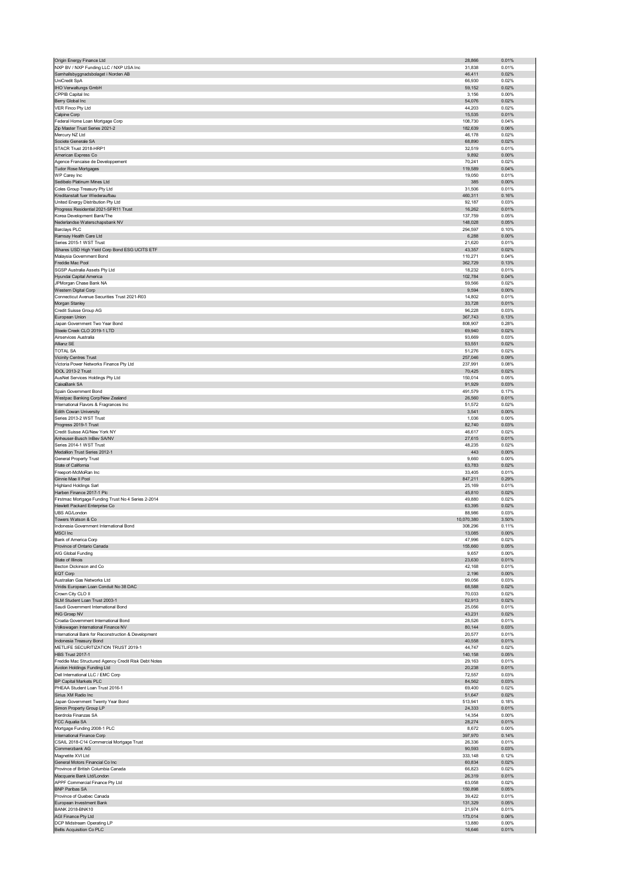| Origin Energy Finance Ltd                                                    | 28,866            | 0.01%          |
|------------------------------------------------------------------------------|-------------------|----------------|
| NXP BV / NXP Funding LLC / NXP USA Inc                                       | 31,838            | 0.01%          |
| Samhallsbyggnadsbolaget i Norden AB                                          | 46,411            | 0.02%          |
| UniCredit SpA                                                                | 66,930            | 0.02%          |
| IHO Verwaltungs GmbH                                                         | 59,152            | 0.02%          |
| CPPIB Capital Inc                                                            | 3,156<br>54,076   | 0.00%<br>0.02% |
| Berry Global Inc<br>VER Finco Pty Ltd                                        | 44,203            | 0.02%          |
| Calpine Corp                                                                 | 15,535            | 0.01%          |
| Federal Home Loan Mortgage Corp                                              | 108,730           | 0.04%          |
| Zip Master Trust Series 2021-2                                               | 182,639           | 0.06%          |
| Mercury NZ Ltd                                                               | 46,178            | 0.02%          |
| Societe Generale SA                                                          | 68,890            | 0.02%          |
| STACR Trust 2018-HRP1                                                        | 32,519            | 0.01%          |
| American Express Co                                                          | 9,892             | 0.00%          |
| Agence Francaise de Developpement                                            | 70,241            | 0.02%          |
| Tudor Rose Mortgages                                                         | 119,589           | 0.04%          |
| WP Carey Inc                                                                 | 19,050            | 0.01%          |
| Sedibelo Platinum Mines Ltd                                                  | 385               | 0.00%          |
| Coles Group Treasury Pty Ltd                                                 | 31,506            | 0.01%          |
| Kreditanstalt fuer Wiederaufbau                                              | 460,311           | 0.16%          |
| United Energy Distribution Pty Ltd<br>Progress Residential 2021-SFR11 Trust  | 92,187<br>16,262  | 0.03%<br>0.01% |
| Korea Development Bank/The                                                   | 137,759           | 0.05%          |
| Nederlandse Waterschapsbank NV                                               | 148,028           | 0.05%          |
| <b>Barclays PLC</b>                                                          | 294,597           | 0.10%          |
| Ramsay Health Care Ltd                                                       | 6,288             | 0.00%          |
| Series 2015-1 WST Trust                                                      | 21,620            | 0.01%          |
| Shares USD High Yield Corp Bond ESG UCITS ETF                                | 43,357            | 0.02%          |
| Malaysia Government Bond                                                     | 110,271           | 0.04%          |
| Freddie Mac Pool                                                             | 362,729           | 0.13%          |
| SGSP Australia Assets Pty Ltd                                                | 18,232            | 0.01%          |
| Hyundai Capital America                                                      | 102,784           | 0.04%          |
| JPMorgan Chase Bank NA                                                       | 59,566            | 0.02%          |
| Western Digital Corp<br>Connecticut Avenue Securities Trust 2021-R03         | 9,594<br>14,802   | 0.00%<br>0.01% |
| Morgan Stanley                                                               | 33,728            | 0.01%          |
| Credit Suisse Group AG                                                       | 96,228            | 0.03%          |
| European Union                                                               | 367,743           | 0.13%          |
| Japan Government Two Year Bond                                               | 808,907           | 0.28%          |
| Steele Creek CLO 2019-1 LTD                                                  | 69,940            | 0.02%          |
| Airservices Australia                                                        | 93,669            | 0.03%          |
| Allianz SE                                                                   | 53,551            | 0.02%          |
| <b>TOTAL SA</b>                                                              | 51,276            | 0.02%          |
| Vicinity Centres Trust                                                       | 257,046           | 0.09%          |
| Victoria Power Networks Finance Pty Ltd                                      | 237,991           | 0.08%          |
| IDOL 2013-2 Trust                                                            | 70,425            | 0.02%          |
| AusNet Services Holdings Pty Ltd                                             | 150,014           | 0.05%          |
| CaixaBank SA                                                                 | 91,929            | 0.03%          |
| Spain Government Bond                                                        | 491,579           | 0.17%          |
| Westpac Banking Corp/New Zealand<br>International Flavors & Fragrances Inc   | 26,560<br>51,572  | 0.01%<br>0.02% |
| Edith Cowan University                                                       | 3,541             | 0.00%          |
| Series 2013-2 WST Trust                                                      | 1,036             | 0.00%          |
| Progress 2019-1 Trust                                                        | 82,740            | 0.03%          |
| Credit Suisse AG/New York NY                                                 | 46,617            | 0.02%          |
| Anheuser-Busch InBev SA/NV                                                   | 27,615            | 0.01%          |
|                                                                              |                   |                |
| Series 2014-1 WST Trust                                                      |                   | 0.02%          |
| Medallion Trust Series 2012-1                                                | 48,235<br>443     | 0.00%          |
| General Property Trust                                                       | 9,660             | 0.00%          |
| State of California                                                          | 63,783            | 0.02%          |
| Freeport-McMoRan Inc                                                         | 33,405            | 0.01%          |
| Ginnie Mae II Pool                                                           | 847,211           | 0.29%          |
| <b>Highland Holdings Sarl</b>                                                | 25,169            | 0.01%          |
| Harben Finance 2017-1 Plc                                                    | 45,810            | 0.02%          |
| Firstmac Mortgage Funding Trust No 4 Series 2-2014                           | 49,880            | 0.02%          |
| Hewlett Packard Enterprise Co                                                | 63,395            | 0.02%          |
| UBS AG/London                                                                | 88,986            | 0.03%          |
| Towers Watson & Co                                                           | 10,070,380        | 3.50%          |
| Indonesia Government International Bond                                      | 308,296           | 0.11%          |
| MSCI Inc<br>Bank of America Corp                                             | 13,085<br>47,996  | 0.00%<br>0.02% |
| Province of Ontario Canada                                                   | 155,660           | 0.05%          |
| AIG Global Funding                                                           | 9,657             | 0.00%          |
| State of Illinois                                                            | 23,630            | 0.01%          |
| Becton Dickinson and Co                                                      | 42,168            | 0.01%          |
| EQT Corp                                                                     | 2,196             | 0.00%          |
| Australian Gas Networks Ltd                                                  | 99,056            | 0.03%          |
| Viridis European Loan Conduit No 38 DAC                                      | 68,588            | 0.02%          |
| Crown City CLO II                                                            | 70,033            | 0.02%          |
| SLM Student Loan Trust 2003-1                                                | 62,913            | 0.02%          |
| Saudi Government International Bond                                          | 25,056            | 0.01%          |
| <b>ING Groep NV</b>                                                          | 43,231            | 0.02%          |
| Croatia Government International Bond<br>Volkswagen International Finance NV | 28,526<br>80,144  | 0.01%<br>0.03% |
| International Bank for Reconstruction & Development                          | 20,577            | 0.01%          |
| Indonesia Treasury Bond                                                      | 40,558            | 0.01%          |
| METLIFE SECURITIZATION TRUST 2019-1                                          | 44,747            | 0.02%          |
| <b>HBS Trust 2017-1</b>                                                      | 140,158           | 0.05%          |
| Freddie Mac Structured Agency Credit Risk Debt Notes                         | 29,163            | 0.01%          |
| Avolon Holdings Funding Ltd                                                  | 20,238            | 0.01%          |
| Dell International LLC / EMC Corp                                            | 72,557            | 0.03%          |
| BP Capital Markets PLC                                                       | 84,562            | 0.03%          |
| PHEAA Student Loan Trust 2016-1                                              | 69,400            | 0.02%          |
| Sirius XM Radio Inc                                                          | 51,647            | 0.02%          |
| Japan Government Twenty Year Bond                                            | 513,941           | 0.18%          |
| Simon Property Group LP<br>Iberdrola Finanzas SA                             | 24,333<br>14,354  | 0.01%<br>0.00% |
|                                                                              |                   |                |
| FCC Aqualia SA<br>Mortgage Funding 2008-1 PLC                                | 28,274<br>8,672   | 0.01%<br>0.00% |
| International Finance Corp                                                   | 397,970           | 0.14%          |
| CSAIL 2018-C14 Commercial Mortgage Trust                                     | 26,336            | 0.01%          |
| Commerzbank AG                                                               | 90,593            | 0.03%          |
| Magnetite XVI Ltd                                                            | 333,148           | 0.12%          |
| General Motors Financial Co Inc                                              | 60,834            | 0.02%          |
| Province of British Columbia Canada                                          | 66,823            | 0.02%          |
| Macquarie Bank Ltd/London                                                    | 26,319            | 0.01%          |
| APPF Commercial Finance Pty Ltd                                              | 63,058            | 0.02%          |
| <b>BNP Paribas SA</b>                                                        | 150,898           | 0.05%          |
| Province of Quebec Canada                                                    | 39,422            | 0.01%          |
| European Investment Bank                                                     | 131,329           | 0.05%          |
| <b>BANK 2018-BNK10</b><br>AGI Finance Pty Ltd                                | 21,974<br>173,014 | 0.01%<br>0.06% |
| DCP Midstream Operating LP                                                   | 13,880            | 0.00%          |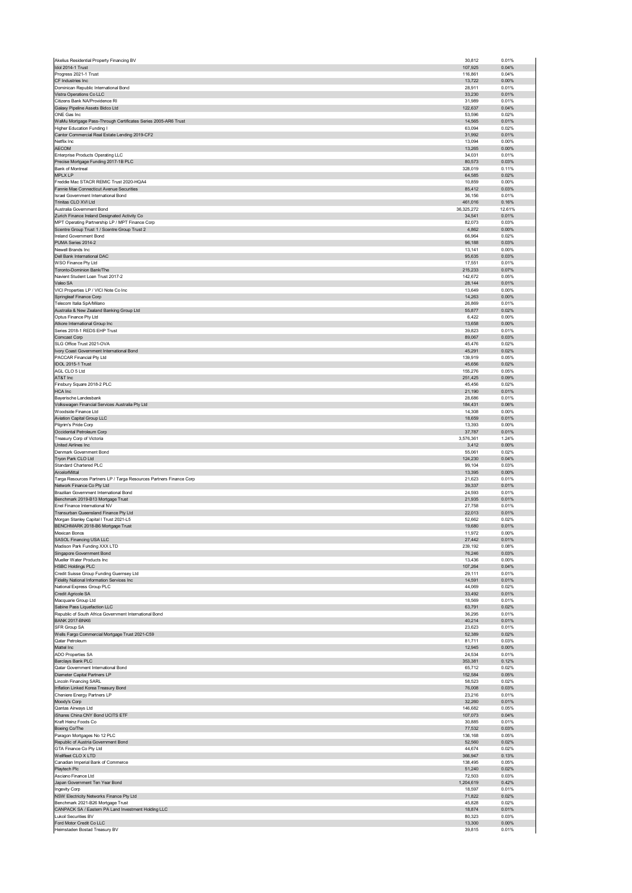| Akelius Residential Property Financing BV                                                | 30,812                 | 0.01%                   |
|------------------------------------------------------------------------------------------|------------------------|-------------------------|
| Idol 2014-1 Trust<br>Progress 2021-1 Trust                                               | 107,925<br>116,861     | 0.04%<br>0.04%          |
| CF Industries Inc                                                                        | 13,722                 | 0.00%                   |
| Dominican Republic International Bond                                                    | 28,911                 | 0.01%                   |
| Vistra Operations Co LLC                                                                 | 33,230                 | 0.01%                   |
| Citizens Bank NA/Providence RI<br>Galaxy Pipeline Assets Bidco Ltd                       | 31,989<br>122,637      | 0.01%<br>0.04%          |
| ONE Gas Inc                                                                              | 53,596                 | 0.02%                   |
| WaMu Mortgage Pass-Through Certificates Series 2005-AR6 Trust                            | 14,565                 | 0.01%                   |
| Higher Education Funding I                                                               | 63,094                 | 0.02%                   |
| Cantor Commercial Real Estate Lending 2019-CF2<br>Netflix Inc                            | 31,992<br>13,094       | 0.01%<br>0.00%          |
| <b>AECOM</b>                                                                             | 13,265                 | 0.00%                   |
| Enterprise Products Operating LLC                                                        | 34,031                 | 0.01%                   |
| Precise Mortgage Funding 2017-1B PLC                                                     | 80,573                 | 0.03%                   |
| Bank of Montreal                                                                         | 328,019                | 0.11%                   |
| MPLX LP<br>Freddie Mac STACR REMIC Trust 2020-HQA4                                       | 64,585<br>10,859       | 0.02%<br>0.00%          |
| Fannie Mae Connecticut Avenue Securities                                                 | 85,412                 | 0.03%                   |
| Israel Government International Bond                                                     | 36,156                 | 0.01%                   |
| Trinitas CLO XVI Ltd                                                                     | 461,016                | 0.16%                   |
| Australia Government Bond<br>Zurich Finance Ireland Designated Activity Co               | 36, 325, 272<br>34,541 | 12.61%<br>0.01%         |
| MPT Operating Partnership LP / MPT Finance Corp                                          | 82,073                 | 0.03%                   |
| Scentre Group Trust 1 / Scentre Group Trust 2                                            | 4,862                  | 0.00%                   |
| Ireland Government Bond                                                                  | 66,964                 | 0.02%                   |
| PUMA Series 2014-2                                                                       | 96,188                 | 0.03%                   |
| Newell Brands Inc<br>Dell Bank International DAC                                         | 13,141<br>95,635       | 0.00%<br>0.03%          |
| WSO Finance Pty Ltd                                                                      | 17,551                 | 0.01%                   |
| Toronto-Dominion Bank/The                                                                | 215,233                | 0.07%                   |
| Navient Student Loan Trust 2017-2                                                        | 142,672                | 0.05%                   |
| Valeo SA<br>VICI Properties LP / VICI Note Co Inc                                        | 28,144<br>13,649       | 0.01%<br>0.00%          |
| Springleaf Finance Corp                                                                  | 14,263                 | 0.00%                   |
| Telecom Italia SpA/Milano                                                                | 26,869                 | 0.01%                   |
| Australia & New Zealand Banking Group Ltd                                                | 55,877                 | 0.02%                   |
| Optus Finance Pty Ltd                                                                    | 6,422                  | 0.00%                   |
| Atkore International Group Inc<br>Series 2018-1 REDS EHP Trust                           | 13,658<br>39,823       | 0.00%<br>0.01%          |
| Comcast Corp                                                                             | 89,067                 | 0.03%                   |
| SLG Office Trust 2021-OVA                                                                | 45,476                 | 0.02%                   |
| Ivory Coast Government International Bond                                                | 45,291                 | 0.02%                   |
| PACCAR Financial Pty Ltd                                                                 | 139,919                | 0.05%                   |
| IDOL 2015-1 Trust<br>AGL CLO 5 Ltd                                                       | 45,656<br>155,276      | 0.02%<br>0.05%          |
| AT&T Inc                                                                                 | 251,425                | 0.09%                   |
| Finsbury Square 2018-2 PLC                                                               | 45,456                 | 0.02%                   |
| <b>HCA</b> Inc                                                                           | 21,190                 | 0.01%                   |
| Bayerische Landesbank                                                                    | 28,686                 | 0.01%                   |
| Volkswagen Financial Services Australia Pty Ltd<br>Woodside Finance Ltd                  | 184,431<br>14,308      | 0.06%<br>0.00%          |
| Aviation Capital Group LLC                                                               | 18,659                 | 0.01%                   |
| Pilgrim's Pride Corp                                                                     | 13,393                 | 0.00%                   |
|                                                                                          |                        |                         |
| Occidental Petroleum Corp                                                                | 37,787                 | 0.01%                   |
| Treasury Corp of Victoria                                                                | 3,576,361              | 1.24%                   |
| United Airlines Inc                                                                      | 3,412                  | 0.00%                   |
| Denmark Government Bond<br>Tryon Park CLO Ltd                                            | 55,061<br>124,230      | 0.02%<br>0.04%          |
| Standard Chartered PLC                                                                   | 99,104                 | 0.03%                   |
| ArcelorMittal                                                                            | 13,395                 | 0.00%                   |
| Targa Resources Partners LP / Targa Resources Partners Finance Corp                      | 21,623                 | 0.01%                   |
| Network Finance Co Pty Ltd                                                               | 39,337                 | 0.01%                   |
| Brazilian Government International Bond<br>Benchmark 2019-B13 Mortgage Trust             | 24,593<br>21,935       | 0.01%<br>0.01%          |
| Enel Finance International NV                                                            | 27,758                 | 0.01%                   |
| Transurban Queensland Finance Pty Ltd                                                    | 22,013                 | 0.01%                   |
| Morgan Stanley Capital I Trust 2021-L5                                                   | 52,662                 | 0.02%                   |
| BENCHMARK 2018-B6 Mortgage Trust<br>Mexican Bonos                                        | 19,680<br>11.972       | 0.01%<br>0.00%          |
| SASOL Financing USA LLC                                                                  | 27,442                 | 0.01%                   |
| Madison Park Funding XXX LTD                                                             | 239,192                | 0.08%                   |
| Singapore Government Bond                                                                | 76,246                 | 0.03%                   |
| Mueller Water Products Inc<br><b>HSBC Holdings PLC</b>                                   | 13,436<br>107,264      | 0.00%<br>0.04%          |
| Credit Suisse Group Funding Guernsey Ltd                                                 | 29,111                 | 0.01%                   |
| Fidelity National Information Services Inc                                               | 14,591                 | 0.01%                   |
| National Express Group PLC                                                               | 44,069                 | 0.02%                   |
| Credit Agricole SA                                                                       | 33,492<br>18,569       | 0.01%<br>0.01%          |
| Macquarie Group Ltd<br>Sabine Pass Liquefaction LLC                                      | 63,791                 | 0.02%                   |
| Republic of South Africa Government International Bond                                   | 36,295                 | 0.01%                   |
| <b>BANK 2017-BNK6</b>                                                                    | 40,214                 | 0.01%                   |
| SFR Group SA                                                                             | 23,623                 | 0.01%                   |
| Wells Fargo Commercial Mortgage Trust 2021-C59<br>Qatar Petroleum                        | 52,389<br>81,711       | 0.02%<br>0.03%          |
| Mattel Inc                                                                               | 12,945                 | 0.00%                   |
| <b>ADO Properties SA</b>                                                                 | 24,534                 | 0.01%                   |
| Barclays Bank PLC                                                                        | 353,381                | 0.12%                   |
| Qatar Government International Bond<br>Diameter Capital Partners LP                      | 65,712<br>152,584      | 0.02%<br>0.05%          |
| <b>Lincoln Financing SARL</b>                                                            | 58,523                 | 0.02%                   |
| Inflation Linked Korea Treasury Bond                                                     | 76,008                 | 0.03%                   |
| Cheniere Energy Partners LP                                                              | 23,216                 | 0.01%                   |
| Moody's Corp<br>Qantas Airways Ltd                                                       | 32,260<br>146,682      | 0.01%<br>0.05%          |
| iShares China CNY Bond UCITS ETF                                                         | 107,073                | 0.04%                   |
| Kraft Heinz Foods Co                                                                     | 30,885                 | 0.01%                   |
| Boeing Co/The                                                                            | 77,532                 | 0.03%                   |
| Paragon Mortgages No 12 PLC                                                              | 136,168                | 0.05%                   |
| Republic of Austria Government Bond<br>GTA Finance Co Pty Ltd                            | 52,560<br>44,674       | 0.02%<br>0.02%          |
| Wellfleet CLO X LTD                                                                      | 366,947                | 0.13%                   |
| Canadian Imperial Bank of Commerce                                                       | 138,495                | 0.05%                   |
| Playtech Plc                                                                             | 51,240                 | 0.02%                   |
| Asciano Finance Ltd                                                                      | 72,503                 | 0.03%                   |
| Japan Government Ten Year Bond<br>Ingevity Corp                                          | 1,204,619<br>18,597    | 0.42%<br>0.01%          |
| NSW Electricity Networks Finance Pty Ltd                                                 | 71,822                 | 0.02%                   |
| Benchmark 2021-B26 Mortgage Trust                                                        | 45,828                 | 0.02%                   |
| CANPACK SA / Eastern PA Land Investment Holding LLC                                      | 18,874                 | 0.01%                   |
| <b>Lukoil Securities BV</b><br>Ford Motor Credit Co LLC<br>Heimstaden Bostad Treasury BV | 80,323<br>13,300       | 0.03%<br>0.00%<br>0.01% |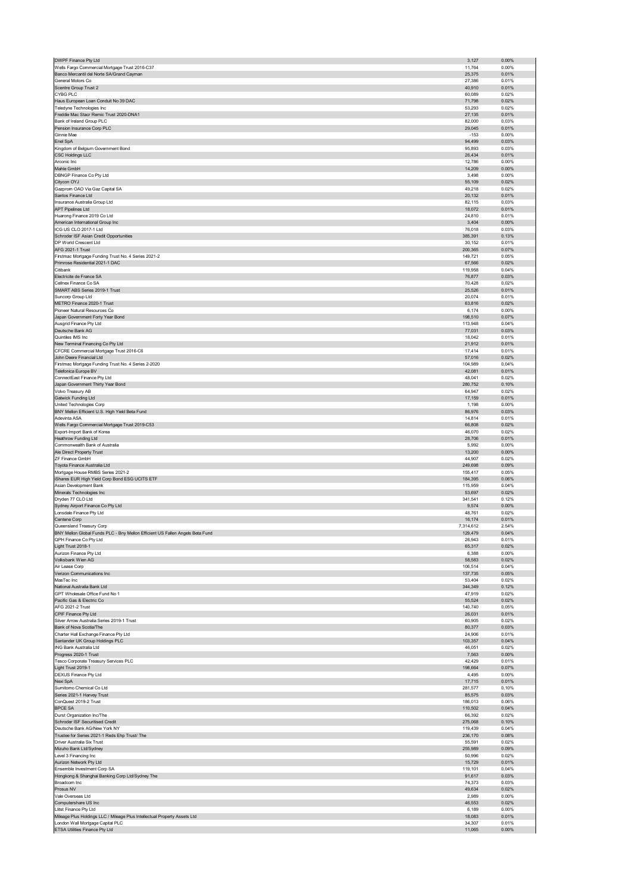| DWPF Finance Pty Ltd                                                          | 3,127              | 0.00%             |
|-------------------------------------------------------------------------------|--------------------|-------------------|
| Wells Fargo Commercial Mortgage Trust 2016-C37                                | 11,764             | 0.00%             |
| Banco Mercantil del Norte SA/Grand Cayman                                     | 25,375             | 0.01%             |
| General Motors Co<br>Scentre Group Trust 2                                    | 27,386<br>40,910   | 0.01%<br>0.01%    |
| <b>CYBG PLC</b>                                                               | 60,089             | 0.02%             |
| Haus European Loan Conduit No 39 DAC                                          | 71,798             | 0.02%             |
| Teledyne Technologies Inc                                                     | 53,293             | 0.02%             |
| Freddie Mac Stacr Remic Trust 2020-DNA1                                       | 27,135             | 0.01%             |
| Bank of Ireland Group PLC                                                     | 82,000             | 0.03%             |
| Pension Insurance Corp PLC<br>Ginnie Mae                                      | 29,045<br>$-153$   | 0.01%<br>0.00%    |
| Enel SpA                                                                      | 94,499             | 0.03%             |
| Kingdom of Belgium Government Bond                                            | 95,893             | 0.03%             |
| <b>CSC Holdings LLC</b>                                                       | 26,434             | 0.01%             |
| Arconic Inc                                                                   | 12,786             | 0.00%             |
| Mahle GmbH                                                                    | 14,209             | 0.00%             |
| DBNGP Finance Co Pty Ltd                                                      | 3,498              | 0.00%<br>0.02%    |
| Citycon OYJ<br>Gazprom OAO Via Gaz Capital SA                                 | 55,109<br>49,218   | 0.02%             |
| Santos Finance Ltd                                                            | 20,132             | 0.01%             |
| Insurance Australia Group Ltd                                                 | 82,115             | 0.03%             |
| <b>APT Pipelines Ltd</b>                                                      | 18,072             | 0.01%             |
| Huarong Finance 2019 Co Ltd                                                   | 24,810             | 0.01%             |
| American International Group Inc<br>ICG US CLO 2017-1 Ltd                     | 3,404<br>76,018    | 0.00%<br>0.03%    |
| Schroder ISF Asian Credit Opportunities                                       | 385,391            | 0.13%             |
| DP World Crescent Ltd                                                         | 30,152             | 0.01%             |
| AFG 2021-1 Trust                                                              | 200,365            | 0.07%             |
| Firstmac Mortgage Funding Trust No. 4 Series 2021-2                           | 149,721            | 0.05%             |
| Primrose Residential 2021-1 DAC<br>Citibank                                   | 67,566             | 0.02%<br>0.04%    |
| Electricite de France SA                                                      | 119,958<br>76,877  | 0.03%             |
| Cellnex Finance Co SA                                                         | 70,428             | 0.02%             |
| SMART ABS Series 2019-1 Trust                                                 | 25,526             | 0.01%             |
| Suncorp Group Ltd                                                             | 20,074             | 0.01%             |
| METRO Finance 2020-1 Trust                                                    | 63,816             | 0.02%             |
| Pioneer Natural Resources Co<br>Japan Government Forty Year Bond              | 6,174<br>198,510   | 0.00%<br>0.07%    |
| Ausgrid Finance Pty Ltd                                                       | 113,948            | 0.04%             |
| Deutsche Bank AG                                                              | 77,031             | 0.03%             |
| Quintiles IMS Inc                                                             | 18,042             | 0.01%             |
| New Terminal Financing Co Pty Ltd                                             | 21,912             | 0.01%             |
| CFCRE Commercial Mortgage Trust 2016-C6<br>John Deere Financial Ltd           | 17,414<br>57,016   | 0.01%<br>0.02%    |
| Firstmac Mortgage Funding Trust No. 4 Series 2-2020                           | 104,989            | 0.04%             |
| Telefonica Europe BV                                                          | 42,081             | 0.01%             |
| ConnectEast Finance Pty Ltd                                                   | 48,041             | 0.02%             |
| Japan Government Thirty Year Bond                                             | 280,752            | 0.10%             |
| Volvo Treasury AB                                                             | 64,947             | 0.02%             |
| Gatwick Funding Ltd<br>United Technologies Corp                               | 17,159<br>1,198    | 0.01%<br>0.00%    |
| BNY Mellon Efficient U.S. High Yield Beta Fund                                | 86,976             | 0.03%             |
| Adevinta ASA                                                                  | 14,814             | 0.01%             |
| Wells Fargo Commercial Mortgage Trust 2019-C53                                | 66,808             | 0.02%             |
| Export-Import Bank of Korea                                                   | 46,070             | 0.02%             |
|                                                                               |                    |                   |
| Heathrow Funding Ltd                                                          | 28,706             | 0.01%             |
| Commonwealth Bank of Australia                                                | 5,992              | 0.00%             |
| Ale Direct Property Trust<br><b>ZF Finance GmbH</b>                           | 13,200<br>44,907   | 0.00%<br>0.02%    |
| Toyota Finance Australia Ltd                                                  | 249,698            | 0.09%             |
| Mortgage House RMBS Series 2021-2                                             | 155,417            | 0.05%             |
| iShares EUR High Yield Corp Bond ESG UCITS ETF                                | 184,395            | 0.06%             |
| Asian Development Bank                                                        | 115,959            | 0.04%             |
| Minerals Technologies Inc<br>Dryden 77 CLO Ltd                                | 53,697<br>341,541  | 0.02%<br>0.12%    |
| Sydney Airport Finance Co Pty Ltd                                             | 9,574              | 0.00%             |
| Lonsdale Finance Pty Ltd                                                      | 48,761             | 0.02%             |
| Centene Corp                                                                  | 16,174             | 0.01%             |
| Queensland Treasury Corp                                                      | 7,314,612          | 2.54%             |
| BNY Mellon Global Funds PLC - Bny Mellon Efficient US Fallen Angels Beta Fund | 129, 479<br>26,943 | 0.04%<br>0.01%    |
| QPH Finance Co Pty Ltd<br>Light Trust 2018-1                                  | 65,317             | 0.02%             |
| Aurizon Finance Pty Ltd                                                       | 6,388              | 0.00%             |
| Volksbank Wien AG                                                             | 58,583             | 0.02%             |
| Air Lease Corp                                                                | 106.514            | 0.04%             |
| Verizon Communications Inc                                                    | 137,735            | 0.05%             |
| MasTec Inc<br>National Australia Bank Ltd                                     | 53,404<br>344,349  | 0.02%<br>0.12%    |
| GPT Wholesale Office Fund No 1                                                | 47,919             | 0.02%             |
| Pacific Gas & Electric Co                                                     | 55,524             | 0.02%             |
| AFG 2021-2 Trust                                                              | 140,740            | 0.05%             |
| CPIF Finance Pty Ltd                                                          | 26,031             | 0.01%             |
| Silver Arrow Australia Series 2019-1 Trust<br>Bank of Nova Scotia/The         | 60,905<br>80,377   | 0.02%<br>0.03%    |
| Charter Hall Exchange Finance Pty Ltd                                         | 24,906             | 0.01%             |
| Santander UK Group Holdings PLC                                               | 103,357            | 0.04%             |
| ING Bank Australia Ltd                                                        | 46,051             | 0.02%             |
| Progress 2020-1 Trust                                                         | 7,563              | 0.00%             |
| Tesco Corporate Treasury Services PLC<br>Light Trust 2019-1                   | 42,429<br>198,664  | 0.01%<br>0.07%    |
| DEXUS Finance Pty Ltd                                                         | 4,495              | 0.00%             |
| Nexi SpA                                                                      | 17,715             | 0.01%             |
| Sumitomo Chemical Co Ltd                                                      | 281,577            | 0.10%             |
| Series 2021-1 Harvey Trust                                                    | 85,575             | 0.03%             |
| ConQuest 2019-2 Trust<br><b>BPCE SA</b>                                       | 186,013<br>110,502 | 0.06%<br>0.04%    |
| Durst Organization Inc/The                                                    | 66,392             | 0.02%             |
| Schroder ISF Securitised Credit                                               | 275,068            | 0.10%             |
| Deutsche Bank AG/New York NY                                                  | 119,439            | 0.04%             |
| Trustee for Series 2021-1 Reds Ehp Trust/ The                                 | 236,170            | 0.08%             |
| Driver Australia Six Trust                                                    | 55,591             | 0.02%             |
| Mizuho Bank Ltd/Sydney<br>Level 3 Financing Inc                               | 255,989<br>50,996  | 0.09%<br>0.02%    |
| Aurizon Network Pty Ltd                                                       | 15,729             | 0.01%             |
| Ensemble Investment Corp SA                                                   | 119,101            | 0.04%             |
| Hongkong & Shanghai Banking Corp Ltd/Sydney The                               | 91,617             | 0.03%             |
| Broadcom Inc<br>Prosus NV                                                     | 74,373<br>49.634   | 0.03%<br>0.02%    |
| Vale Overseas Ltd                                                             | 2,989              | 0.00%             |
| Computershare US Inc                                                          | 46,553             | 0.02%             |
| Llitst Finance Pty Ltd                                                        | 6,189              | 0.00%             |
| Mileage Plus Holdings LLC / Mileage Plus Intellectual Property Assets Ltd     | 18,083             | 0.01%             |
| London Wall Mortgage Capital PLC<br>ETSA Utilities Finance Pty Ltd            | 34,307<br>11,065   | 0.01%<br>$0.00\%$ |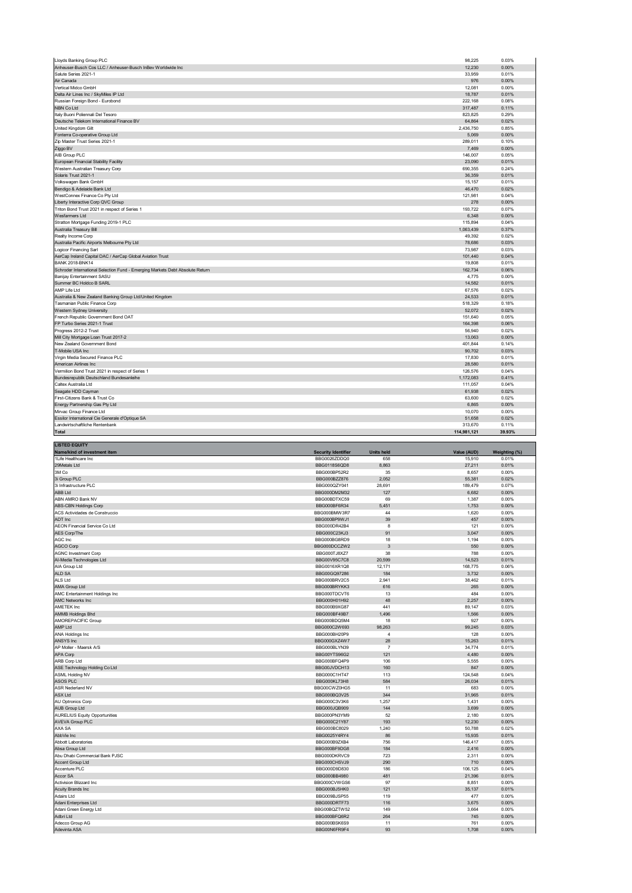| Lloyds Banking Group PLC                                                      | 98,225      | 0.03%  |
|-------------------------------------------------------------------------------|-------------|--------|
| Anheuser-Busch Cos LLC / Anheuser-Busch InBev Worldwide Inc                   | 12,230      | 0.00%  |
| Salute Series 2021-1                                                          | 33,959      | 0.01%  |
| Air Canada                                                                    | 976         | 0.00%  |
| Vertical Midco GmbH                                                           | 12,081      | 0.00%  |
| Delta Air Lines Inc / SkyMiles IP Ltd                                         | 18,787      | 0.01%  |
| Russian Foreign Bond - Eurobond                                               | 222,168     | 0.08%  |
| NBN Co Ltd                                                                    | 317,487     | 0.11%  |
| Italy Buoni Poliennali Del Tesoro                                             | 823,825     | 0.29%  |
| Deutsche Telekom International Finance BV                                     | 64,864      | 0.02%  |
| United Kingdom Gilt                                                           | 2,436,750   | 0.85%  |
| Fonterra Co-operative Group Ltd                                               | 5,069       | 0.00%  |
| Zip Master Trust Series 2021-1                                                | 289,011     | 0.10%  |
| Ziggo BV                                                                      | 7,469       | 0.00%  |
| AIB Group PLC                                                                 | 146,007     | 0.05%  |
| European Financial Stability Facility                                         | 23,090      | 0.01%  |
| Western Australian Treasury Corp                                              | 690,355     | 0.24%  |
| Solaris Trust 2021-1                                                          | 36,359      | 0.01%  |
| Volkswagen Bank GmbH                                                          | 15,157      | 0.01%  |
| Bendigo & Adelaide Bank Ltd                                                   | 46.470      | 0.02%  |
| WestConnex Finance Co Pty Ltd                                                 | 121,981     | 0.04%  |
| Liberty Interactive Corp QVC Group                                            | 278         | 0.00%  |
| Triton Bond Trust 2021 in respect of Series 1                                 | 193,722     | 0.07%  |
| Wesfarmers Ltd                                                                | 6,348       | 0.00%  |
| Stratton Mortgage Funding 2019-1 PLC                                          | 115,894     | 0.04%  |
| Australia Treasury Bill                                                       | 1,063,439   | 0.37%  |
| Realty Income Corp                                                            | 49,392      | 0.02%  |
| Australia Pacific Airports Melbourne Pty Ltd                                  | 78,686      | 0.03%  |
| Logicor Financing Sarl                                                        | 73,987      | 0.03%  |
| AerCap Ireland Capital DAC / AerCap Global Aviation Trust                     | 101,440     | 0.04%  |
| <b>BANK 2018-BNK14</b>                                                        | 19,808      | 0.01%  |
| Schroder International Selection Fund - Emerging Markets Debt Absolute Return | 162,734     | 0.06%  |
| Banijay Entertainment SASU                                                    | 4,775       | 0.00%  |
| Summer BC Holdco B SARL                                                       | 14,582      | 0.01%  |
| AMP Life Ltd                                                                  | 67,576      | 0.02%  |
| Australia & New Zealand Banking Group Ltd/United Kingdom                      | 24,533      | 0.01%  |
| Tasmanian Public Finance Corp                                                 | 518,329     | 0.18%  |
| Western Sydney University                                                     | 52,072      | 0.02%  |
| French Republic Government Bond OAT                                           | 151,640     | 0.05%  |
| FP Turbo Series 2021-1 Trust                                                  | 164,398     | 0.06%  |
| Progress 2012-2 Trust                                                         | 56,940      | 0.02%  |
| Mill City Mortgage Loan Trust 2017-2                                          | 13,063      | 0.00%  |
| New Zealand Government Bond                                                   | 401,844     | 0.14%  |
| T-Mobile USA Inc.                                                             | 90,702      | 0.03%  |
| Virgin Media Secured Finance PLC                                              | 17,830      | 0.01%  |
| American Airlines Inc                                                         | 28,580      | 0.01%  |
| Vermilion Bond Trust 2021 in respect of Series 1                              | 126,576     | 0.04%  |
| Bundesrepublik Deutschland Bundesanleihe                                      | 1,172,083   | 0.41%  |
| Caltex Australia Ltd                                                          | 111,057     | 0.04%  |
| Seagate HDD Cayman                                                            | 61,938      | 0.02%  |
| First-Citizens Bank & Trust Co                                                | 63,600      | 0.02%  |
| Energy Partnership Gas Pty Ltd                                                | 6,865       | 0.00%  |
| Mirvac Group Finance Ltd                                                      | 10,070      | 0.00%  |
| Essilor International Cie Generale d'Optique SA                               | 51,658      | 0.02%  |
| Landwirtschaftliche Rentenbank                                                | 313.670     | 0.11%  |
| Total                                                                         | 114.981.121 | 39.93% |
|                                                                               |             |        |

| <b>LISTED EQUITY</b>                 |                            |                   |             |               |
|--------------------------------------|----------------------------|-------------------|-------------|---------------|
| Name/kind of investment item         | <b>Security Identifier</b> | <b>Units held</b> | Value (AUD) | Weighting (%) |
| 1Life Healthcare Inc                 | BBG0026ZDDQ0               | 658               | 15,910      | 0.01%         |
| 29Metals Ltd                         | BBG0118S6QD8               | 8,863             | 27,211      | 0.01%         |
| 3M Co                                | BBG000BP52R2               | 35                | 8,657       | 0.00%         |
| 3i Group PLC                         | BBG000BZZ876               | 2,052             | 55,381      | 0.02%         |
| 3i Infrastructure PLC                | BBG000QZY041               | 28,691            | 189,479     | 0.07%         |
| <b>ABB Ltd</b>                       | BBG000DM2M32               | 127               | 6,682       | 0.00%         |
| ABN AMRO Bank NV                     | BBG00BDTXC59               | 69                | 1,387       | 0.00%         |
| ABS-CBN Holdings Corp                | BBG000BF6R34               | 5,451             | 1,753       | 0.00%         |
| ACS Actividades de Construccio       | BBG000BMW3R7               | 44                | 1,620       | 0.00%         |
| ADT Inc                              | BBG000BP9WJ1               | 39                | 457         | 0.00%         |
| AEON Financial Service Co Ltd        | BBG000DR42B4               | 8                 | 121         | 0.00%         |
| AES Corp/The                         | BBG000C23KJ3               | 91                | 3,047       | 0.00%         |
| AGC Inc                              | BBG000BG8RD9               | 18                | 1,194       | 0.00%         |
| AGCO Corp                            | BBG000DCCZW2               | 3                 | 550         | 0.00%         |
| <b>AGNC Investment Corp</b>          | BBG000TJ8XZ7               | 38                | 788         | 0.00%         |
| Al-Media Technologies Ltd            | BBG00V95C7C8               | 20,599            | 14,523      | 0.01%         |
| AIA Group Ltd                        | BBG0016XR1Q8               | 12,171            | 168,775     | 0.06%         |
| ALD SA                               | BBG00GQ97286               | 184               | 3,732       | 0.00%         |
| ALS Ltd                              | BBG000BRV2C5               | 2,941             | 38,462      | 0.01%         |
| AMA Group Ltd                        | BBG000BRYKK3               | 616               | 265         | 0.00%         |
| AMC Entertainment Holdings Inc       | BBG000TDCVT6               | 13                | 484         | 0.00%         |
| <b>AMC Networks Inc</b>              | BBG000H01H92               | 48                | 2,257       | 0.00%         |
| AMETEK Inc                           | BBG000B9XG87               | 441               | 89,147      | 0.03%         |
| <b>AMMB Holdings Bhd</b>             | BBG000BF49B7               | 1,496             | 1,566       | 0.00%         |
| AMOREPACIFIC Group                   | BBG000BDQ5M4               | 18                | 927         | 0.00%         |
| AMP Ltd                              | BBG000C2W693               | 98,263            | 99,245      | 0.03%         |
| ANA Holdings Inc                     | BBG000BH20P9               | $\overline{4}$    | 128         | 0.00%         |
| ANSYS Inc                            | BBG000GXZ4W7               | 28                | 15,263      | 0.01%         |
| AP Moller - Maersk A/S               | BBG000BLYN39               | $\overline{7}$    | 34,774      | 0.01%         |
| APA Corp                             | BBG00YTS96G2               | 121               | 4,480       | 0.00%         |
| ARB Corp Ltd                         | BBG000BFQ4P9               | 106               | 5,555       | 0.00%         |
| ASE Technology Holding Co Ltd        | BBG00JVDCH13               | 160               | 847         | 0.00%         |
| <b>ASML Holding NV</b>               | BBG000C1HT47               | 113               | 124,548     | 0.04%         |
| ASOS PLC                             | BBG000KL73H8               | 584               | 26,034      | 0.01%         |
| ASR Nederland NV                     | BBG00CWZ0HG5               | 11                | 683         | 0.00%         |
| <b>ASX Ltd</b>                       | BBG000BQ3V25               | 344               | 31,965      | 0.01%         |
| AU Optronics Corp                    | BBG000C3V3K6               | 1,257             | 1,431       | 0.00%         |
| <b>AUB Group Ltd</b>                 | BBG000JQB909               | 144               | 3,699       | 0.00%         |
| <b>AURELIUS Equity Opportunities</b> | BBG000PN3YM9               | 52                | 2,180       | 0.00%         |
| <b>AVEVA Group PLC</b>               | BBG000C21Y87               | 193               | 12,230      | 0.00%         |
| AXA SA                               | BBG000BC8029               | 1.240             | 50.788      | 0.02%         |
| AbbVie Inc                           | BBG0025Y4RY4               | 86                | 15,935      | 0.01%         |
| Abbott Laboratories                  | BBG000B9ZXB4               | 756               | 146,417     | 0.05%         |
| Absa Group Ltd                       | BBG000BF9DG8               | 184               | 2,416       | 0.00%         |
| Abu Dhabi Commercial Bank PJSC       | BBG000DKRVC9               | 723               | 2,311       | 0.00%         |
| Accent Group Ltd                     | BBG000CHSVJ9               | 290               | 710         | 0.00%         |
| Accenture PLC                        | BBG000D9D830               | 186               | 106,125     | 0.04%         |
| Accor SA                             | BBG000BB4980               | 481               | 21,396      | 0.01%         |
| Activision Blizzard Inc.             | BBG000CVWGS6               | 97                | 8,851       | 0.00%         |
| Acuity Brands Inc                    | BBG000BJ5HK0               | 121               | 35,137      | 0.01%         |
| Adairs Ltd                           | BBG009BJSP55               | 119               | 477         | 0.00%         |
| Adani Enterprises Ltd                | BBG000DRTF73               | 116               | 3,675       | 0.00%         |
| Adani Green Energy Ltd               | BBG00BQZTW52               | 149               | 3,664       | 0.00%         |
| Adbri Ltd                            | BBG000BFQ6R2               | 264               | 745         | 0.00%         |
| Adecco Group AG                      | BBG000BSK6S9               | 11                | 761         | 0.00%         |
| Adevinta ASA                         | BBG00N6FR9F4               | 93                | 1,708       | 0.00%         |
|                                      |                            |                   |             |               |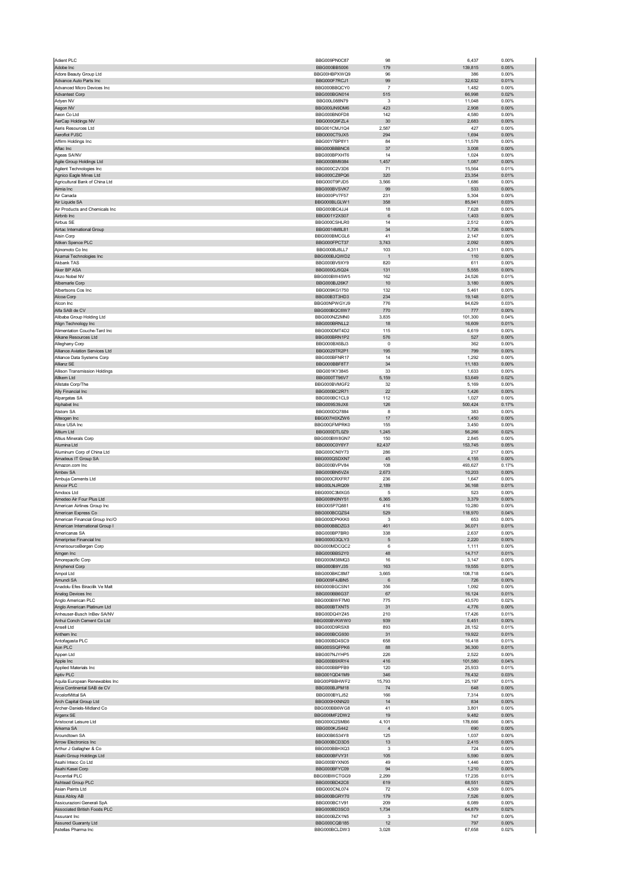| Adient PLC                                               | BBG009PN0C87                        | 98             | 6,437             | 0.00%             |
|----------------------------------------------------------|-------------------------------------|----------------|-------------------|-------------------|
| Adobe Inc                                                | BBG000BB5006                        | 179            | 139,815           | 0.05%             |
| Adore Beauty Group Ltd<br>Advance Auto Parts Inc         | BBG00HBPXWQ9<br>BBG000F7RCJ1        | 96<br>99       | 386<br>32,632     | 0.00%<br>0.01%    |
| Advanced Micro Devices Inc                               | BBG000BBQCY0                        | $\overline{7}$ | 1,482             | 0.00%             |
| Advantest Corp                                           | BBG000BGN014                        | 515            | 66,998            | 0.02%             |
| Adyen NV                                                 | BBG00L088N79                        | 3              | 11,048            | 0.00%             |
| Aegon NV<br>Aeon Co Ltd                                  | BBG000JN9DM6<br>BBG000BN0FD8        | 423<br>142     | 2,908<br>4,580    | 0.00%<br>0.00%    |
| AerCap Holdings NV                                       | BBG000Q9FZL4                        | 30             | 2,683             | 0.00%             |
| Aeris Resources Ltd                                      | BBG001CMJ1Q4                        | 2,587          | 427               | 0.00%             |
| Aeroflot PJSC                                            | BBG000CT9JX5                        | 294            | 1,694             | 0.00%             |
| Affirm Holdings Inc<br>Aflac Inc                         | BBG00Y7BP8Y1<br>BBG000BBBNC6        | 84<br>37       | 11,578<br>3,008   | 0.00%<br>0.00%    |
| Ageas SA/NV                                              | BBG000BPXHT6                        | 14             | 1,024             | 0.00%             |
| Agile Group Holdings Ltd                                 | BBG000BM9384                        | 1,457          | 1,087             | 0.00%             |
| Agilent Technologies Inc                                 | BBG000C2V3D6                        | 71             | 15,564            | 0.01%             |
| Agnico Eagle Mines Ltd<br>Agricultural Bank of China Ltd | BBG000CZ8PQ6<br>BBG000T9PJD5        | 320<br>3,566   | 23,354<br>1,686   | 0.01%<br>0.00%    |
| Aimia Inc                                                | BBG000BVSVK7                        | 99             | 533               | 0.00%             |
| Air Canada                                               | BBG000PV7F57                        | 231            | 5,304             | 0.00%             |
| Air Liquide SA                                           | BBG000BLGLW1                        | 358            | 85,941            | 0.03%             |
| Air Products and Chemicals Inc<br>Airbnb Inc             | BBG000BC4JJ4<br>BBG001Y2XS07        | 18<br>6        | 7,628<br>1,403    | 0.00%<br>0.00%    |
| Airbus SE                                                | BBG000CSHLR0                        | 14             | 2,512             | 0.00%             |
| Airtac International Group                               | BBG0014M8L81                        | 34             | 1,726             | 0.00%             |
| Aisin Corp                                               | BBG000BMCGL6                        | 41             | 2,147             | 0.00%             |
| Aitken Spence PLC<br>Ajinomoto Co Inc                    | BBG000FPCT37<br>BBG000BJ8LL7        | 3,743<br>103   | 2,092<br>4,311    | 0.00%<br>0.00%    |
| Akamai Technologies Inc                                  | BBG000BJQWD2                        | $\overline{1}$ | 110               | $0.00\%$          |
| Akbank TAS                                               | BBG000BV9XY9                        | 820            | 611               | 0.00%             |
| Aker BP ASA                                              | BBG000QJ5Q24                        | 131            | 5,555             | 0.00%             |
| Akzo Nobel NV<br>Albemarle Corp                          | BBG000BW45W5<br>BBG000BJ26K7        | 162<br>10      | 24,526<br>3,180   | 0.01%<br>$0.00\%$ |
| Albertsons Cos Inc                                       | BBG009KG1750                        | 132            | 5,461             | 0.00%             |
| Alcoa Corp                                               | BBG00B3T3HD3                        | 234            | 19,148            | 0.01%             |
| Alcon Inc                                                | BBG00NPWGYJ9                        | 776            | 94,629            | 0.03%             |
| Alfa SAB de CV                                           | BBG000BQC6W7                        | 770            | 777               | 0.00%             |
| Alibaba Group Holding Ltd<br>Align Technology Inc        | BBG000NZ2MN0<br>BBG000BRNLL2        | 3,835<br>18    | 101,300<br>16,609 | 0.04%<br>0.01%    |
| Alimentation Couche-Tard Inc                             | BBG000DMT4D2                        | 115            | 6,619             | 0.00%             |
| Alkane Resources Ltd                                     | BBG000BRN1P2                        | 576            | 527               | 0.00%             |
| Alleghany Corp                                           | BBG000BX6BJ3                        | $\pmb{0}$      | 362               | 0.00%             |
| Alliance Aviation Services Ltd                           | BBG0029TR2P1<br>BBG000BFNR17        | 195<br>14      | 799               | 0.00%<br>0.00%    |
| Alliance Data Systems Corp<br>Allianz SE                 | BBG000BBF8T7                        | 34             | 1,292<br>11,183   | $0.00\%$          |
| Allison Transmission Holdings                            | BBG001KY3845                        | 33             | 1,633             | 0.00%             |
| Allkem Ltd                                               | BBG000TT96V7                        | 5,159          | 53,649            | 0.02%             |
| Allstate Corp/The<br>Ally Financial Inc                  | BBG000BVMGF2<br>BBG000BC2R71        | 32<br>22       | 5,169<br>1,426    | 0.00%<br>$0.00\%$ |
| Alpargatas SA                                            | BBG000BC1CL9                        | 112            | 1,027             | 0.00%             |
| Alphabet Inc                                             | BBG009S39JX6                        | 126            | 500,424           | 0.17%             |
| Alstom SA                                                | BBG000DQ7884                        | 8              | 383               | 0.00%             |
| Alteogen Inc<br>Altice USA Inc                           | BBG007H0XZW6<br>BBG00GFMPRK0        | 17<br>155      | 1,450<br>3,450    | 0.00%<br>0.00%    |
| Altium Ltd                                               | BBG000DTL0Z9                        | 1,245          | 56,266            | 0.02%             |
| Altius Minerals Corp                                     | BBG000BW8GN7                        | 150            | 2,845             | 0.00%             |
| Alumina Ltd                                              | BBG000C0Y6Y7                        | 82,437         | 153,745           | 0.05%             |
| Aluminum Corp of China Ltd                               | BBG000CN0Y73                        | 286            | 217               | 0.00%             |
| Amadeus IT Group SA<br>Amazon.com Inc                    | BBG000QSDXN7<br>BBG000BVPV84        | 45<br>108      | 4,155<br>493,627  | 0.00%<br>0.17%    |
| Ambev SA                                                 | BBG000BN5VZ4                        | 2,673          | 10,203            | 0.00%             |
| Ambuja Cements Ltd                                       | BBG000CRXFR7                        | 236            | 1,647             | 0.00%             |
| Amcor PLC                                                | BBG00LNJRQ09                        | 2,189          | 36,168            | 0.01%             |
| Amdocs Ltd<br>Amedeo Air Four Plus Ltd                   | BBG000C3MXG5<br>BBG008N0NY51        | 5<br>6,365     | 523<br>3,379      | 0.00%<br>0.00%    |
| American Airlines Group Inc                              | BBG005P7Q881                        | 416            | 10,280            | 0.00%             |
| American Express Co                                      | BBG000BCQZS4                        | 529            | 118,970           | 0.04%             |
| American Financial Group Inc/O                           | <b>BBG000DPKKK0</b>                 | 3              | 653               | 0.00%             |
| American International Group I<br>યmericanas SA          | BBG000BBDZG3<br><b>RRG000RL\RK0</b> | 461<br>338     | 36,071<br>2,637   | 0.01%<br>U.UU%    |
| Ameriprise Financial Inc                                 | BBG000G3QLY3                        | 5              | 2,220             | 0.00%             |
| AmerisourceBergen Corp                                   | BBG000MDCQC2                        | 6              | 1,111             | 0.00%             |
| Amgen Inc                                                | BBG000BBS2Y0                        | 48             | 14,717            | 0.01%             |
| Amorepacific Corp                                        | BBG000M38MQ3                        |                | 3,147             | 0.00%             |
| Amphenol Corp<br>Ampol Ltd                               |                                     | 16             |                   |                   |
|                                                          | BBG000B9YJ35                        | 163            | 19,555            | 0.01%             |
| Amundi SA                                                | BBG000BKC8M7<br>BBG009F4JBN5        | 3,665<br>6     | 108,718<br>726    | 0.04%<br>0.00%    |
| Anadolu Efes Biracilik Ve Malt                           | BBG000BGCSN1                        | 356            | 1,092             | 0.00%             |
| Analog Devices Inc                                       | BBG000BB6G37                        | 67             | 16,124            | 0.01%             |
| Anglo American PLC<br>Anglo American Platinum Ltd        | BBG000BWF7M0<br>BBG000BTXNT5        | 775<br>31      | 43,570<br>4,776   | 0.02%<br>0.00%    |
| Anheuser-Busch InBev SA/NV                               | BBG00DQ4YZ45                        | 210            | 17,426            | 0.01%             |
| Anhui Conch Cement Co Ltd                                | BBG000BVKWW0                        | 939            | 6,451             | 0.00%             |
| Ansell Ltd                                               | BBG000D9RSX8                        | 893            | 28,152            | 0.01%             |
| Anthem Inc<br>Antofagasta PLC                            | BBG000BCG930<br>BBG000BD4SC9        | 31<br>658      | 19,922<br>16,418  | 0.01%<br>0.01%    |
| Aon PLC                                                  | BBG00SSQFPK6                        | 88             | 36,300            | 0.01%             |
| Appen Ltd                                                | BBG007NJYHP5                        | 226            | 2,522             | 0.00%             |
| Apple Inc                                                | BBG000B9XRY4                        | 416            | 101,580           | 0.04%             |
| Applied Materials Inc<br>Aptiv PLC                       | BBG000BBPFB9<br>BBG001QD41M9        | 120<br>346     | 25,933<br>78,432  | 0.01%<br>0.03%    |
| Aquila European Renewables Inc                           | BBG00PBBHWF2                        | 15,793         | 25,197            | 0.01%             |
| Arca Continental SAB de CV                               | BBG000BJPM18                        | 74             | 648               | 0.00%             |
| ArcelorMittal SA                                         | BBG000BYLJ52                        | 166            | 7,314             | 0.00%             |
| Arch Capital Group Ltd<br>Archer-Daniels-Midland Co      | BBG000HXNN20<br>BBG000BB6WG8        | 14<br>41       | 834<br>3,801      | $0.00\%$<br>0.00% |
| Argenx SE                                                | BBG006MF2DW2                        | 19             | 9,482             | 0.00%             |
| Aristocrat Leisure Ltd                                   | BBG000G2SMB6                        | 4,101          | 178,666           | 0.06%             |
| Arkema SA                                                | BBG000KJS442                        | $\overline{4}$ | 690               | $0.00\%$          |
| Aroundtown SA                                            | BBG00B6S34Y8                        | 125            | 1,037             | 0.00%             |
| Arrow Electronics Inc<br>Arthur J Gallagher & Co         | BBG000BCD3D5<br>BBG000BBHXQ3        | 13<br>3        | 2,415<br>724      | 0.00%<br>0.00%    |
| Asahi Group Holdings Ltd                                 | BBG000BFVY31                        | 105            | 5,590             | 0.00%             |
| Asahi Intecc Co Ltd                                      | BBG000BYXN05                        | 49             | 1,446             | 0.00%             |
| Asahi Kasei Corp                                         | BBG000BFYC09                        | 94             | 1,210             | 0.00%             |
| <b>Ascential PLC</b><br>Ashtead Group PLC                | BBG00BWCTGG9<br>BBG000BD42C6        | 2,299<br>619   | 17,235<br>68,551  | 0.01%<br>0.02%    |
| Asian Paints Ltd                                         | BBG000CNL074                        | 72             | 4,509             | 0.00%             |
| Assa Abloy AB                                            | BBG000BGRY70                        | 179            | 7,526             | 0.00%             |
| Assicurazioni Generali SpA                               | BBG000BC1V91                        | 209            | 6,089             | 0.00%             |
| Associated British Foods PLC<br>Assurant Inc             | BBG000BD3SC0<br>BBG000BZX1N5        | 1,734<br>3     | 64,879<br>747     | 0.02%<br>0.00%    |
| Assured Guaranty Ltd<br>Astellas Pharma Inc              | BBG000CQB185<br>BBG000BCLDW3        | 12<br>3,028    | 797<br>67,658     | $0.00\%$<br>0.02% |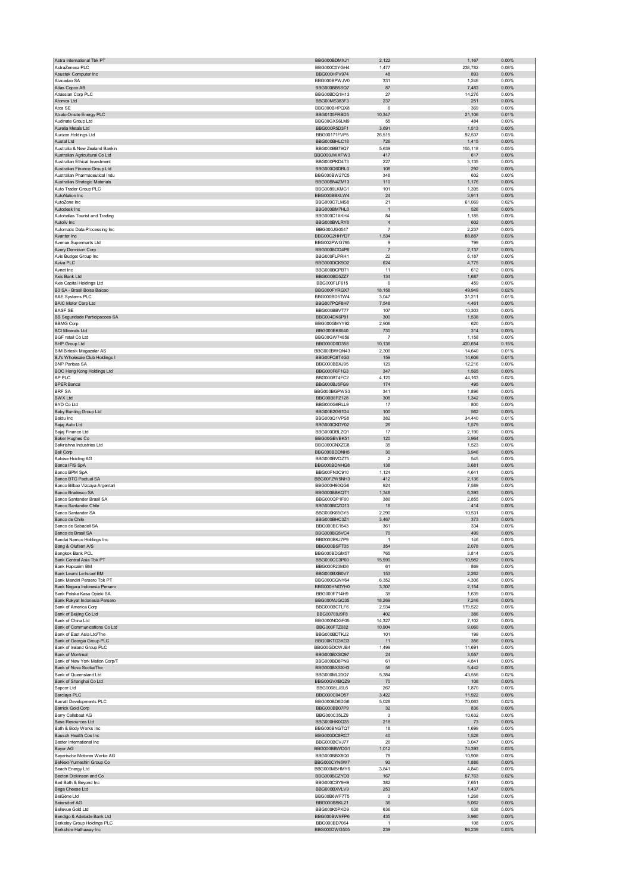|                                                                    | BBG000BDMXJ1                 | 2,122                        | 1,167            | 0.00%          |
|--------------------------------------------------------------------|------------------------------|------------------------------|------------------|----------------|
| AstraZeneca PLC<br>Asustek Computer Inc                            | BBG000C0YGH4<br>BBG000HPV974 | 1,477<br>48                  | 238,782<br>893   | 0.08%<br>0.00% |
| Atacadao SA                                                        | BBG000BPWJV0                 | 331                          | 1,246            | 0.00%          |
| Atlas Copco AB                                                     | BBG000BB5SQ7                 | 87                           | 7,483            | 0.00%          |
| Atlassian Corp PLC                                                 | BBG00BDQ1H13                 | 27                           | 14,276           | 0.00%          |
| Atomos Ltd<br>Atos SE                                              | BBG00MS383F3<br>BBG000BHPQX8 | 237<br>6                     | 251<br>369       | 0.00%<br>0.00% |
| Atrato Onsite Energy PLC                                           | BBG0135FRBD5                 | 10,347                       | 21,106           | 0.01%          |
| Audinate Group Ltd                                                 | BBG00GXS6LM9                 | 55                           | 484              | 0.00%          |
| Aurelia Metals Ltd                                                 | BBG000R5D3F1                 | 3,691                        | 1,513            | 0.00%          |
| Aurizon Holdings Ltd                                               | BBG00171FVP5                 | 26,515                       | 92,537           | 0.03%          |
| Austal Ltd<br>Australia & New Zealand Bankin                       | BBG000BHLC18<br>BBG000BB79Q7 | 726<br>5,639                 | 1,415<br>155,118 | 0.00%<br>0.05% |
| Australian Agricultural Co Ltd                                     | BBG000JWXFW3                 | 417                          | 617              | 0.00%          |
| Australian Ethical Investment                                      | BBG000PKD4T3                 | 227                          | 3,135            | 0.00%          |
| Australian Finance Group Ltd                                       | BBG000Q6DRL0                 | 108                          | 292              | 0.00%          |
| Australian Pharmaceutical Indu                                     | BBG000BW27C5                 | 348                          | 602              | 0.00%          |
| Australian Strategic Materials<br>Auto Trader Group PLC            | BBG00BN4ZM13<br>BBG0086LKMG1 | 110<br>101                   | 1,176<br>1,395   | 0.00%<br>0.00% |
| AutoNation Inc                                                     | BBG000BBXLW4                 | 24                           | 3,911            | 0.00%          |
| AutoZone Inc                                                       | BBG000C7LMS8                 | 21                           | 61,069           | 0.02%          |
| Autodesk Inc                                                       | BBG000BM7HL0                 | $\mathbf{1}$                 | 526              | 0.00%          |
| Autohellas Tourist and Trading                                     | BBG000C1XKH4                 | 84                           | 1,185            | 0.00%          |
| Autoliv Inc                                                        | BBG000BVLRY8<br>BBG000JG0547 | $\sqrt{4}$<br>$\overline{7}$ | 602<br>2,237     | 0.00%<br>0.00% |
| Automatic Data Processing Inc<br>Avantor Inc                       | BBG00G2HHYD7                 | 1,534                        | 88,887           | 0.03%          |
| Avenue Supermarts Ltd                                              | BBG002PWG795                 | 9                            | 799              | 0.00%          |
| Avery Dennison Corp                                                | BBG000BCQ4P6                 | $\overline{7}$               | 2,137            | 0.00%          |
| Avis Budget Group Inc                                              | BBG000FLPRH1                 | 22                           | 6,187            | 0.00%          |
| Aviva PLC<br>Avnet Inc                                             | BBG000DCK9D2<br>BBG000BCPB71 | 624<br>11                    | 4,775<br>612     | 0.00%<br>0.00% |
| Axis Bank Ltd                                                      | BBG000BD5ZZ7                 | 134                          | 1,687            | 0.00%          |
| Axis Capital Holdings Ltd                                          | BBG000FLF615                 | 6                            | 459              | 0.00%          |
| B3 SA - Brasil Bolsa Balcao                                        | BBG000FYRGX7                 | 18,158                       | 49,949           | 0.02%          |
| <b>BAE Systems PLC</b>                                             | BBG000BD5TW4                 | 3,047                        | 31,211           | 0.01%          |
| <b>BAIC Motor Corp Ltd</b>                                         | BBG007PQF8H7<br>BBG000BBVT77 | 7,548                        | 4,461            | 0.00%          |
| <b>BASF SE</b><br>BB Seguridade Participacoes SA                   | BBG004DK6P91                 | 107<br>300                   | 10,303<br>1,538  | 0.00%<br>0.00% |
| <b>BBMG Corp</b>                                                   | BBG000GMYY92                 | 2,906                        | 620              | 0.00%          |
| <b>BCI Minerals Ltd</b>                                            | BBG000BK6540                 | 730                          | 314              | 0.00%          |
| <b>BGF retail Co Ltd</b>                                           | BBG00GW74856                 | 7                            | 1,158            | 0.00%          |
| <b>BHP Group Ltd</b>                                               | BBG000D0D358                 | 10,136                       | 420,654          | 0.15%          |
| <b>BIM Birlesik Magazalar AS</b><br>BJ's Wholesale Club Holdings I | BBG000BWQN43<br>BBG00FQ8T4G3 | 2,306<br>159                 | 14,640<br>14,606 | 0.01%<br>0.01% |
| <b>BNP Paribas SA</b>                                              | BBG000BBXJ95                 | 129                          | 12,216           | 0.00%          |
| BOC Hong Kong Holdings Ltd                                         | BBG000F6F1G3                 | 347                          | 1,565            | 0.00%          |
| BP PLC                                                             | BBG000BT4FC2                 | 4,120                        | 44,163           | 0.02%          |
| <b>BPER Banca</b>                                                  | BBG000BJ5FG9                 | 174                          | 495              | 0.00%          |
| <b>BRF SA</b>                                                      | BBG000BGPWS3                 | 341                          | 1,896            | 0.00%          |
| <b>BWX Ltd</b><br>BYD Co Ltd                                       | BBG00B8PZ128<br>BBG000G6RLL9 | 308<br>17                    | 1,342<br>800     | 0.00%<br>0.00% |
| <b>Baby Bunting Group Ltd</b>                                      | BBG00B2G61D4                 | 100                          | 562              | 0.00%          |
| <b>Baidu Inc</b>                                                   | BBG000Q1VPS8                 | 382                          | 34,440           | 0.01%          |
| Bajaj Auto Ltd                                                     | BBG000CKDY02                 | 26                           | 1,579            | 0.00%          |
| Bajaj Finance Ltd                                                  | BBG000DBLZQ1                 | 17                           | 2,190            | 0.00%          |
| Baker Hughes Co<br>Balkrishna Industries Ltd                       | BBG00GBVBK51<br>BBG000CNXZC8 | 120<br>35                    | 3,964<br>1,523   | 0.00%<br>0.00% |
| <b>Ball Corp</b>                                                   | BBG000BDDNH5                 | 30                           | 3,946            | 0.00%          |
| <b>Baloise Holding AG</b>                                          | BBG000BVQZ75                 | 2                            | 545              | 0.00%          |
| Banca IFIS SpA                                                     | BBG000BDNHG8                 | 138                          | 3,681            | 0.00%          |
| Banco BPM SpA                                                      | BBG00FN3C910                 | 1,124                        | 4,641            | 0.00%          |
| Banco BTG Pactual SA                                               | BBG00FZW5NH3<br>BBG000H90QG6 | 412                          | 2,136            | 0.00%          |
|                                                                    |                              | 924                          | 7,589            | 0.00%          |
| Banco Bilbao Vizcaya Argentari                                     |                              |                              |                  |                |
| Banco Bradesco SA<br>Banco Santander Brasil SA                     | BBG000BBKQT1<br>BBG000QP1F00 | 1,348<br>386                 | 6,393<br>2,855   | 0.00%<br>0.00% |
| <b>Banco Santander Chile</b>                                       | BBG000BCZQ13                 | 18                           | 414              | 0.00%          |
| Banco Santander SA                                                 | BBG000K65GY5                 | 2,290                        | 10,531           | 0.00%          |
| Banco de Chile                                                     | BBG000BHC3Z1                 | 3,467                        | 373              | 0.00%          |
| Banco de Sabadell SA                                               | BBG000BC1543                 | 361                          | 334              | 0.00%          |
| nco do Brasil SA                                                   | RRG000RG5VC                  | 1                            |                  | n nn%          |
| Bandai Namco Holdings Inc<br>Bang & Olufsen A/S                    | BBG000BKJ7P9<br>BBG000BSFT05 | 354                          | 146<br>2,078     | 0.00%<br>0.00% |
| Bangkok Bank PCL                                                   | BBG000BDGM57                 | 765                          | 3,814            | 0.00%          |
| Bank Central Asia Tbk PT                                           | BBG000CC3P00                 | 15,590                       | 10,982           | 0.00%          |
| Bank Hapoalim BM                                                   | BBG000F23M06                 | 61                           | 869              | 0.00%          |
| Bank Leumi Le-Israel BM                                            | BBG000BXB0V7                 | 153                          | 2,262            | 0.00%          |
| Bank Mandiri Persero Tbk PT<br>Bank Negara Indonesia Persero       | BBG000CGNY64<br>BBG000HNGYH0 | 6,352<br>3,307               | 4,306<br>2,154   | 0.00%<br>0.00% |
| Bank Polska Kasa Opieki SA                                         | BBG000F714H9                 | 39                           | 1,639            | 0.00%          |
| Bank Rakyat Indonesia Persero                                      | BBG000MJGQ35                 | 18,269                       | 7,246            | 0.00%          |
| Bank of America Corp                                               | BBG000BCTLF6                 | 2,934                        | 179,522          | 0.06%          |
| Bank of Beijing Co Ltd<br>Bank of China Ltd                        | BBG00709J9F8<br>BBG000NQGF05 | 402<br>14,327                | 386<br>7,102     | 0.00%<br>0.00% |
| Bank of Communications Co Ltd                                      | BBG000FTZ082                 | 10,904                       | 9,060            | 0.00%          |
| Bank of East Asia Ltd/The                                          | BBG000BDTKJ2                 | 101                          | 199              | 0.00%          |
| Bank of Georgia Group PLC                                          | BBG00KTG3KG3                 | 11                           | 356              | 0.00%          |
| Bank of Ireland Group PLC                                          | BBG00GDCWJB4                 | 1,499                        | 11,691           | 0.00%          |
| Bank of Montreal<br>Bank of New York Mellon Corp/T                 | BBG000BXSQ97<br>BBG000BD8PN9 | 24<br>61                     | 3,557<br>4,841   | 0.00%<br>0.00% |
| Bank of Nova Scotia/The                                            | BBG000BXSXH3                 | 56                           | 5,442            | 0.00%          |
| Bank of Queensland Ltd                                             | BBG000ML20Q7                 | 5,384                        | 43,556           | 0.02%          |
| Bank of Shanghai Co Ltd                                            | BBG00GVXBQZ9                 | 70                           | 108              | 0.00%          |
| Bapcor Ltd                                                         | BBG0068LJSL6                 | 267<br>3,422                 | 1,870            | 0.00%<br>0.00% |
| <b>Barclays PLC</b><br>Barratt Developments PLC                    | BBG000C04D57<br>BBG000BD6DG6 | 5,028                        | 11,922<br>70,063 | 0.02%          |
| Barrick Gold Corp                                                  | BBG000BB07P9                 | 32                           | 836              | 0.00%          |
| Barry Callebaut AG                                                 | BBG000C35LZ9                 | 3                            | 10,632           | 0.00%          |
| <b>Base Resources Ltd</b>                                          | BBG000HK0Q35                 | 218                          | 73               | 0.00%          |
| Bath & Body Works Inc                                              | BBG000BNGTQ7                 | 18                           | 1,699            | 0.00%          |
| Bausch Health Cos Inc<br>Baxter International Inc                  | BBG000DC8RC7<br>BBG000BCVJ77 | 40<br>26                     | 1,528<br>3,047   | 0.00%<br>0.00% |
| Bayer AG                                                           | BBG000BBWDG1                 | 1,012                        | 74,393           | 0.03%          |
| Bayerische Motoren Werke AG                                        | BBG000BBX8Q0                 | 79                           | 10,908           | 0.00%          |
| BeNext-Yumeshin Group Co                                           | BBG000CYN6W7                 | 93                           | 1,886            | 0.00%          |
| Beach Energy Ltd                                                   | BBG000MBHMY6                 | 3,841                        | 4,840            | 0.00%          |
| Becton Dickinson and Co                                            | BBG000BCZYD3<br>BBG000CSY9H9 | 167<br>382                   | 57,763           | 0.02%<br>0.00% |
| Bed Bath & Beyond Inc<br>Bega Cheese Ltd                           | BBG000BXVLV9                 | 253                          | 7,651<br>1,437   | 0.00%          |
| <b>BeiGene Ltd</b>                                                 | BBG00B6WF7T5                 | 3                            | 1,268            | 0.00%          |
| <b>Beiersdorf AG</b>                                               | BBG000BBKL21                 | 36                           | 5,062            | 0.00%          |
| Bellevue Gold Ltd                                                  | BBG000K5PKD9                 | 636                          | 538              | 0.00%          |
| Bendigo & Adelaide Bank Ltd<br>Berkeley Group Holdings PLC         | BBG000BW9FP6<br>BBG000BD7064 | 435<br>$\mathbf{1}$          | 3,960<br>108     | 0.00%<br>0.00% |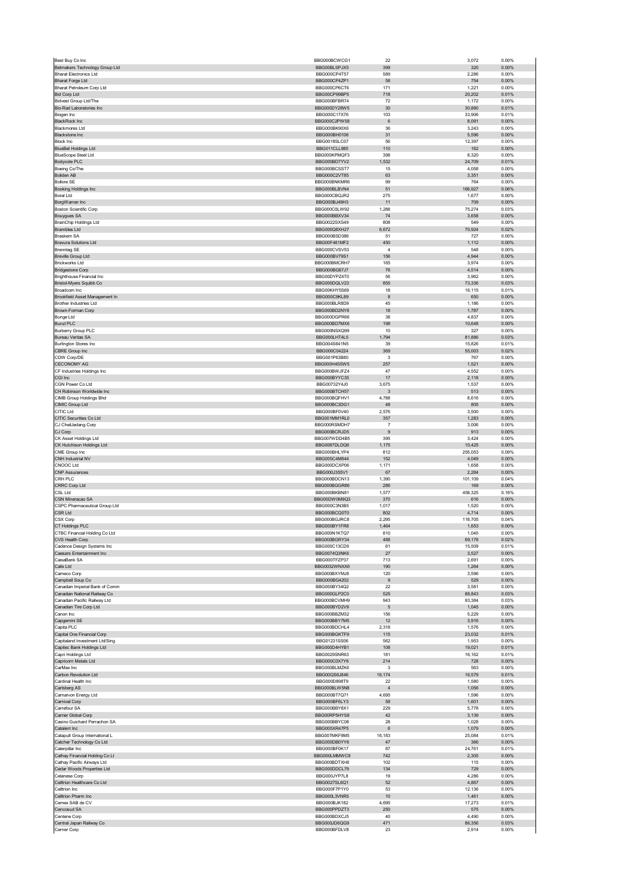| Best Buy Co Inc                                              | BBG000BCWCG1                 | 22                    | 3,072            | 0.00%          |
|--------------------------------------------------------------|------------------------------|-----------------------|------------------|----------------|
| Betmakers Technology Group Ltd                               | BBG00BLSPJX5                 | 399                   | 320              | 0.00%          |
| <b>Bharat Electronics Ltd</b>                                | BBG000CP4T57                 | 589                   | 2,286            | 0.00%          |
| Bharat Forge Ltd                                             | BBG000CP4ZP1                 | 58                    | 754              | 0.00%          |
| Bharat Petroleum Corp Ltd                                    | BBG000CP6CT6<br>BBG00CP99BP5 | 171                   | 1,221            | 0.00%          |
| <b>Bid Corp Ltd</b><br><b>Bidvest Group Ltd/The</b>          | BBG000BFBR74                 | 718<br>72             | 20,202<br>1,172  | 0.01%<br>0.00% |
| Bio-Rad Laboratories Inc                                     | BBG000DY28W5                 | 30                    | 30,880           | 0.01%          |
| Biogen Inc                                                   | BBG000C17X76                 | 103                   | 33,906           | 0.01%          |
| <b>BlackRock Inc</b>                                         | BBG000C2PW58                 | 6                     | 8,091            | 0.00%          |
| <b>Blackmores Ltd</b>                                        | BBG000BK90X6                 | 36                    | 3,243            | 0.00%          |
| <b>Blackstone Inc</b>                                        | BBG000BH0106                 | 31                    | 5,596            | 0.00%          |
| Block Inc                                                    | BBG0018SLC07                 | 56                    | 12,397           | 0.00%          |
| <b>BlueBet Holdings Ltd</b>                                  | BBG011CLL985                 | 110                   | 162              | 0.00%          |
| <b>BlueScope Steel Ltd</b>                                   | BBG000KPMQF3                 | 398                   | 8,320            | 0.00%          |
| Bodycote PLC                                                 | BBG000BD7YV2                 | 1,532                 | 24,709           | 0.01%          |
| Boeing Co/The<br><b>Boliden AB</b>                           | BBG000BCSST7<br>BBG000C2VT85 | 15<br>63              | 4,058<br>3,351   | 0.00%<br>0.00% |
| <b>Bollore SE</b>                                            | BBG000BNKMR6                 | 99                    | 764              | 0.00%          |
| Booking Holdings Inc                                         | BBG000BLBVN4                 | 51                    | 166,927          | 0.06%          |
| <b>Boral Ltd</b>                                             | BBG000CBQJR2                 | 275                   | 1,677            | 0.00%          |
| BorgWarner Inc                                               | BBG000BJ49H3                 | 11                    | 709              | 0.00%          |
| <b>Boston Scientific Corp</b>                                | BBG000C0LW92                 | 1,288                 | 75,274           | 0.03%          |
| Bouygues SA                                                  | BBG000BBXV34                 | 74                    | 3,658            | 0.00%          |
| BrainChip Holdings Ltd                                       | BBG0022SXS49                 | 808                   | 549              | 0.00%          |
| <b>Brambles Ltd</b>                                          | BBG000Q8XH27                 | 6,672                 | 70,924           | 0.02%          |
| Braskem SA                                                   | BBG000BSD386                 | 51                    | 727              | 0.00%          |
| <b>Bravura Solutions Ltd</b>                                 | BBG00F461MF2                 | 450<br>$\overline{4}$ | 1,112            | 0.00%          |
| <b>Brenntag SE</b>                                           | BBG000CVSV53<br>BBG000BV79S1 | 156                   | 548<br>4,944     | 0.00%<br>0.00% |
| <b>Breville Group Ltd</b><br><b>Brickworks Ltd</b>           | BBG000BMCRH7                 | 165                   | 3,974            | 0.00%          |
| <b>Bridgestone Corp</b>                                      | BBG000BG87J7                 | 76                    | 4,514            | 0.00%          |
| Brighthouse Financial Inc                                    | BBG00DYPZ4T0                 | 56                    | 3,962            | 0.00%          |
| Bristol-Myers Squibb Co                                      | BBG000DQLV23                 | 855                   | 73,336           | 0.03%          |
| Broadcom Inc                                                 | BBG00KHY5S69                 | 18                    | 16,115           | 0.01%          |
| Brookfield Asset Management In                               | BBG000C9KL89                 | 8                     | 650              | 0.00%          |
| Brother Industries Ltd                                       | BBG000BLR8D9                 | 45                    | 1,186            | 0.00%          |
| Brown-Forman Corp                                            | BBG000BD2NY8                 | 18                    | 1,787            | 0.00%          |
| <b>Bunge Ltd</b>                                             | BBG000DGPR66                 | 38                    | 4,837            | 0.00%          |
| <b>Bunzl PLC</b>                                             | BBG000BD7MX6                 | 198                   | 10,648           | 0.00%          |
| <b>Burberry Group PLC</b>                                    | BBG000NSXQ99                 | 10                    | 327              | 0.00%          |
| <b>Bureau Veritas SA</b>                                     | BBG000LHT4L5                 | 1,794                 | 81,886           | 0.03%          |
| <b>Burlington Stores Inc.</b><br>CBRE Group Inc              | BBG004S641N5<br>BBG000C04224 | 39<br>369             | 15,826<br>55,003 | 0.01%<br>0.02% |
| CDW Corp/DE                                                  | BBG001P63B80                 | 3                     | 767              | 0.00%          |
| <b>CECONOMY AG</b>                                           | BBG000H4S5W5                 | 257                   | 1,521            | 0.00%          |
| CF Industries Holdings Inc                                   | BBG000BWJFZ4                 | 47                    | 4,552            | 0.00%          |
| CGI Inc                                                      | BBG000BYYC35                 | 17                    | 2,118            | 0.00%          |
| CGN Power Co Ltd                                             | BBG00732Y4J0                 | 3,675                 | 1,537            | 0.00%          |
| CH Robinson Worldwide Inc                                    | BBG000BTCH57                 | 3                     | 513              | 0.00%          |
| CIMB Group Holdings Bhd                                      | BBG000BQFHV1                 | 4,788                 | 8,616            | 0.00%          |
| CIMIC Group Ltd                                              | BBG000BC3DG1                 | 48                    | 805              | 0.00%          |
| CITIC Ltd                                                    | BBG000BF0V40                 | 2,576                 | 3,500            | 0.00%          |
| CITIC Securities Co Ltd                                      | BBG001MM1RL0                 | 357                   | 1,283            | 0.00%          |
| CJ CheilJedang Corp                                          | BBG000RSMDH7                 | $\overline{7}$        | 3,006            | 0.00%          |
| CJ Corp<br>CK Asset Holdings Ltd                             | BBG000BCRJD5<br>BBG007WDD4B5 | 9<br>395              | 913<br>3,424     | 0.00%<br>0.00% |
| CK Hutchison Holdings Ltd                                    | BBG0087DLDQ6                 | 1,175                 | 10,425           | 0.00%          |
| CME Group Inc                                                | BBG000BHLYP4                 |                       | 255,053          | 0.09%          |
|                                                              |                              |                       |                  |                |
|                                                              |                              | 812                   |                  |                |
| CNH Industrial NV<br>CNOOC Ltd                               | BBG005C4M644                 | 152                   | 4,049            | 0.00%<br>0.00% |
| <b>CNP Assurances</b>                                        | BBG000DCXP06<br>BBG000J355V1 | 1,171<br>67           | 1,658<br>2,284   | 0.00%          |
| CRH PLC                                                      | BBG000BDCN13                 | 1,390                 | 101,109          | 0.04%          |
| CRRC Corp Ltd                                                | BBG000BGGR86                 | 286                   | 169              | 0.00%          |
| CSL Ltd                                                      | BBG000BKBN81                 | 1,577                 | 458,325          | 0.16%          |
| CSN Mineracao SA                                             | BBG00DW0M9Q3                 | 370                   | 616              | 0.00%          |
| CSPC Pharmaceutical Group Ltd                                | BBG000C3N3B5                 | 1,017                 | 1,520            | 0.00%          |
| CSR Ltd                                                      | BBG000BCQ0T0                 | 802                   | 4,714            | 0.00%          |
| CSX Corp                                                     | BBG000BGJRC8                 | 2,295                 | 118,705          | 0.04%          |
| CT Holdings PLC                                              | BBG000BY1FR8                 | 1,464                 | 1,653            | 0.00%          |
| TBC Financial Holding Co Ltd                                 | BBG000N1KTQ                  | 810                   | 1,045            | 0.00%          |
| CVS Health Corp<br>Cadence Design Systems Inc                | BBG000BGRY34<br>BBG000C13CD9 | 488<br>61             | 69,178           | 0.02%<br>0.01% |
|                                                              | BBG0074Q3NK6                 | 27                    | 15,509           | 0.00%          |
| Caesars Entertainment Inc<br>CaixaBank SA                    | BBG000TFZP37                 | 713                   | 3,527<br>2,691   | 0.00%          |
| Calix Ltd                                                    | BBG0032WNXX6                 | 190                   | 1,264            | 0.00%          |
| Cameco Corp                                                  | BBG000BXYM.I8                | 120                   | 3,596            | 0.00%          |
| Campbell Soup Co                                             | BBG000BG4202                 | 9                     | 529              | 0.00%          |
| Canadian Imperial Bank of Comm                               | BBG000BY34Q2                 | 22                    | 3,581            | 0.00%          |
| Canadian National Railway Co                                 | BBG000GLP2C0                 | 525                   | 88,843           | 0.03%          |
| Canadian Pacific Railway Ltd                                 | BBG000BCVMH9                 | 943                   | 93,384           | 0.03%          |
| Canadian Tire Corp Ltd                                       | BBG000BYD2V9                 | 5                     | 1,045            | 0.00%          |
| Canon Inc<br>Capgemini SE                                    | BBG000BBZM32<br>BBG000BBY7M5 | 156<br>12             | 5,229<br>3,916   | 0.00%<br>0.00% |
| Capita PLC                                                   | BBG000BDCHL4                 | 2,318                 | 1,576            | 0.00%          |
| Capital One Financial Corp                                   | BBG000BGKTF9                 | 115                   | 23,032           | 0.01%          |
| Capitaland Investment Ltd/Sing                               | BBG01231SS06                 | 562                   | 1,953            | 0.00%          |
| Capitec Bank Holdings Ltd                                    | BBG000D4HYB1                 | 108                   | 19,021           | 0.01%          |
| Capri Holdings Ltd                                           | BBG0029SNR63                 | 181                   | 16,162           | 0.01%          |
| Capricorn Metals Ltd                                         | BBG000C0X7Y6                 | 214                   | 728              | 0.00%          |
| CarMax Inc                                                   | BBG000BLMZK6                 | 3                     | 563              | 0.00%          |
| Carbon Revolution Ltd<br>Cardinal Health Inc                 | BBG00QS6J846<br>BBG000D898T9 | 16,174<br>22          | 16,579<br>1,580  | 0.01%<br>0.00% |
| Carlsberg AS                                                 | BBG000BLW5N8                 | $\sqrt{4}$            | 1,056            | 0.00%          |
| Carnarvon Energy Ltd                                         | BBG000BT7Q71                 | 4,695                 | 1,596            | 0.00%          |
| Carnival Corp                                                | BBG000BF6LY3                 | 58                    | 1,601            | 0.00%          |
| Carrefour SA                                                 | BBG000BBY8X1                 | 229                   | 5,778            | 0.00%          |
| Carrier Global Corp                                          | BBG00RP5HYS8                 | 42                    | 3,139            | 0.00%          |
| Casino Guichard Perrachon SA                                 | BBG000BBYC08                 | 28                    | 1,028            | 0.00%          |
| Catalent Inc                                                 | BBG005XR47P5                 | 6                     | 1,079            | 0.00%          |
| Catapult Group International L                               | BBG007MKF9M5                 | 16,183                | 25,084           | 0.01%          |
| Catcher Technology Co Ltd                                    | BBG000DB0YY8                 | 47                    | 366              | 0.00%          |
| Caterpillar Inc                                              | BBG000BF0K17                 | 87                    | 24,761           | 0.01%          |
| Cathay Financial Holding Co Lt<br>Cathay Pacific Airways Ltd | BBG000LMMWC9<br>BBG000BDTXH6 | 742<br>102            | 2,305<br>115     | 0.00%<br>0.00% |
| Cedar Woods Properties Ltd                                   | BBG000DDCL79                 | 134                   | 729              | 0.00%          |
| Celanese Corp                                                | BBG000JYP7L8                 | 19                    | 4,286            | 0.00%          |
| Celltrion Healthcare Co Ltd                                  | BBG0027SL6Q1                 | 52                    | 4,867            | 0.00%          |
| Celltrion Inc                                                | BBG000F7P1Y0                 | 53                    | 12,136           | 0.00%          |
| Celltrion Pharm Inc                                          | BBG000L3VNR5                 | 10                    | 1,461            | 0.00%          |
| Cemex SAB de CV                                              | BBG000BJK182                 | 4,695                 | 17,273           | 0.01%          |
| Cencosud SA                                                  | BBG000PPDZT3                 | 250                   | 575              | 0.00%          |
| Centene Corp                                                 | BBG000BDXCJ5                 | 40                    | 4,490            | 0.00%          |
| Central Japan Railway Co<br>Cerner Corp                      | BBG000JD6QG9<br>BBG000BFDLV8 | 471<br>23             | 86,356<br>2,914  | 0.03%<br>0.00% |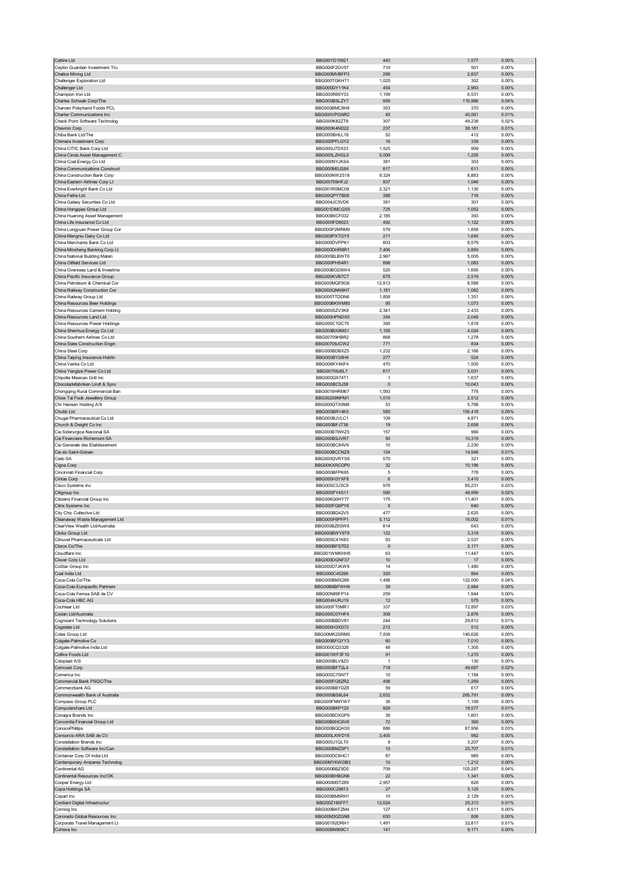| Cettire Ltd                                                      | BBG00YD15921                 | 443                    | 1,577            | 0.00%             |
|------------------------------------------------------------------|------------------------------|------------------------|------------------|-------------------|
| Ceylon Guardian Investment Tru<br>Chalice Mining Ltd             | BBG000F2GV57                 | 710<br>296             | 501<br>2,837     | 0.00%<br>$0.00\%$ |
| Challenger Exploration Ltd                                       | BBG000MVBFP3<br>BBG000TGKHT1 | 1,025                  | 302              | 0.00%             |
| Challenger Ltd                                                   | BBG000DY11K4                 | 454                    | 2,963            | 0.00%             |
| Champion Iron Ltd                                                | BBG000R65Y33                 | 1,199                  | 6,531            | 0.00%             |
| Charles Schwab Corp/The<br>Charoen Pokphand Foods PCL            | BBG000BSLZY7<br>BBG000BMC8H9 | 959<br>353             | 110,986<br>370   | 0.04%<br>0.00%    |
| Charter Communications Inc                                       | BBG000VPGNR2                 | 45                     | 40,561           | 0.01%             |
| Check Point Software Technolog                                   | BBG000K82ZT8                 | 307                    | 49,238           | 0.02%             |
| Chevron Corp                                                     | BBG000K4ND22                 | 237                    | 38,181           | 0.01%             |
| Chiba Bank Ltd/The                                               | BBG000BHLL18                 | 52                     | 412              | 0.00%             |
| Chimera Investment Corp<br>China CITIC Bank Corp Ltd             | BBG000PFLGY2<br>BBG000J7DX33 | 16<br>1,525            | 339<br>909       | 0.00%<br>0.00%    |
| China Cinda Asset Management C                                   | BBG005LZHGL0                 | 5,009                  | 1,255            | $0.00\%$          |
| China Coal Energy Co Ltd                                         | BBG000NYJKS4                 | 381                    | 303              | 0.00%             |
| China Communications Construct                                   | BBG000M0JS84                 | 817                    | 611              | 0.00%             |
| China Construction Bank Corp<br>China Eastern Airlines Corp Lt   | BBG000NW2S18<br>BBG00709HFJ2 | 9,324<br>937           | 8,883<br>1,046   | 0.00%<br>$0.00\%$ |
| China Everbright Bank Co Ltd                                     | BBG001R0MC06                 | 2,321                  | 1,130            | 0.00%             |
| China Feihe Ltd                                                  | BBG00QPY7B08                 | 388                    | 716              | 0.00%             |
| China Galaxy Securities Co Ltd                                   | BBG004JC5VD6                 | 381                    | 301              | 0.00%             |
| China Hongqiao Group Ltd<br>China Huarong Asset Management       | BBG001DMCGS5<br>BBG00B6CF032 | 725<br>2,185           | 1,052<br>393     | 0.00%<br>0.00%    |
| China Life Insurance Co Ltd                                      | BBG000FD8023                 | 492                    | 1,122            | 0.00%             |
| China Longyuan Power Group Cor                                   | BBG000P2MRM9                 | 579                    | 1,858            | 0.00%             |
| China Mengniu Dairy Co Ltd                                       | BBG000PXTGY5                 | 211                    | 1,645            | 0.00%             |
| China Merchants Bank Co Ltd                                      | BBG000DVPPK1                 | 803                    | 8,579            | 0.00%             |
| China Minsheng Banking Corp Lt<br>China National Building Materi | BBG000DHR8R1<br>BBG000BLBWT6 | 7,406<br>2,967         | 3,893<br>5,005   | 0.00%<br>0.00%    |
| China Oilfield Services Ltd                                      | BBG000PH54R1                 | 898                    | 1,083            | 0.00%             |
| China Overseas Land & Investme                                   | BBG000BGD8W4                 | 520                    | 1,695            | 0.00%             |
| China Pacific Insurance Group                                    | BBG000KVB7C7                 | 675                    | 2,519            | 0.00%             |
| China Petroleum & Chemical Cor                                   | BBG000MQF8G6<br>BBG000QNN9H7 | 12,913                 | 8,588            | 0.00%             |
| China Railway Construction Cor<br>China Railway Group Ltd        | BBG000TTDDN6                 | 1,181<br>1,858         | 1,062<br>1,351   | 0.00%<br>0.00%    |
| China Resources Beer Holdings                                    | BBG000BKWM80                 | 95                     | 1,073            | 0.00%             |
| China Resources Cement Holding                                   | BBG000SZV3K8                 | 2,341                  | 2,433            | 0.00%             |
| China Resources Land Ltd                                         | BBG000HPNDX5                 | 354                    | 2,048            | 0.00%             |
| China Resources Power Holdings                                   | BBG000C1DC75                 | 395                    | 1,818            | 0.00%             |
| China Shenhua Energy Co Ltd<br>China Southern Airlines Co Ltd    | BBG000BX4MS1<br>BBG00709HBR2 | 1,155<br>868           | 4,024<br>1,278   | 0.00%<br>0.00%    |
| China State Construction Engin                                   | BBG00709JCW2                 | 771                    | 834              | 0.00%             |
| China Steel Corp                                                 | BBG000BDBXZ5                 | 1,232                  | 2,166            | 0.00%             |
| China Taiping Insurance Holdin                                   | BBG000BY28H4                 | 277                    | 524              | 0.00%             |
| China Vanke Co Ltd                                               | BBG006KY4KF4                 | 470                    | 1,505            | 0.00%             |
| China Yangtze Power Co Ltd<br>Chipotle Mexican Grill Inc         | BBG00709J6L7<br>BBG000QX74T1 | 617<br>$\overline{1}$  | 3,031<br>1,637   | 0.00%<br>0.00%    |
| Chocoladefabriken Lindt & Spru                                   | BBG000BC5J58                 | $\pmb{0}$              | 10,043           | 0.00%             |
| Chongqing Rural Commercial Ban                                   | BBG0018HRM67                 | 1,593                  | 778              | 0.00%             |
| Chow Tai Fook Jewellery Group                                    | BBG00299NPM1                 | 1,015                  | 2,512            | 0.00%             |
| Chr Hansen Holding A/S                                           | BBG000QTX0M6                 | 53                     | 5,798            | 0.00%             |
| Chubb Ltd<br>Chugai Pharmaceutical Co Ltd                        | BBG000BR14K5<br>BBG000BJVLC1 | 585<br>109             | 155,418<br>4,871 | 0.05%<br>0.00%    |
| Church & Dwight Co Inc                                           | BBG000BFJT36                 | 19                     | 2,658            | 0.00%             |
| Cia Siderurgica Nacional SA                                      | BBG000BT9WZ5                 | 157                    | 966              | 0.00%             |
| Cie Financiere Richemont SA                                      | BBG000BSJVR7                 | 50                     | 10,319           | 0.00%             |
|                                                                  |                              |                        |                  |                   |
| Cie Generale des Etablissement                                   | BBG000BC84V9                 | 10                     | 2.230            | 0.00%             |
| Cie de Saint-Gobain                                              | BBG000BCCNZ8                 | 154                    | 14,948           | 0.01%             |
| Cielo SA                                                         | BBG000QVRYS8                 | 570                    | 321              | 0.00%             |
| Cigna Corp<br>Cincinnati Financial Corp                          | BBG00KXRCDP0<br>BBG000BFPK65 | 32<br>5                | 10,196<br>778    | $0.00\%$<br>0.00% |
| Cintas Corp                                                      | BBG000H3YXF8                 | 6                      | 3,410            | 0.00%             |
| Cisco Systems Inc                                                | BBG000C3J3C9                 | 978                    | 85,231           | 0.03%             |
| Citigroup Inc                                                    | BBG000FY4S11                 | 590                    | 48,999           | 0.02%             |
| Citizens Financial Group Inc                                     | BBG006Q0HY77<br>BBG000FQ6PY6 | 175<br>5               | 11,401           | 0.00%             |
| Citrix Systems Inc<br>City Chic Collective Ltd                   | BBG000BD42V5                 | 477                    | 640<br>2,625     | 0.00%<br>0.00%    |
| Cleanaway Waste Management Ltd                                   | BBG000F6PFP1                 | 5,112                  | 16,002           | 0.01%             |
| ClearView Wealth Ltd/Australia                                   | BBG000BZ6SW6                 | 814                    | 643              | 0.00%             |
| licke Croun Ltd                                                  | RRG000BWY9T8                 | 122                    | 318              | n nn%             |
| Clinuvel Pharmaceuticals Ltd<br>Clorox Co/The                    | BBG000C41K83<br>BBG000BFS7D3 | 93<br>$\boldsymbol{9}$ | 2,537<br>2,171   | 0.00%<br>0.00%    |
| Cloudflare Inc                                                   | BBG001WMKHH5                 | 63                     | 11,447           | 0.00%             |
| Clover Corp Ltd                                                  | BBG000DGNF37                 | 10                     | 17               | $0.00\%$          |
| CoStar Group Inc                                                 | BBG000D7JKW9                 | 14                     | 1,480            | 0.00%             |
| Coal India Ltd<br>Coca-Cola Co/The                               | BBG000C45298<br>BBG000BMX289 | 320<br>1,498           | 864<br>122,000   | 0.00%<br>0.04%    |
| Coca-Cola Europacific Partners                                   | BBG00B6BFWH9                 | 39                     | 2,984            | 0.00%             |
| Coca-Cola Femsa SAB de CV                                        | BBG00N86FP14                 | 259                    | 1,944            | 0.00%             |
| Coca-Cola HBC AG                                                 | BBG004HJRJ19                 | 12                     | 575              | $0.00\%$          |
| Cochlear Ltd                                                     | BBG000FT0MR1<br>BBG000C0YHF4 | 337                    | 72,897           | 0.03%             |
| Codan Ltd/Australia<br>Cognizant Technology Solutions            | BBG000BBDV81                 | 308<br>244             | 2,876<br>29,812  | 0.00%<br>0.01%    |
| Cogstate Ltd                                                     | BBG000H3XD72                 | 212                    | 512              | 0.00%             |
| Coles Group Ltd                                                  | BBG00MK2SRM0                 | 7,839                  | 140,626          | 0.05%             |
| Colgate-Palmolive Co                                             | BBG000BFOYY3                 | 60                     | 7,010            | $0.00\%$          |
| Colgate-Palmolive India Ltd<br>Collins Foods Ltd                 | BBG000CQ3326<br>BBG001WF3F10 | 48<br>91               | 1,305<br>1,215   | 0.00%<br>0.00%    |
| Coloplast A/S                                                    | BBG000BLV8Z0                 | $\overline{1}$         | 130              | 0.00%             |
| Comcast Corp                                                     | BBG000BFT2L4                 | 718                    | 49,687           | 0.02%             |
| Comerica Inc                                                     | BBG000C75N77                 | 10                     | 1,184            | 0.00%             |
| Commercial Bank PSQC/The<br>Commerzbank AG                       | BBG000FG8ZR2                 | 498                    | 1,269            | 0.00%             |
| Commonwealth Bank of Australia                                   | BBG000BBYDZ8<br>BBG000BS8L64 | 59<br>2,632            | 617<br>265,791   | 0.00%<br>0.09%    |
| Compass Group PLC                                                | BBG000FNNYW7                 | 36                     | 1,109            | 0.00%             |
| Computershare Ltd                                                | BBG000BKP120                 | 929                    | 18,577           | 0.01%             |
| Conagra Brands Inc                                               | BBG000BDXGP9                 | 38                     | 1,801            | 0.00%             |
| Concordia Financial Group Ltd                                    | BBG00B0HC6V6                 | 72<br>886              | 360              | 0.00%             |
| ConocoPhillips<br>Consorcio ARA SAB de CV                        | BBG000BQQH30<br>BBG000LXWD18 | 3,405                  | 87,956<br>982    | 0.03%<br>0.00%    |
| Constellation Brands Inc                                         | BBG000J1QLT0                 | 9                      | 3,207            | 0.00%             |
| Constellation Software Inc/Can                                   | BBG000BMZ5P1                 | $10$                   | 25,707           | 0.01%             |
| Container Corp Of India Ltd                                      | BBG000DC6HC1                 | 87                     | 985              | 0.00%             |
| Contemporary Amperex Technolog                                   | BBG00MYKWDB3                 | 10                     | 1,212            | 0.00%             |
| Continental AG<br>Continental Resources Inc/OK                   | BBG000BBZ9D0<br>BBG000BHBGN6 | 709<br>22              | 103,287<br>1,341 | 0.04%<br>0.00%    |
| Cooper Energy Ltd                                                | BBG000M5T289                 | 2,957                  | 828              | 0.00%             |
| Copa Holdings SA                                                 | BBG000C29813                 | 27                     | 3,125            | 0.00%             |
| Copart Inc                                                       | BBG000BM9RH1                 | 10                     | 2,129            | 0.00%             |
| Cordiant Digital Infrastructur                                   | BBG00Z160FF7                 | 12,024                 | 25,313           | 0.01%             |
| Corning Inc<br>Coronado Global Resources Inc                     | BBG000BKFZM4<br>BBG00M30ZGN8 | 127<br>650             | 6,511<br>806     | 0.00%<br>0.00%    |
| Corporate Travel Management Lt<br>Corteva Inc                    | BBG00192DRH1<br>BBG00BN969C1 | 1,491<br>141           | 32,817<br>9,171  | 0.01%<br>$0.00\%$ |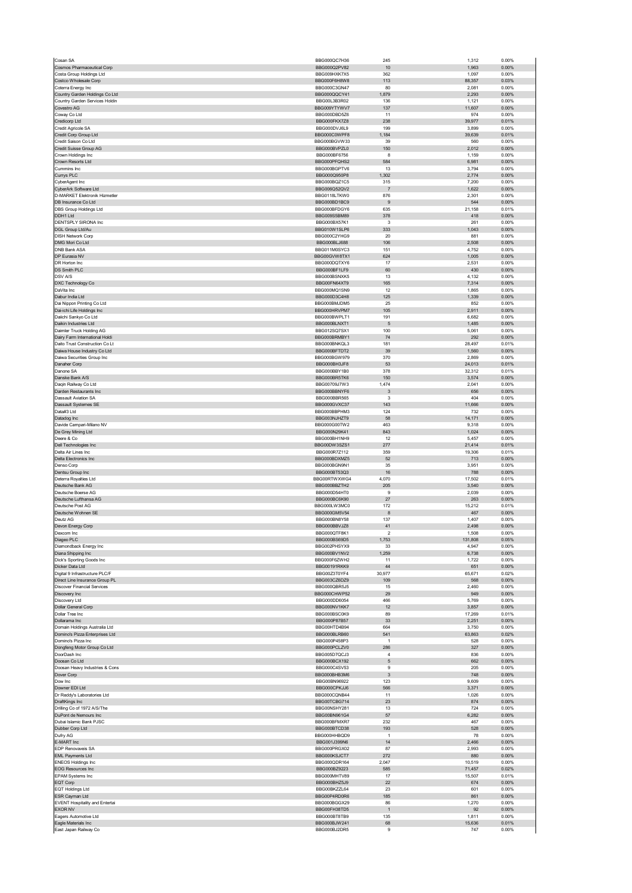| Cosan SA                                                  | BBG000QC7H36                 | 245                   | 1,312           | 0.00%             |
|-----------------------------------------------------------|------------------------------|-----------------------|-----------------|-------------------|
| Cosmos Pharmaceutical Corp                                | BBG000Q2PV82                 | 10                    | 1,963           | 0.00%             |
| Costa Group Holdings Ltd<br>Costco Wholesale Corp         | BBG009HXK7X5<br>BBG000F6H8W8 | 362<br>113            | 1,097<br>88,357 | 0.00%<br>0.03%    |
| Coterra Energy Inc                                        | BBG000C3GN47                 | 80                    | 2,081           | 0.00%             |
| Country Garden Holdings Co Ltd                            | BBG000QQCY41                 | 1,879                 | 2,293           | 0.00%             |
| Country Garden Services Holdin                            | BBG00L3B3R02                 | 136                   | 1,121           | 0.00%             |
| Covestro AG<br>Coway Co Ltd                               | BBG009YTYWV7<br>BBG000DBD5Z6 | 137<br>11             | 11,607<br>974   | 0.00%<br>0.00%    |
| Credicorp Ltd                                             | BBG000FKX7Z8                 | 238                   | 39,977          | 0.01%             |
| Credit Agricole SA                                        | BBG000DVJ6L9                 | 199                   | 3,899           | 0.00%             |
| Credit Corp Group Ltd                                     | BBG000C0WPF8                 | 1,184                 | 39,639          | 0.01%             |
| Credit Saison Co Ltd<br>Credit Suisse Group AG            | BBG000BGVW33<br>BBG000BVPZL0 | 39<br>150             | 560<br>2,012    | 0.00%<br>0.00%    |
| Crown Holdings Inc                                        | BBG000BF6756                 | 8                     | 1,159           | 0.00%             |
| Crown Resorts Ltd                                         | BBG000PFQHS2                 | 584                   | 6,981           | 0.00%             |
| Cummins Inc                                               | BBG000BGPTV6                 | 13                    | 3,794           | 0.00%             |
| Currys PLC<br>CyberAgent Inc                              | BBG000Q950P8<br>BBG000BQZ1C5 | 1,302<br>315          | 2,774<br>7,200  | $0.00\%$<br>0.00% |
| CyberArk Software Ltd                                     | BBG006Q52QV2                 | $\overline{7}$        | 1,622           | 0.00%             |
| D-MARKET Elektronik Hizmetler                             | BBG0118LTKW0                 | 876                   | 2,301           | 0.00%             |
| DB Insurance Co Ltd                                       | BBG000BD1BC9                 | 9                     | 544             | 0.00%             |
| DBS Group Holdings Ltd<br>DDH1 Ltd                        | BBG000BFDGY6<br>BBG009S5BM89 | 635<br>378            | 21,158<br>418   | 0.01%<br>0.00%    |
| DENTSPLY SIRONA Inc                                       | BBG000BX57K1                 | 3                     | 261             | 0.00%             |
| DGL Group Ltd/Au                                          | BBG010W1SLP6                 | 333                   | 1,043           | 0.00%             |
| <b>DISH Network Corp</b>                                  | BBG000C2YHG9                 | 20                    | 881             | 0.00%             |
| DMG Mori Co Ltd<br><b>DNB Bank ASA</b>                    | BBG000BLJ688<br>BBG011M0SYC3 | 106<br>151            | 2,508<br>4,752  | 0.00%<br>0.00%    |
| DP Eurasia NV                                             | BBG00GVW8TX1                 | 624                   | 1,005           | $0.00\%$          |
| DR Horton Inc                                             | BBG000DOTXY6                 | 17                    | 2,531           | 0.00%             |
| DS Smith PLC                                              | BBG000BF1LF9                 | 60                    | 430             | 0.00%             |
| DSV A/S                                                   | BBG000BSNXK5                 | 13                    | 4,132           | 0.00%             |
| DXC Technology Co<br>DaVita Inc                           | BBG00FN64XT9<br>BBG000MQ1SN9 | 165<br>12             | 7,314<br>1,865  | $0.00\%$<br>0.00% |
| Dabur India Ltd                                           | BBG000D3C4H8                 | 125                   | 1,339           | $0.00\%$          |
| Dai Nippon Printing Co Ltd                                | BBG000BMJDM5                 | 25                    | 852             | 0.00%             |
| Dai-ichi Life Holdings Inc                                | BBG000HRVPM7<br>BBG000BWPLT1 | 105                   | 2,911           | 0.00%             |
| Daiichi Sankyo Co Ltd<br>Daikin Industries Ltd            | BBG000BLNXT1                 | 191<br>5              | 6,682<br>1,485  | 0.00%<br>0.00%    |
| Daimler Truck Holding AG                                  | BBG012SQ7SX1                 | 100                   | 5,061           | 0.00%             |
| Dairy Farm International Holdi                            | BBG000BRMBY1                 | 74                    | 292             | 0.00%             |
| Daito Trust Construction Co Lt                            | BBG000BNKQL3                 | 181                   | 28,497          | 0.01%             |
| Daiwa House Industry Co Ltd<br>Daiwa Securities Group Inc | BBG000BFTDT2<br>BBG000BGW979 | 39<br>370             | 1,560<br>2,869  | 0.00%<br>0.00%    |
| Danaher Corp                                              | BBG000BH3JF8                 | 53                    | 24,013          | 0.01%             |
| Danone SA                                                 | BBG000BBY1B0                 | 378                   | 32,312          | 0.01%             |
| Danske Bank A/S                                           | BBG000BR5TK6                 | 150                   | 3,574           | 0.00%             |
| Daqin Railway Co Ltd                                      | BBG00709J7W3                 | 1,474                 | 2,041           | 0.00%             |
| Darden Restaurants Inc<br><b>Dassault Aviation SA</b>     | BBG000BBNYF6<br>BBG000BBR565 | 3<br>3                | 656<br>404      | $0.00\%$<br>0.00% |
| Dassault Systemes SE                                      | BBG000GVXC37                 | 143                   | 11,666          | 0.00%             |
| Data#3 Ltd                                                | BBG000BBPHM3                 | 124                   | 732             | 0.00%             |
| Datadog Inc                                               | BBG003NJHZT9                 | 58                    | 14,171          | 0.00%             |
| Davide Campari-Milano NV                                  | BBG000G00TW2<br>BBG000N29K41 | 463<br>843            | 9,318           | 0.00%<br>0.00%    |
| De Grey Mining Ltd<br>Deere & Co                          | BBG000BH1NH9                 | 12                    | 1,024<br>5,457  | 0.00%             |
| Dell Technologies Inc                                     | BBG00DW3SZS1                 | 277                   | 21,414          | 0.01%             |
| Delta Air Lines Inc                                       | BBG000R7Z112                 | 359                   | 19,306          | 0.01%             |
| Delta Electronics Inc                                     | BBG000BDXMZ5                 | 52                    | 713             | 0.00%             |
| Denso Corp                                                | BBG000BGN9N1                 | 35                    | 3,951           | 0.00%             |
| Dentsu Group Inc<br>Deterra Royalties Ltd                 | BBG000BT53Q3<br>BBG00RTWXWG4 | 16<br>4,070           | 788<br>17,502   | 0.00%<br>0.01%    |
|                                                           |                              |                       | 3,540           | 0.00%             |
| Deutsche Bank AG                                          | BBG000BBZTH2                 | 205                   |                 |                   |
| Deutsche Boerse AG                                        | BBG000D54HT0                 | 9                     | 2,039           | 0.00%             |
| Deutsche Lufthansa AG                                     | BBG000BC6K90                 | 27                    | 263             | 0.00%             |
| Deutsche Post AG                                          | BBG000LW3MC0                 | 172                   | 15,212          | 0.01%             |
| Deutsche Wohnen SE                                        | BBG000GM5V54                 | 8                     | 467             | 0.00%             |
| Deutz AG<br>Devon Energy Corp                             | BBG000BN8Y58<br>BBG000BBVJZ8 | 137<br>41             | 1,407<br>2,498  | 0.00%<br>0.00%    |
| Jexcom inc                                                | RRG000G1F9K1                 |                       | 80c, r          | U.UU%             |
| Diageo PLC                                                | BBG000BS69D5                 | 1,753                 | 131,808         | 0.05%             |
| Diamondback Energy Inc                                    | BBG002PHSYX9                 | 33                    | 4,947           | 0.00%             |
| Diana Shipping Inc                                        | BBG000BV1NV2                 | 1,259                 | 6,738           | $0.00\%$          |
| Dick's Sporting Goods Inc<br>Dicker Data Ltd              | BBG000F6ZWH2<br>BBG00191RKK9 | 11<br>44              | 1,722<br>651    | 0.00%<br>0.00%    |
| Digital 9 Infrastructure PLC/F                            | BBG00Z3T0YF4                 | 30,977                | 65,671          | 0.02%             |
| Direct Line Insurance Group PL                            | BBG003CZ6DZ9                 | 109                   | 568             | 0.00%             |
| <b>Discover Financial Services</b>                        | BBG000QBR5J5<br>BBG000CHWP52 | 15<br>29              | 2,460<br>949    | 0.00%<br>$0.00\%$ |
| Discovery Inc<br>Discovery Ltd                            | BBG000DD6054                 | 466                   | 5,769           | 0.00%             |
| Dollar General Corp                                       | BBG000NV1KK7                 | 12                    | 3,857           | 0.00%             |
| Dollar Tree Inc                                           | BBG000BSC0K9                 | 89                    | 17,269          | 0.01%             |
| Dollarama Inc<br>Domain Holdings Australia Ltd            | BBG000P87B57<br>BBG00HTD4B94 | 33<br>664             | 2,251<br>3,750  | $0.00\%$<br>0.00% |
| Domino's Pizza Enterprises Ltd                            | BBG000BLRB60                 | 541                   | 63,863          | 0.02%             |
| Domino's Pizza Inc                                        | BBG000P458P3                 | $\mathbf{1}$          | 528             | 0.00%             |
| Dongfeng Motor Group Co Ltd                               | BBG000PCLZV0                 | 286                   | 327             | 0.00%             |
| DoorDash Inc                                              | BBG005D7QCJ3                 | $\sqrt{4}$            | 836             | 0.00%             |
| Doosan Co Ltd<br>Doosan Heavy Industries & Cons           | BBG000BCX192<br>BBG000C4SV53 | 5<br>9                | 662<br>205      | $0.00\%$<br>0.00% |
| Dover Corp                                                | BBG000BHB3M6                 | $\mathbf{3}$          | 748             | $0.00\%$          |
| Dow Inc                                                   | BBG00BN96922                 | 123                   | 9,609           | 0.00%             |
| Downer EDI Ltd                                            | BBG000CPKJJ6                 | 566                   | 3,371           | 0.00%             |
| Dr Reddy's Laboratories Ltd<br>DraftKings Inc             | BBG000CQNB44<br>BBG00TCBG714 | 11<br>23              | 1,026<br>874    | 0.00%<br>$0.00\%$ |
| Drilling Co of 1972 A/S/The                               | BBG00NSHY281                 | 13                    | 724             | 0.00%             |
| DuPont de Nemours Inc                                     | BBG00BN961G4                 | 57                    | 6,282           | $0.00\%$          |
| Dubai Islamic Bank PJSC                                   | BBG000BFMXR7                 | 232                   | 467             | 0.00%             |
| Dubber Corp Ltd<br>Dufry AG                               | BBG000BTCD38<br>BBG000HHBQD9 | 193<br>$\overline{1}$ | 528<br>78       | $0.00\%$<br>0.00% |
| E-MART Inc                                                | BBG001J399N6                 | 14                    | 2,466           | 0.00%             |
| EDP Renovaveis SA                                         | BBG000PRGX02                 | 87                    | 2,993           | 0.00%             |
| <b>EML Payments Ltd</b>                                   | BBG000KSJCT7                 | 272                   | 880             | 0.00%             |
| <b>ENEOS Holdings Inc</b>                                 | BBG000QDR164                 | 2,047                 | 10,519          | 0.00%             |
| <b>EOG Resources Inc</b>                                  | BBG000BZ9223<br>BBG000MHTV89 | 585<br>17             | 71,457          | 0.02%<br>0.01%    |
| EPAM Systems Inc<br>EQT Corp                              | BBG000BHZ5J9                 | 22                    | 15,507<br>674   | $0.00\%$          |
| <b>EQT Holdings Ltd</b>                                   | BBG00BKZZL64                 | 23                    | 601             | 0.00%             |
| ESR Cayman Ltd                                            | BBG00P4RD0R6                 | 185                   | 861             | $0.00\%$          |
| <b>EVENT Hospitality and Entertai</b>                     | BBG000BGGX29                 | 86<br>$\overline{1}$  | 1,270           | 0.00%             |
| <b>EXOR NV</b><br>Eagers Automotive Ltd                   | BBG00FH38TD5<br>BBG000BT8TB9 | 135                   | 92<br>1,811     | $0.00\%$<br>0.00% |
| Eagle Materials Inc<br>East Japan Railway Co              | BBG000BJW241<br>BBG000BJ2DR5 | 68<br>9               | 15,636<br>747   | 0.01%<br>0.00%    |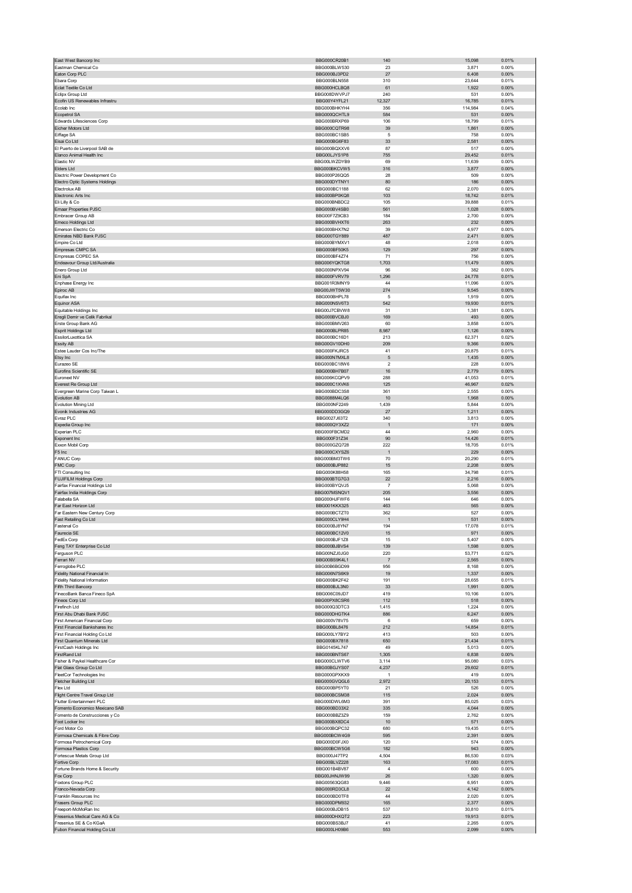|                                                                 | BBG000CR20B1                 | 140                   | 15,098           | 0.01%             |
|-----------------------------------------------------------------|------------------------------|-----------------------|------------------|-------------------|
| Eastman Chemical Co<br>Eaton Corp PLC                           | BBG000BLW530<br>BBG000BJ3PD2 | 23<br>27              | 3,871<br>6,408   | 0.00%<br>$0.00\%$ |
| Ebara Corp                                                      | BBG000BLN558                 | 310                   | 23,644           | 0.01%             |
| Eclat Textile Co Ltd                                            | BBG000HCLBQ8                 | 61                    | 1,922            | $0.00\%$          |
| Eclipx Group Ltd                                                | BBG008DWVPJ7                 | 240                   | 531              | 0.00%             |
| Ecofin US Renewables Infrastru<br>Ecolab Inc                    | BBG00Y4YFL21<br>BBG000BHKYH4 | 12,327<br>356         | 16,785           | 0.01%<br>0.04%    |
| Ecopetrol SA                                                    | BBG000QCHTL9                 | 584                   | 114,984<br>531   | 0.00%             |
| Edwards Lifesciences Corp                                       | BBG000BRXP69                 | 106                   | 18,799           | 0.01%             |
| Eicher Motors Ltd                                               | BBG000CQTR98                 | 39                    | 1,861            | $0.00\%$          |
| Eiffage SA                                                      | BBG000BC1SB5                 | 5                     | 758              | 0.00%             |
| Eisai Co Ltd<br>El Puerto de Liverpool SAB de                   | BBG000BG6F83<br>BBG000BQXXV6 | 33<br>87              | 2,581<br>517     | 0.00%<br>0.00%    |
| Elanco Animal Health Inc                                        | BBG00LJYS1P8                 | 755                   | 29,452           | 0.01%             |
| Elastic NV                                                      | BBG00LWZDYB9                 | 69                    | 11,639           | 0.00%             |
| Elders Ltd                                                      | BBG000BKCVW5                 | 316                   | 3,877            | 0.00%             |
| Electric Power Development Co<br>Electro Optic Systems Holdings | BBG000P26QQ5<br>BBG000DYTNY1 | 28<br>80              | 509<br>186       | 0.00%<br>$0.00\%$ |
| Electrolux AB                                                   | BBG000BC1188                 | 62                    | 2,070            | 0.00%             |
| Electronic Arts Inc                                             | BBG000BP0KQ8                 | 103                   | 18,742           | 0.01%             |
| Eli Lilly & Co                                                  | BBG000BNBDC2                 | 105                   | 39,888           | 0.01%             |
| <b>Emaar Properties PJSC</b><br>Embracer Group AB               | BBG000BV4SB0<br>BBG00F7Z9CB3 | 561<br>184            | 1,028<br>2,700   | 0.00%<br>0.00%    |
| Emeco Holdings Ltd                                              | BBG000BVHXT6                 | 263                   | 232              | 0.00%             |
| Emerson Electric Co                                             | BBG000BHX7N2                 | 39                    | 4,977            | 0.00%             |
| Emirates NBD Bank PJSC                                          | BBG000TGY889                 | 487                   | 2,471            | 0.00%             |
| Empire Co Ltd                                                   | BBG000BYMXV1                 | 48                    | 2,018            | 0.00%             |
| Empresas CMPC SA<br>Empresas COPEC SA                           | BBG000BF50K5<br>BBG000BF4Z74 | 129<br>71             | 297<br>756       | 0.00%<br>0.00%    |
| Endeavour Group Ltd/Australia                                   | BBG006YQKTG8                 | 1,703                 | 11,479           | 0.00%             |
| Enero Group Ltd                                                 | BBG000NPXV94                 | 96                    | 382              | 0.00%             |
| Eni SpA                                                         | BBG000FVRV79                 | 1,296                 | 24,778           | 0.01%             |
| Enphase Energy Inc                                              | BBG001R3MNY9                 | 44                    | 11,096           | 0.00%             |
| Epiroc AB<br>Equifax Inc                                        | BBG00JWT5W30<br>BBG000BHPL78 | 274<br>5              | 9,545<br>1,919   | 0.00%<br>0.00%    |
| <b>Equinor ASA</b>                                              | BBG000NSV6T3                 | 542                   | 19,930           | 0.01%             |
| Equitable Holdings Inc                                          | BBG00J7CBVW8                 | 31                    | 1,381            | 0.00%             |
| Eregli Demir ve Celik Fabrikal                                  | BBG000BVCBJ0                 | 169                   | 493              | 0.00%             |
| Erste Group Bank AG                                             | BBG000BMV263                 | 60                    | 3,858            | 0.00%             |
| Esprit Holdings Ltd                                             | BBG000BLPR85                 | 8,987                 | 1,126            | 0.00%             |
| EssilorLuxottica SA<br>Essity AB                                | BBG000BC16D1<br>BBG00GV10DH0 | 213<br>209            | 62,371<br>9,366  | 0.02%<br>0.00%    |
| Estee Lauder Cos Inc/The                                        | BBG000FKJRC5                 | 41                    | 20,875           | 0.01%             |
| Etsy Inc                                                        | BBG000N7MXL8                 | 5                     | 1,435            | 0.00%             |
| Eurazeo SE                                                      | BBG000BC18W6                 | $\overline{2}$        | 228              | 0.00%             |
| Eurofins Scientific SE                                          | BBG000BH7B07                 | 16                    | 2,779            | 0.00%             |
| Euronext NV<br>Everest Re Group Ltd                             | BBG006KCQPV9<br>BBG000C1XVK6 | 288<br>125            | 41,053<br>46,967 | 0.01%<br>0.02%    |
| Evergreen Marine Corp Taiwan L                                  | BBG000BDC3S8                 | 361                   | 2,555            | 0.00%             |
| <b>Evolution AB</b>                                             | BBG0088M4LQ6                 | 10                    | 1,968            | 0.00%             |
| Evolution Mining Ltd                                            | BBG000NF2249                 | 1,439                 | 5,844            | 0.00%             |
| Evonik Industries AG                                            | BBG000DD3GQ9                 | 27                    | 1,211            | 0.00%             |
| Evraz PLC                                                       | BBG0027J63T2                 | 340                   | 3,813            | 0.00%             |
| Expedia Group Inc<br>Experian PLC                               | BBG000QY3XZ2<br>BBG000FBCMD2 | $\overline{1}$<br>44  | 171<br>2,960     | $0.00\%$<br>0.00% |
| Exponent Inc                                                    | BBG000F31Z34                 | 90                    | 14,426           | 0.01%             |
| Exxon Mobil Corp                                                | BBG000GZQ728                 | 222                   | 18,705           | 0.01%             |
| F5 Inc                                                          | BBG000CXYSZ6                 | $\overline{1}$        | 229              | 0.00%             |
| <b>FANUC Corp</b>                                               | BBG000BM3TW6                 | 70                    | 20,290           | 0.01%             |
| FMC Corp<br>FTI Consulting Inc                                  | BBG000BJP882<br>BBG000K88H58 | 15<br>165             | 2,208<br>34,798  | $0.00\%$<br>0.01% |
| <b>FUJIFILM Holdings Corp</b>                                   | BBG000BTG7G3                 | 22                    | 2,216            | 0.00%             |
| Fairfax Financial Holdings Ltd                                  | BBG000BYQVJ5                 | $\overline{7}$        | 5,068            | 0.00%             |
| Fairfax India Holdings Corp                                     | BBG007MSNQV1                 | 205                   | 3,556            | $0.00\%$          |
| Falabella SA                                                    | BBG000HJFWF6                 | 144                   | 646              | 0.00%             |
| Far East Horizon Ltd<br>Far Eastern New Century Corp            | BBG001KKX325<br>BBG000BCTZT0 | 463<br>362            | 565<br>527       | 0.00%<br>0.00%    |
| Fast Retailing Co Ltd                                           | BBG000CLY9H4                 |                       | 531              |                   |
|                                                                 |                              |                       |                  |                   |
| Fastenal Co                                                     | BBG000BJ8YN7                 | $\overline{1}$<br>194 | 17,078           | 0.00%<br>0.01%    |
|                                                                 | BBG000BC12V0                 |                       | <b>Q71</b>       | n nn%             |
| FedEx Corp                                                      | BBG000BJF1Z8                 | 15                    | 5,407            | 0.00%             |
| Feng TAY Enterprise Co Ltd                                      | BBG000BJBVS4                 | 139                   | 1,598            | 0.00%             |
| Ferguson PLC                                                    | BBG00NZJ0JG0                 | 220                   | 53,771           | 0.02%             |
| Ferrari NV<br>Ferroglobe PLC                                    | BBG00BS9K4L1<br>BBG00B6BGD99 | $\overline{7}$<br>956 | 2,565<br>8,168   | $0.00\%$<br>0.00% |
| Fidelity National Financial In                                  | BBG006N7S6K9                 | 19                    | 1,337            | $0.00\%$          |
| <b>Fidelity National Information</b>                            | BBG000BK2F42                 | 191                   | 28,655           | 0.01%             |
| Fifth Third Bancorp                                             | BBG000BJL3N0                 | 33                    | 1,991            | 0.00%             |
| FinecoBank Banca Fineco SpA                                     | BBG006C09JD7                 | 419                   | 10,106           | 0.00%             |
| Fineos Corp Ltd<br>Firefinch Ltd                                | BBG00PX8CSR6<br>BBG000Q3DTC3 | 112<br>1,415          | 518<br>1,224     | $0.00\%$<br>0.00% |
| First Abu Dhabi Bank PJSC                                       | BBG000DHGTK4                 | 886                   | 6,247            | 0.00%             |
| First American Financial Corp                                   | BBG000V78V75                 | 6                     | 659              | 0.00%             |
| <b>First Financial Bankshares Inc</b>                           | BBG000BL8476                 | 212                   | 14,854           | 0.01%             |
| First Financial Holding Co Ltd<br>First Quantum Minerals Ltd    | BBG000LY7BY2                 | 413<br>650            | 503              | 0.00%             |
| FirstCash Holdings Inc                                          | BBG000BX7818<br>BBG0145KL747 | 49                    | 21,434<br>5,013  | 0.01%<br>0.00%    |
| FirstRand Ltd                                                   | BBG000BNTS67                 | 1,305                 | 6,838            | 0.00%             |
| Fisher & Paykel Healthcare Cor                                  | BBG000CLWTV6                 | 3,114                 | 95,080           | 0.03%             |
| Flat Glass Group Co Ltd                                         | BBG00BGJYS07                 | 4,237                 | 29,602           | 0.01%             |
| FleetCor Technologies Inc                                       | BBG000GPXKX9                 | $\overline{1}$        | 419              | 0.00%             |
| Fletcher Building Ltd<br>Flex Ltd                               | BBG000GVQGL6<br>BBG000BP5YT0 | 2,972<br>21           | 20,153<br>526    | 0.01%<br>0.00%    |
| Flight Centre Travel Group Ltd                                  | BBG000BCSM38                 | 115                   | 2,024            | 0.00%             |
| Flutter Entertainment PLC                                       | BBG000DWL6M3                 | 391                   | 85,025           | 0.03%             |
| Fomento Economico Mexicano SAB                                  | BBG000BD33X2                 | 335                   | 4,044            | 0.00%             |
| Fomento de Construcciones y Co<br>Foot Locker Inc               | BBG000BBZ3Z9<br>BBG000BX8DC4 | 159                   | 2,762            | 0.00%<br>0.00%    |
| Ford Motor Co                                                   | BBG000BQPC32                 | 10<br>680             | 571<br>19,435    | 0.01%             |
| Formosa Chemicals & Fibre Corp                                  | BBG000BCW4G9                 | 595                   | 2,391            | 0.00%             |
| Formosa Petrochemical Corp                                      | BBG000D0FJX0                 | 120                   | 574              | 0.00%             |
| Formosa Plastics Corp                                           | BBG000BCW5G6                 | 182                   | 943              | $0.00\%$          |
| Fortescue Metals Group Ltd                                      | BBG000J47TP2                 | 4,504                 | 86,530           | 0.03%             |
| Fortive Corp<br>Fortune Brands Home & Security                  | BBG00BLVZ228<br>BBG001B4BV87 | 163<br>$\overline{4}$ | 17,083<br>600    | 0.01%<br>0.00%    |
| Fox Corp                                                        | BBG00JHNJW99                 | 26                    | 1,320            | 0.00%             |
| Foxtons Group PLC                                               | BBG00563QG83                 | 9,446                 | 6,951            | 0.00%             |
| Franco-Nevada Corp                                              | BBG000RD3CL8                 | 22                    | 4,142            | 0.00%             |
| Franklin Resources Inc                                          | BBG000BD0TF8                 | 44                    | 2,020            | 0.00%             |
| Frasers Group PLC<br>Freeport-McMoRan Inc                       | BBG000DPM932                 | 165<br>537            | 2,377            | 0.00%<br>0.01%    |
| Fresenius Medical Care AG & Co                                  | BBG000BJDB15<br>BBG000DHXQT2 | 223                   | 30,810<br>19,913 | 0.01%             |
| Fresenius SE & Co KGaA<br>Fubon Financial Holding Co Ltd        | BBG000BS3BJ7<br>BBG000LH09B6 | 41<br>553             | 2,265<br>2,099   | 0.00%<br>$0.00\%$ |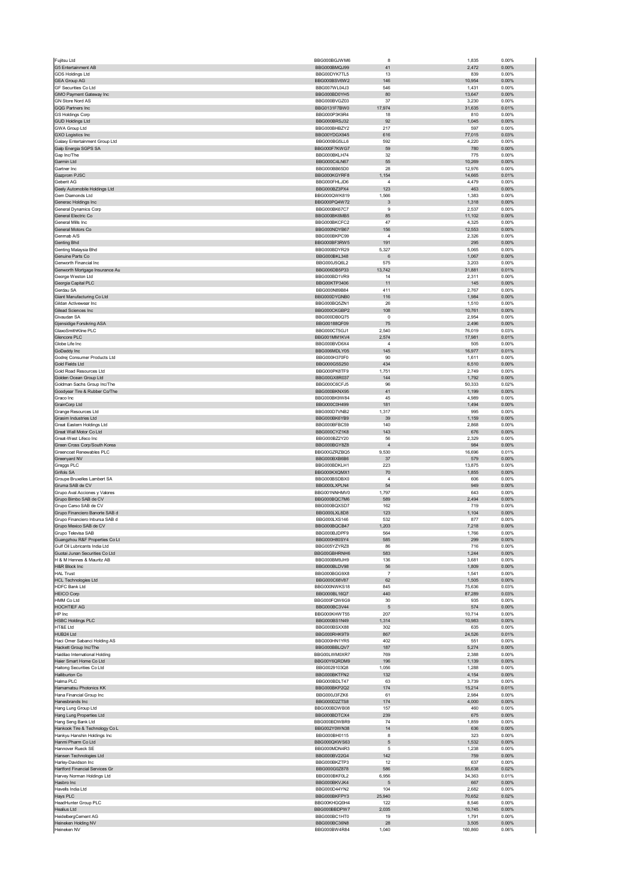| Fujitsu Ltd                                                 | BBG000BGJWM6                 | 8                         | 1,835            | 0.00%             |
|-------------------------------------------------------------|------------------------------|---------------------------|------------------|-------------------|
| G5 Entertainment AB<br>GDS Holdings Ltd                     | BBG000BMQJ99<br>BBG00DYK7TL5 | 41<br>13                  | 2,472<br>839     | 0.00%<br>0.00%    |
| <b>GEA Group AG</b>                                         | BBG000BSV6W2                 | 146                       | 10,954           | 0.00%             |
| GF Securities Co Ltd                                        | BBG007WL04J3                 | 546                       | 1,431            | 0.00%             |
| GMO Payment Gateway Inc                                     | BBG000BD0YH5                 | 80                        | 13,647           | 0.00%             |
| GN Store Nord AS<br>GQG Partners Inc                        | BBG000BVGZ03<br>BBG0131F7BW0 | 37<br>17,974              | 3,230<br>31,635  | 0.00%<br>0.01%    |
| GS Holdings Corp                                            | BBG000P3K9R4                 | 18                        | 810              | 0.00%             |
| <b>GUD Holdings Ltd</b>                                     | BBG000BRSJ32                 | 92                        | 1,045            | 0.00%             |
| GWA Group Ltd<br><b>GXO Logistics Inc</b>                   | BBG000BHBZY2<br>BBG00YDGX945 | 217<br>616                | 597<br>77,015    | 0.00%<br>0.03%    |
| Galaxy Entertainment Group Ltd                              | BBG000BG5LL6                 | 592                       | 4,220            | 0.00%             |
| Galp Energia SGPS SA                                        | BBG000F7KWG7                 | 59                        | 780              | 0.00%             |
| Gap Inc/The<br>Garmin Ltd                                   | BBG000BKLH74                 | 32                        | 775              | 0.00%             |
| Gartner Inc                                                 | BBG000C4LN67<br>BBG000BB65D0 | 55<br>28                  | 10,269<br>12,976 | 0.00%<br>0.00%    |
| Gazprom PJSC                                                | BBG000KGYRF8                 | 1,154                     | 14,665           | 0.01%             |
| Geberit AG                                                  | BBG000FHLJD6                 | $\overline{4}$            | 4,479            | 0.00%             |
| Geely Automobile Holdings Ltd<br>Gem Diamonds Ltd           | BBG000BZ3PX4<br>BBG000QWK819 | 123<br>1,566              | 463<br>1,383     | $0.00\%$<br>0.00% |
| Generac Holdings Inc                                        | BBG000PQ4W72                 | 3                         | 1,318            | 0.00%             |
| General Dynamics Corp                                       | BBG000BK67C7                 | 9                         | 2,537            | 0.00%             |
| General Electric Co<br>General Mills Inc                    | BBG000BK6MB5<br>BBG000BKCFC2 | 85<br>47                  | 11,102           | 0.00%<br>0.00%    |
| General Motors Co                                           | BBG000NDYB67                 | 156                       | 4,325<br>12,553  | 0.00%             |
| Genmab A/S                                                  | BBG000BKPC99                 | 4                         | 2,326            | 0.00%             |
| Genting Bhd                                                 | BBG000BF3RW5                 | 191                       | 295              | 0.00%             |
| Genting Malaysia Bhd<br>Genuine Parts Co                    | BBG000BDYR29<br>BBG000BKL348 | 5,327<br>6                | 5,065<br>1,067   | 0.00%<br>0.00%    |
| Genworth Financial Inc                                      | BBG000J5Q6L2                 | 575                       | 3,203            | 0.00%             |
| Genworth Mortgage Insurance Au                              | BBG006DB5P33                 | 13,742                    | 31,881           | 0.01%             |
| George Weston Ltd                                           | BBG000BD1VR9                 | 14                        | 2,311            | 0.00%             |
| Georgia Capital PLC<br>Gerdau SA                            | BBG00KTP3406<br>BBG000N89B84 | 11<br>411                 | 145<br>2,767     | 0.00%<br>0.00%    |
| Giant Manufacturing Co Ltd                                  | BBG000DYGNB0                 | 116                       | 1,984            | $0.00\%$          |
| Gildan Activewear Inc                                       | BBG000BQ5ZN1                 | 26                        | 1,510            | 0.00%             |
| Gilead Sciences Inc.<br>Givaudan SA                         | BBG000CKGBP2<br>BBG000DB0Q75 | 108<br>0                  | 10,761<br>2,954  | 0.00%<br>0.00%    |
| Gjensidige Forsikring ASA                                   | BBG00188QF09                 | 75                        | 2,496            | 0.00%             |
| GlaxoSmithKline PLC                                         | BBG000CT5GJ1                 | 2,540                     | 76,019           | 0.03%             |
| Glencore PLC<br>Globe Life Inc                              | BBG001MM1KV4<br>BBG000BVD6X4 | 2,574<br>4                | 17,981<br>505    | 0.01%<br>0.00%    |
| GoDaddy Inc                                                 | BBG006MDLY05                 | 145                       | 16,977           | 0.01%             |
| Godrej Consumer Products Ltd                                | BBG000H370F0                 | 90                        | 1,611            | 0.00%             |
| Gold Fields Ltd                                             | BBG000G5S250                 | 434                       | 6,510            | 0.00%             |
| Gold Road Resources Ltd<br>Golden Ocean Group Ltd           | BBG000PK8TF9<br>BBG00GX8R037 | 1,751<br>144              | 2,749<br>1,792   | 0.00%<br>$0.00\%$ |
| Goldman Sachs Group Inc/The                                 | BBG000C6CFJ5                 | 96                        | 50,333           | 0.02%             |
| Goodyear Tire & Rubber Co/The                               | BBG000BKNX95                 | 41                        | 1,199            | 0.00%             |
| Graco Inc<br>GrainCorp Ltd                                  | BBG000BK9W84<br>BBG000C0H499 | 45<br>181                 | 4,989<br>1,494   | 0.00%<br>$0.00\%$ |
| <b>Grange Resources Ltd</b>                                 | BBG000D7VNB2                 | 1,317                     | 995              | 0.00%             |
| Grasim Industries Ltd                                       | BBG000BK6YB9                 | 39                        | 1,159            | $0.00\%$          |
| Great Eastern Holdings Ltd                                  | BBG000BFBC59                 | 140                       | 2,868            | 0.00%             |
| Great Wall Motor Co Ltd<br>Great-West Lifeco Inc            | BBG000CYZ1K8<br>BBG000BZ2Y20 | 143<br>56                 | 676<br>2,329     | 0.00%<br>0.00%    |
| Green Cross Corp/South Korea                                | BBG000BGY8Z8                 | $\overline{4}$            | 984              | 0.00%             |
|                                                             |                              |                           |                  |                   |
| Greencoat Renewables PLC                                    | BBG00GZRZBQ5                 | 9,530                     | 16,696           | 0.01%             |
| Greenyard NV                                                | BBG000BXB6B6                 | 37                        | 579              | 0.00%             |
| Greggs PLC<br>Grifols SA                                    | BBG000BDKLH1<br>BBG000KXQMX1 | 223<br>70                 | 13,875<br>1,855  | 0.00%<br>0.00%    |
| Groupe Bruxelles Lambert SA                                 | BBG000BSDBX0                 | $\overline{4}$            | 606              | 0.00%             |
| Gruma SAB de CV                                             | BBG000LXPLN4                 | 54                        | 949              | 0.00%             |
| Grupo Aval Acciones y Valores                               | BBG001NNHMV0                 | 1,797                     | 643              | 0.00%             |
| Grupo Bimbo SAB de CV<br>Grupo Carso SAB de CV              | BBG000BQC7M6<br>BBG000BQXSD7 | 589<br>162                | 2,494<br>719     | 0.00%<br>0.00%    |
| Grupo Financiero Banorte SAB d                              | BBG000LXL8D8                 | 123                       | 1,104            | 0.00%             |
| Grupo Financiero Inbursa SAB d                              | BBG000LXS146                 | 532                       | 877              | 0.00%             |
| Grupo Mexico SAB de CV<br>Grupo Televisa SAB                | BBG000BQCB47<br>BRG000BJDPF9 | 1,203<br>56.              | 7,218<br>1766    | 0.00%<br>n nn%    |
| Guangzhou R&F Properties Co Lt                              | BBG000H80SY4                 | 585                       | 299              | 0.00%             |
| Gulf Oil Lubricants India Ltd                               | BBG005YZYRZ8                 | 86                        | 716              | 0.00%             |
| Guotai Junan Securities Co Ltd<br>H & M Hennes & Mauritz AB | BBG00GBHRNH6                 | 583                       | 1,244            | 0.00%             |
| H&R Block Inc                                               | BBG000BM9JH9<br>BBG000BLDV98 | 136<br>56                 | 3,681<br>1,809   | 0.00%<br>0.00%    |
| <b>HAL Trust</b>                                            | BBG000BGG9X8                 | $\overline{\mathfrak{c}}$ | 1,541            | 0.00%             |
| <b>HCL Technologies Ltd</b>                                 | BBG000C68V87                 | 62                        | 1,505            | 0.00%             |
| <b>HDFC Bank Ltd</b><br><b>HEICO Corp</b>                   | BBG000NWKS18<br>BBG000BL16Q7 | 845<br>440                | 75,636<br>87,289 | 0.03%<br>0.03%    |
| HMM Co Ltd                                                  | BBG000FQW6G9                 | 30                        | 935              | 0.00%             |
| HOCHTIEF AG                                                 | BBG000BC3V44                 | $\mathbf 5$               | 574              | 0.00%             |
| HP Inc<br><b>HSBC Holdings PLC</b>                          | BBG000KHWT55<br>BBG000BS1N49 | 207<br>1,314              | 10,714<br>10,983 | 0.00%<br>0.00%    |
| HT&E Ltd                                                    | BBG000BSXX88                 | 302                       | 635              | 0.00%             |
| HUB24 Ltd                                                   | BBG000RHK9T9                 | 867                       | 24,526           | 0.01%             |
| Haci Omer Sabanci Holding AS                                | BBG000HN1YR5                 | 402<br>187                | 551              | 0.00%             |
| Hackett Group Inc/The<br>Haidilao International Holding     | BBG000BBLQV7<br>BBG00LWM0XR7 | 769                       | 5,274<br>2,388   | 0.00%<br>0.00%    |
| Haier Smart Home Co Ltd                                     | BBG00Y6QRDM9                 | 196                       | 1,139            | 0.00%             |
| Haitong Securities Co Ltd                                   | BBG0029103Q8                 | 1,056                     | 1,288            | 0.00%             |
| Halliburton Co<br>Halma PLC                                 | BBG000BKTFN2<br>BBG000BDLT47 | 132<br>63                 | 4,154<br>3,739   | 0.00%<br>0.00%    |
| Hamamatsu Photonics KK                                      | BBG000BKP2Q2                 | 174                       | 15,214           | 0.01%             |
| Hana Financial Group Inc                                    | BBG000J3FZK6                 | 61                        | 2,984            | 0.00%             |
| Hanesbrands Inc<br>Hang Lung Group Ltd                      | BBG000D2ZTS8<br>BBG000BDWB08 | 174<br>157                | 4,000<br>460     | 0.00%<br>0.00%    |
| Hang Lung Properties Ltd                                    | BBG000BDTCX4                 | 239                       | 675              | $0.00\%$          |
| Hang Seng Bank Ltd                                          | BBG000BDWBR9                 | 74                        | 1,859            | 0.00%             |
| Hankook Tire & Technology Co L                              | BBG002Y0WN38                 | 14                        | 636              | 0.00%             |
| Hankyu Hanshin Holdings Inc<br>Hanmi Pharm Co Ltd           | BBG000BH0115<br>BBG000QKWS63 | 8<br>5                    | 323<br>1,532     | 0.00%<br>$0.00\%$ |
| Hannover Rueck SE                                           | BBG000MDN4R3                 | 5                         | 1,238            | 0.00%             |
| Hansen Technologies Ltd                                     | BBG000BV22G4                 | 142                       | 759              | 0.00%             |
| Harley-Davidson Inc<br>Hartford Financial Services Gr       | BBG000BKZTP3<br>BBG000G0Z878 | 12<br>586                 | 637<br>55,638    | 0.00%<br>0.02%    |
| Harvey Norman Holdings Ltd                                  | BBG000BKF0L2                 | 6,956                     | 34,363           | 0.01%             |
| Hasbro Inc                                                  | BBG000BKVJK4                 | 5                         | 667              | 0.00%             |
| Havells India Ltd<br>Hays PLC                               | BBG000D44YN2<br>BBG000BKFPY3 | 104<br>25,940             | 2,682<br>70,652  | 0.00%<br>0.02%    |
| HeadHunter Group PLC                                        | BBG00KHGQ0H4                 | 122                       | 8,546            | 0.00%             |
| <b>Healius Ltd</b>                                          | BBG000BBDPW7                 | 2,035                     | 10,745           | 0.00%             |
| HeidelbergCement AG<br>Heineken Holding NV                  | BBG000BC1HT0<br>BBG000BC36N8 | 19<br>28                  | 1,791<br>3,505   | 0.00%<br>0.00%    |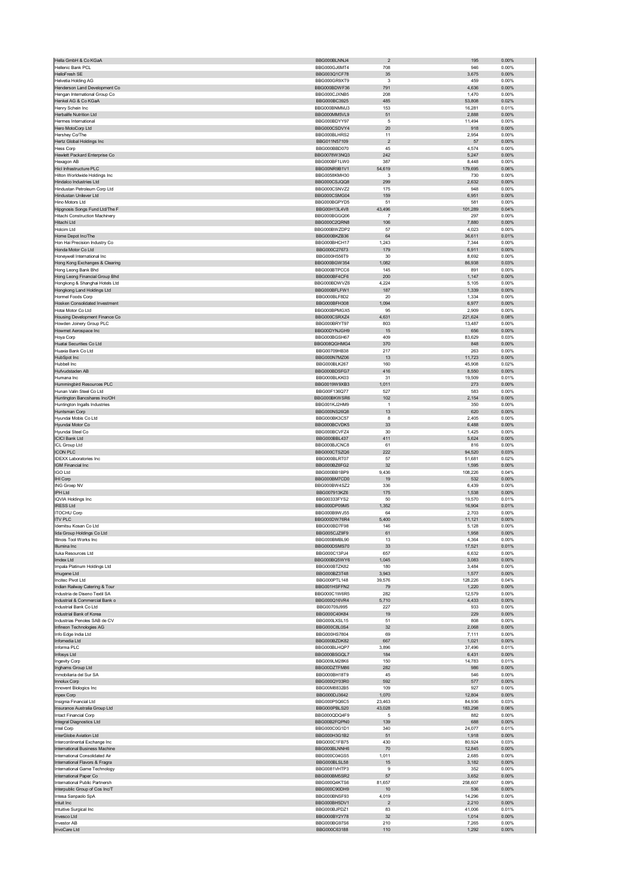| Hellenic Bank PCL                                               | BBG000BLNNJ4                 | $\overline{2}$       | 195               | 0.00%             |
|-----------------------------------------------------------------|------------------------------|----------------------|-------------------|-------------------|
|                                                                 | BBG000GJ6MT4                 | 708                  | 946               | 0.00%             |
| HelloFresh SE                                                   | BBG003Q1CF78                 | 35                   | 3,675             | 0.00%             |
| <b>Helvetia Holding AG</b>                                      | BBG000GR9XT9                 | 3                    | 459               | 0.00%             |
| Henderson Land Development Co                                   | BBG000BDWF36                 | 791                  | 4,636             | 0.00%             |
| Hengan International Group Co                                   | BBG000CJXNB5                 | 208                  | 1,470             | 0.00%             |
| Henkel AG & Co KGaA<br>Henry Schein Inc                         | BBG000BC3925<br>BBG000BNMMJ3 | 485<br>153           | 53,808<br>16,281  | 0.02%<br>0.01%    |
| Herbalife Nutrition Ltd                                         | BBG000MM5VL9                 | 51                   | 2,888             | 0.00%             |
| Hermes International                                            | BBG000BDYY97                 | 5                    | 11,494            | 0.00%             |
| Hero MotoCorp Ltd                                               | BBG000CSDVY4                 | 20                   | 918               | 0.00%             |
| Hershey Co/The                                                  | BBG000BLHRS2                 | 11                   | 2,954             | 0.00%             |
| Hertz Global Holdings Inc                                       | BBG011N57109                 | $\sqrt{2}$           | 57                | 0.00%             |
| <b>Hess Corp</b>                                                | BBG000BBD070                 | 45                   | 4,574             | 0.00%             |
| Hewlett Packard Enterprise Co                                   | BBG0078W3NQ3                 | 242                  | 5,247             | 0.00%             |
| Hexagon AB                                                      | BBG000BF1LW0                 | 387                  | 8,448             | 0.00%             |
| Hicl Infrastructure PLC                                         | BBG00NR9B1V1                 | 54,619               | 179,695           | 0.06%             |
| Hilton Worldwide Holdings Inc<br>Hindalco Industries Ltd        | BBG0058KMH30<br>BBG000CSJQQ8 | 3<br>299             | 730<br>2,632      | 0.00%<br>0.00%    |
| Hindustan Petroleum Corp Ltd                                    | BBG000CSNVZ2                 | 175                  | 948               | 0.00%             |
| Hindustan Unilever Ltd                                          | BBG000CSMG04                 | 159                  | 6,951             | 0.00%             |
| Hino Motors Ltd                                                 | BBG000BGPYD5                 | 51                   | 581               | 0.00%             |
| Hipgnosis Songs Fund Ltd/The F                                  | BBG00H13L4V8                 | 43,496               | 101,289           | 0.04%             |
| Hitachi Construction Machinery                                  | BBG000BGGQ06                 | 7                    | 297               | 0.00%             |
| Hitachi Ltd                                                     | BBG000C2QRN8                 | 106                  | 7,880             | 0.00%             |
| Holcim Ltd                                                      | BBG000BWZDP2                 | 57                   | 4,023             | 0.00%             |
| Home Depot Inc/The                                              | BBG000BKZB36                 | 64                   | 36,611            | 0.01%             |
| Hon Hai Precision Industry Co<br>Honda Motor Co Ltd             | BBG000BHCH17<br>BBG000C27673 | 1,243<br>179         | 7,344<br>6,911    | 0.00%<br>0.00%    |
| Honeywell International Inc                                     | BBG000H556T9                 | 30                   | 8,692             | 0.00%             |
| Hong Kong Exchanges & Clearing                                  | BBG000BGW354                 | 1,082                | 86,938            | 0.03%             |
| Hong Leong Bank Bhd                                             | BBG000BTPCC6                 | 145                  | 891               | 0.00%             |
| Hong Leong Financial Group Bhd                                  | BBG000BF4CF6                 | 200                  | 1,147             | $0.00\%$          |
| Hongkong & Shanghai Hotels Ltd                                  | BBG000BDWVZ6                 | 4,224                | 5,105             | 0.00%             |
| Hongkong Land Holdings Ltd                                      | BBG000BFLFW1                 | 187                  | 1,339             | 0.00%             |
| Hormel Foods Corp                                               | BBG000BLF8D2                 | 20                   | 1,334             | 0.00%             |
| Hosken Consolidated Investment                                  | BBG000BFH308                 | 1,094                | 6,977             | 0.00%             |
| Hotai Motor Co Ltd                                              | BBG000BPMGX5                 | 95                   | 2,909             | 0.00%             |
| Housing Development Finance Co<br>Howden Joinery Group PLC      | BBG000CSRXZ4<br>BBG000BRYT97 | 4,631<br>803         | 221,624<br>13,487 | 0.08%<br>0.00%    |
| Howmet Aerospace Inc                                            | BBG00DYNJGH9                 | 15                   | 656               | 0.00%             |
| Hoya Corp                                                       | BBG000BGSH67                 | 409                  | 83,629            | 0.03%             |
| Huatai Securities Co Ltd                                        | BBG008QGHMG4                 | 370                  | 848               | 0.00%             |
| Huaxia Bank Co Ltd                                              | BBG00709HB38                 | 217                  | 263               | 0.00%             |
| HubSpot Inc                                                     | BBG000N7MZ06                 | 13                   | 11,723            | 0.00%             |
| Hubbell Inc                                                     | BBG000BLK267                 | 160                  | 45,908            | 0.02%             |
| Hufvudstaden AB                                                 | BBG000BDSFG7                 | 416                  | 8,550             | 0.00%             |
| Humana Inc                                                      | BBG000BLKK03                 | 31                   | 19,509            | 0.01%             |
| Hummingbird Resources PLC                                       | BBG0019W9XB3                 | 1,011                | 273               | $0.00\%$          |
| Hunan Valin Steel Co Ltd                                        | BBG00F136Q77<br>BBG000BKWSR6 | 527<br>102           | 583               | 0.00%<br>0.00%    |
| Huntington Bancshares Inc/OH<br>Huntington Ingalls Industries   | BBG001KJ2HM9                 | 1                    | 2,154<br>350      | 0.00%             |
| Huntsman Corp                                                   | BBG000NS26Q8                 | 13                   | 620               | 0.00%             |
| Hyundai Mobis Co Ltd                                            | BBG000BK3C57                 | 8                    | 2,405             | 0.00%             |
| Hyundai Motor Co                                                | BBG000BCVDK5                 | 33                   | 6,488             | $0.00\%$          |
| Hyundai Steel Co                                                | BBG000BCVFZ4                 | 30                   | 1,425             | 0.00%             |
| <b>ICICI Bank Ltd</b>                                           | BBG000BBL437                 | 411                  | 5,624             | 0.00%             |
| ICL Group Ltd                                                   | BBG000BJCNC8                 | 61                   | 816               | 0.00%             |
| <b>ICON PLC</b>                                                 | BBG000CTSZQ6                 | 222                  | 94,520            | 0.03%             |
| <b>IDEXX Laboratories Inc</b>                                   | BBG000BLRT07                 | 57                   | 51,681            | 0.02%             |
| IGM Financial Inc                                               | BBG000BZ6FG2                 | 32                   | 1,595             | 0.00%             |
| <b>IGO Ltd</b><br>IHI Corp                                      | BBG000BB1BP9<br>BBG000BM7CD0 | 9,436<br>19          | 108,226<br>532    | 0.04%<br>0.00%    |
| ING Groep NV                                                    | BBG000BW4SZ2                 | 336                  | 6,439             | 0.00%             |
|                                                                 |                              |                      |                   |                   |
|                                                                 |                              |                      |                   |                   |
| IPH Ltd                                                         | BBG007913KZ6                 | 175                  | 1,538             | 0.00%             |
| <b>IQVIA Holdings Inc.</b><br><b>IRESS Ltd</b>                  | BBG00333FYS2<br>BBG000DP09M5 | 50<br>1,352          | 19,570<br>16,904  | 0.01%<br>0.01%    |
| <b>ITOCHU Corp</b>                                              | BBG000B9WJ55                 | 64                   | 2,703             | 0.00%             |
| <b>ITV PLC</b>                                                  | BBG000DW76R4                 | 5,400                | 11,121            | 0.00%             |
| Idemitsu Kosan Co Ltd                                           | BBG000BD7F98                 | 146                  | 5,128             | 0.00%             |
| lida Group Holdings Co Ltd                                      | BBG005CJZ9E9                 | 61                   | 1.958             | 0.00%             |
| Illinois Tool Works Inc                                         | BBG000BMBL90                 | 13                   | 4,364             | 0.00%             |
| Illumina Inc                                                    | BBG000DSMS70                 | 33                   | 17,521            | 0.01%             |
| Iluka Resources Ltd<br>Imdex Ltd                                | BBG000C13PJ4<br>BBG000BQ5WY6 | 657<br>1,045         | 6,632<br>3,083    | 0.00%<br>0.00%    |
| Impala Platinum Holdings Ltd                                    | BBG000BTZK82                 | 180                  | 3,484             | 0.00%             |
| Imugene Ltd                                                     | BBG000BZ3T48                 | 3,943                | 1,577             | 0.00%             |
| Incitec Pivot Ltd                                               | BBG000PTL148                 | 39,576               | 128,226           | 0.04%             |
| Indian Railway Catering & Tour                                  | BBG001HSFFN2                 | 79                   | 1,220             | 0.00%             |
| Industria de Diseno Textil SA                                   | BBG000C1W6R5                 | 282                  | 12,579            | 0.00%             |
| Industrial & Commercial Bank o                                  | BBG000Q16VR4                 | 5,710                | 4,433             | 0.00%             |
| Industrial Bank Co Ltd<br>Industrial Bank of Korea              | BBG00709J995<br>BBG000C40K84 | 227<br>19            | 933<br>229        | 0.00%<br>0.00%    |
| Industrias Penoles SAB de CV                                    | BBG000LXSL15                 | 51                   | 808               | 0.00%             |
| Infineon Technologies AG                                        | BBG000C8L0S4                 | 32                   | 2,068             | 0.00%             |
| Info Edge India Ltd                                             | BBG000HS7804                 | 69                   | 7,111             | 0.00%             |
| Infomedia Ltd                                                   | BBG000BZDK82                 | 667                  | 1,021             | $0.00\%$          |
| Informa PLC                                                     | BBG000BLHQP7                 | 3,896                | 37,496            | 0.01%             |
| Infosys Ltd                                                     | BBG000BSGQL7                 | 184                  | 6,431             | $0.00\%$          |
| ngevity Corp                                                    | BBG009LM28K6                 | 150                  | 14,783            | 0.01%             |
| Inghams Group Ltd<br>Inmobiliaria del Sur SA                    | BBG00DZTFM86<br>BBG000BH18T9 | 282<br>45            | 986<br>546        | $0.00\%$<br>0.00% |
| Innolux Corp                                                    | BBG000QY03R0                 | 592                  | 577               | 0.00%             |
| Innovent Biologics Inc                                          | BBG00M8832B5                 | 109                  | 927               | 0.00%             |
| Inpex Corp                                                      | BBG000DJ3642                 | 1,070                | 12,804            | $0.00\%$          |
| Insignia Financial Ltd                                          | BBG000P5Q6C5                 | 23,463               | 84,936            | 0.03%             |
| Insurance Australia Group Ltd                                   | BBG000PBLS20                 | 43,028               | 183,298           | 0.06%             |
| Intact Financial Corp                                           | BBG000QDQ4F9                 | 5                    | 882               | 0.00%             |
| Integral Diagnostics Ltd                                        | BBG00B2FQPN0                 | 139                  | 688               | $0.00\%$          |
| Intel Corp                                                      | BBG000C0G1D1                 | 340                  | 24,077            | 0.01%             |
| InterGlobe Aviation Ltd                                         | BBG000H3G1B2                 | 51                   | 1,918             | 0.00%             |
| Intercontinental Exchange Inc<br>International Business Machine | BBG000C1FB75<br>BBG000BLNNH6 | 430<br>70            | 80,924<br>12,845  | 0.03%<br>$0.00\%$ |
| International Consolidated Air                                  | BBG000C04GS5                 | 1,011                | 2,685             | 0.00%             |
| International Flavors & Fragra                                  | BBG000BLSL58                 | 15                   | 3,182             | $0.00\%$          |
| International Game Technology                                   | BBG0081VHTP3                 | 9                    | 352               | 0.00%             |
| International Paper Co                                          | BBG000BM5SR2                 | 57                   | 3,652             | $0.00\%$          |
| International Public Partnersh                                  | BBG000Q4KTS6                 | 81,657               | 258,607           | 0.09%             |
| Interpublic Group of Cos Inc/T                                  | BBG000C90DH9                 | 10                   | 536               | 0.00%             |
| Intesa Sanpaolo SpA                                             | BBG000BNSF93                 | 4,019                | 14,296            | 0.00%             |
| Intuit Inc                                                      | BBG000BH5DV1                 | $\overline{2}$<br>83 | 2,210             | $0.00\%$<br>0.01% |
| Intuitive Surgical Inc<br>Invesco Ltd                           | BBG000BJPDZ1<br>BBG000BY2Y78 | 32                   | 41,006<br>1,014   | 0.00%             |
| Investor AB<br>InvoCare Ltd                                     | BBG000BG97S6<br>BBG000C63188 | 210<br>110           | 7,265<br>1,292    | 0.00%<br>$0.00\%$ |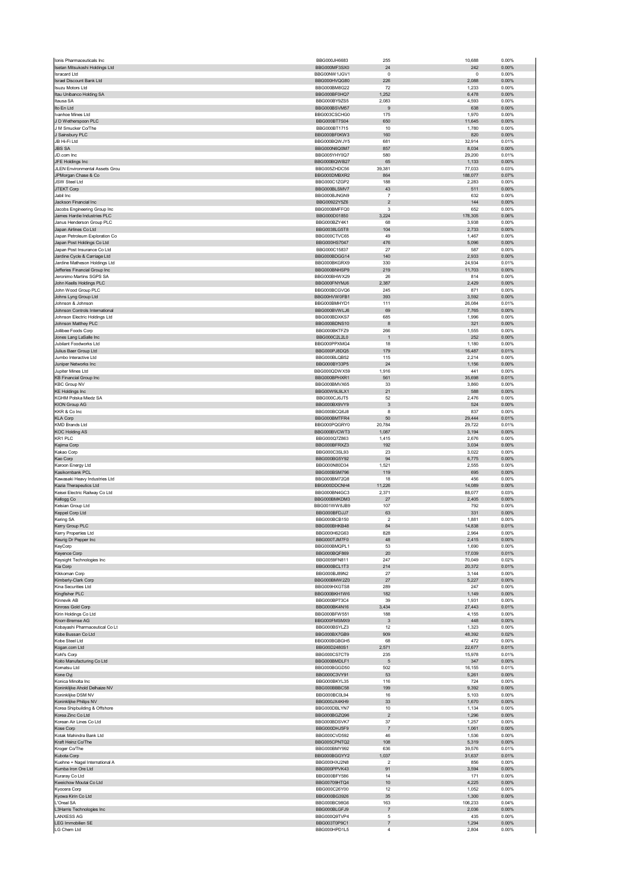|                                                              | BBG000JH6683                        | 255                      | 10,688            | 0.00%          |
|--------------------------------------------------------------|-------------------------------------|--------------------------|-------------------|----------------|
| Isetan Mitsukoshi Holdings Ltd                               | BBG000MF3SX0                        | 24                       | 242               | 0.00%          |
| <b>Isracard Ltd</b>                                          | BBG00NW1JGV1                        | $^{\circ}$               | 0                 | 0.00%          |
| <b>Israel Discount Bank Ltd</b>                              | BBG000HVQG80                        | 226                      | 2,088             | 0.00%          |
| <b>Isuzu Motors Ltd</b>                                      | BBG000BM8G22                        | 72                       | 1,233             | 0.00%          |
| Itau Unibanco Holding SA<br>Itausa SA                        | BBG000BF0HQ7<br>BBG000BY9ZS5        | 1,252<br>2,083           | 6,478<br>4,593    | 0.00%<br>0.00% |
| Ito En Ltd                                                   | BBG000BSVM57                        | $\boldsymbol{9}$         | 638               | 0.00%          |
| Ivanhoe Mines Ltd                                            | BBG003CSCHG0                        | 175                      | 1,970             | 0.00%          |
| J D Wetherspoon PLC                                          | BBG000BT7S04                        | 650                      | 11,645            | 0.00%          |
| J M Smucker Co/The                                           | BBG000BT1715                        | 10                       | 1,780             | 0.00%          |
| J Sainsbury PLC                                              | BBG000BF0KW3                        | 160                      | 820               | 0.00%          |
| JB Hi-Fi Ltd                                                 | BBG000BQWJY5                        | 681                      | 32,914            | 0.01%          |
| <b>JBS SA</b>                                                | BBG000N6Q0M7                        | 857                      | 8,034             | 0.00%          |
| JD.com Inc                                                   | BBG005YHY0Q7                        | 580                      | 29,200            | 0.01%          |
| JFE Holdings Inc<br>JLEN Environmental Assets Grou           | BBG000BQWB27<br>BBG005ZHDC56        | 65<br>39,381             | 1,133             | 0.00%<br>0.03% |
| JPMorgan Chase & Co                                          | BBG000DMBXR2                        | 864                      | 77,033<br>188,077 | 0.07%          |
| <b>JSW Steel Ltd</b>                                         | BBG000C1ZGP2                        | 188                      | 2,283             | 0.00%          |
| <b>JTEKT Corp</b>                                            | BBG000BLSMV7                        | 43                       | 511               | 0.00%          |
| Jabil Inc                                                    | BBG000BJNGN9                        | $\overline{7}$           | 632               | 0.00%          |
| Jackson Financial Inc                                        | BBG00922Y5Z6                        | $\mathbf 2$              | 144               | 0.00%          |
| Jacobs Engineering Group Inc                                 | BBG000BMFFQ0                        | 3                        | 652               | 0.00%          |
| James Hardie Industries PLC                                  | BBG000D01850                        | 3,224                    | 178,305           | 0.06%          |
| Janus Henderson Group PLC                                    | BBG000BZY4K1                        | 68                       | 3,938             | 0.00%          |
| Japan Airlines Co Ltd                                        | BBG0038LG5T8                        | 104<br>49                | 2,733             | 0.00%          |
| Japan Petroleum Exploration Co<br>Japan Post Holdings Co Ltd | BBG000CTVC65<br>BBG000HS7047        | 476                      | 1,467<br>5,096    | 0.00%<br>0.00% |
| Japan Post Insurance Co Ltd                                  | BBG000C15837                        | 27                       | 587               | 0.00%          |
| Jardine Cycle & Carriage Ltd                                 | BBG000BDGG14                        | 140                      | 2,933             | 0.00%          |
| Jardine Matheson Holdings Ltd                                | BBG000BKGRX9                        | 330                      | 24,934            | 0.01%          |
| Jefferies Financial Group Inc                                | BBG000BNHSP9                        | 219                      | 11,703            | 0.00%          |
| Jeronimo Martins SGPS SA                                     | BBG000BHWX29                        | 26                       | 814               | 0.00%          |
| John Keells Holdings PLC                                     | BBG000FNYM.I6                       | 2,387                    | 2,429             | 0.00%          |
| John Wood Group PLC                                          | BBG000BCGVQ6                        | 245                      | 871               | 0.00%          |
| Johns Lyng Group Ltd                                         | BBG00HVW0FB1                        | 393                      | 3,592             | 0.00%          |
| Johnson & Johnson<br>Johnson Controls International          | BBG000BMHYD1<br>BBG000BVWLJ6        | 111<br>69                | 26,084<br>7,765   | 0.01%<br>0.00% |
| Johnson Electric Holdings Ltd                                | BBG000BDXKS7                        | 685                      | 1,996             | 0.00%          |
| Johnson Matthey PLC                                          | BBG000BDNS10                        | 8                        | 321               | 0.00%          |
| Jollibee Foods Corp                                          | BBG000BKTFZ9                        | 266                      | 1,555             | 0.00%          |
| Jones Lang LaSalle Inc                                       | BBG000C2L2L0                        | $\overline{1}$           | 252               | 0.00%          |
| Jubilant Foodworks Ltd                                       | BBG000PPXMG4                        | 18                       | 1,180             | 0.00%          |
| Julius Baer Group Ltd                                        | BBG000PJ8DQ5                        | 179                      | 16,487            | 0.01%          |
| Jumbo Interactive Ltd                                        | BBG000BLQB52                        | 115                      | 2,214             | 0.00%          |
| Juniper Networks Inc                                         | BBG000BY33P5                        | 24                       | 1,156             | 0.00%          |
| Jupiter Mines Ltd                                            | BBG000QDWX59                        | 1,916                    | 441               | 0.00%          |
| KB Financial Group Inc<br><b>KBC Group NV</b>                | BBG000BPHXR1<br>BBG000BMVX65        | 561<br>33                | 35,698<br>3,860   | 0.01%<br>0.00% |
| <b>KE Holdings Inc</b>                                       | BBG00W9L9LX1                        | 21                       | 588               | 0.00%          |
| KGHM Polska Miedz SA                                         | BBG000CJ6JT5                        | 52                       | 2,476             | 0.00%          |
| <b>KION Group AG</b>                                         | BBG000BX9VY9                        | $\mathbf{3}$             | 524               | 0.00%          |
| KKR & Co Inc                                                 | BBG000BCQ6J8                        | 8                        | 837               | 0.00%          |
| <b>KLA Corp</b>                                              | BBG000BMTFR4                        | 50                       | 29,444            | 0.01%          |
| <b>KMD Brands Ltd</b>                                        | BBG000PQGRY0                        | 20,784                   | 29,722            | 0.01%          |
| <b>KOC Holding AS</b>                                        | BBG000BVCWT3                        | 1,087                    | 3,194             | 0.00%          |
| KR1 PLC                                                      | BBG000Q7Z863                        | 1,415                    | 2,676             | 0.00%          |
| Kajima Corp<br>Kakao Corp                                    | BBG000BFRXZ3<br>BBG000C3SL93        | 192<br>23                | 3,034<br>3,022    | 0.00%<br>0.00% |
| Kao Corp                                                     | BBG000BG5Y92                        | 94                       | 6,775             | 0.00%          |
| Karoon Energy Ltd                                            | BBG000N80D34                        | 1,521                    | 2,555             | 0.00%          |
| Kasikornbank PCL                                             | <b>BBG000BSM796</b>                 | 119                      | 695               | 0.00%          |
| Kawasaki Heavy Industries Ltd                                | BBG000BM72Q8                        | 18                       | 456               | 0.00%          |
| Kazia Therapeutics Ltd                                       | BBG000DDCNH4                        | 11,226                   | 14,089            | 0.00%          |
|                                                              | BBG000BN4GC3                        | 2,371                    | 88,077            | 0.03%          |
| Keisei Electric Railway Co Ltd                               |                                     |                          |                   |                |
| Kellogg Co                                                   | BBG000BMKDM3                        | 27                       | 2,405             | 0.00%          |
| Kelsian Group Ltd                                            | BBG001WW8JB9                        | 107                      | 792               | 0.00%          |
| Keppel Corp Ltd                                              | BBG000BFDJJ7                        | 63                       | 331               | 0.00%          |
| Kering SA                                                    | BBG000BCB150                        | $\overline{\mathbf{c}}$  | 1,881             | 0.00%          |
| Kerry Group PLC<br>Cerry Properties I td                     | BBG000BHKB48<br><b>BBG000H62G63</b> | 84<br>828                | 14,838<br>2.964   | 0.01%<br>0.00% |
|                                                              | BBG000TJM7F0                        | 48                       | 2,415             | 0.00%          |
| Keurig Dr Pepper Inc<br>KeyCorp                              | BBG000BMQPL1                        | 53                       | 1,690             | 0.00%          |
| Keyence Corp                                                 | BBG000BQF869                        | 20                       | 17,039            | 0.01%          |
| Keysight Technologies Inc                                    | BBG0059FN811                        | 247                      | 70,049            | 0.02%          |
| Kia Corp                                                     | BBG000BCL1T3                        | 214                      | 20,372            | 0.01%          |
| Kikkoman Corp                                                | BBG000BJ89N2                        | 27                       | 3,144             | 0.00%          |
| Kimberly-Clark Corp                                          | BBG000BMW2Z0                        | 27                       | 5,227             | $0.00\%$       |
| Kina Securities Ltd<br>Kingfisher PLC                        | BBG009HXGTS8<br>BBG000BKH1W6        | 289<br>182               | 247<br>1,149      | 0.00%<br>0.00% |
| Kinnevik AB                                                  | BBG000BP73C4                        | 39                       | 1,931             | 0.00%          |
| Kinross Gold Corp                                            | BBG000BK4N16                        | 3,434                    | 27,443            | 0.01%          |
| Kirin Holdings Co Ltd                                        | BBG000BFW551                        | 188                      | 4,155             | 0.00%          |
| Knorr-Bremse AG                                              | BBG000FMSMX9                        | $\mathbf{3}$             | 448               | $0.00\%$       |
| Kobayashi Pharmaceutical Co Lt                               | BBG000BSYLZ3                        | 12                       | 1,323             | 0.00%          |
| Kobe Bussan Co Ltd                                           | BBG000BX7GB9                        | 909                      | 48,392            | 0.02%          |
| Kobe Steel Ltd                                               | BBG000BGBGH5<br>BBG00D2480S1        | 68<br>2,571              | 472               | 0.00%          |
| Kogan.com Ltd<br>Kohľ's Corp                                 | BBG000CS7CT9                        | 235                      | 22,677<br>15,978  | 0.01%<br>0.01% |
| Koito Manufacturing Co Ltd                                   | BBG000BMDLF1                        | $\overline{5}$           | 347               | 0.00%          |
| Komatsu Ltd                                                  | BBG000BGGD50                        | 502                      | 16,155            | 0.01%          |
| Kone Oyj                                                     | BBG000C3VY91                        | 53                       | 5,261             | 0.00%          |
| Konica Minolta Inc                                           | BBG000BKYL35                        | 116                      | 724               | 0.00%          |
| Koninklijke Ahold Delhaize NV                                | BBG000BBBC58                        | 199                      | 9,392             | 0.00%          |
| Koninklijke DSM NV                                           | BBG000BC0L94<br>BBG000JX4KH9        | 16                       | 5,103             | 0.00%          |
| Koninklijke Philips NV                                       |                                     | 33<br>10                 | 1,670             | $0.00\%$       |
| Korea Shipbuilding & Offshore<br>Korea Zinc Co Ltd           | BBG000DBLYN7<br>BBG000BGZQ96        | $\overline{c}$           | 1,134<br>1,296    | 0.00%<br>0.00% |
| Korean Air Lines Co Ltd                                      | BBG000BDSVK7                        | 37                       | 1,257             | 0.00%          |
| Kose Corp                                                    | BBG000DHJ5F9                        | $\overline{7}$           | 1,061             | 0.00%          |
| Kotak Mahindra Bank Ltd                                      | BBG000CVD592                        | 46                       | 1,536             | 0.00%          |
| Kraft Heinz Co/The                                           | BBG005CPNTQ2                        | 108                      | 5,319             | 0.00%          |
| Kroger Co/The                                                | BBG000BMY992                        | 636                      | 39,576            | 0.01%          |
| Kubota Corp                                                  | BBG000BGGYY2                        | 1,037                    | 31,637            | 0.01%          |
| Kuehne + Nagel International A                               | BBG000HXJ2N8                        | $\overline{\phantom{a}}$ | 856               | 0.00%          |
| Kumba Iron Ore Ltd                                           | BBG000PPVK43                        | 91                       | 3,594             | 0.00%          |
| Kuraray Co Ltd<br>Kweichow Moutai Co Ltd                     | BBG000BFY586<br>BBG00709HTQ4        | 14<br>10                 | 171<br>4,225      | 0.00%<br>0.00% |
| Kyocera Corp                                                 | BBG000C26Y00                        | 12                       | 1,052             | 0.00%          |
| Kyowa Kirin Co Ltd                                           | BBG000BG3926                        | 35                       | 1,300             | 0.00%          |
| L'Oreal SA                                                   | BBG000BC98G6                        | 163                      | 106,233           | 0.04%          |
| L3Harris Technologies Inc                                    | BBG000BLGFJ9                        | $\overline{7}$           | 2,036             | 0.00%          |
| <b>LANXESS AG</b>                                            | BBG000Q9TVP4                        | 5                        | 435               | 0.00%          |
| LEG Immobilien SE<br>LG Chem Ltd                             | BBG003T0P9C1<br>BBG000HPD1L5        | 7<br>$\overline{4}$      | 1,294<br>2,804    | 0.00%<br>0.00% |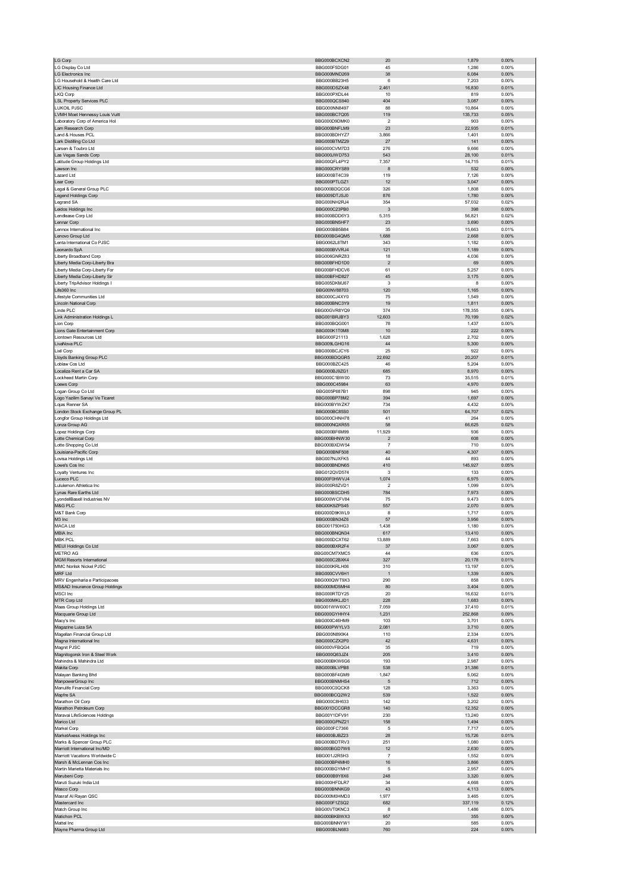| <b>LG Corp</b>                                                   | BBG000BCXCN2                 | 20                            | 1,879             | 0.00%             |
|------------------------------------------------------------------|------------------------------|-------------------------------|-------------------|-------------------|
| LG Display Co Ltd                                                | BBG000F5DG01                 | 45                            | 1,286             | 0.00%             |
| <b>LG Electronics Inc</b>                                        | BBG000MND269                 | 38                            | 6,084             | 0.00%             |
| LG Household & Health Care Ltd                                   | BBG000BB23H5                 | 6                             | 7,203             | 0.00%             |
| LIC Housing Finance Ltd                                          | BBG000DSZX48                 | 2,461                         | 16,830            | 0.01%             |
| LKQ Corp                                                         | BBG000PXDL44                 | 10                            | 819               | 0.00%             |
| <b>LSL Property Services PLC</b><br>LUKOIL PJSC                  | BBG000QCS940<br>BBG000NN8497 | 404<br>88                     | 3,087<br>10,864   | 0.00%<br>0.00%    |
| LVMH Moet Hennessy Louis Vuitt                                   | BBG000BC7Q05                 | 119                           | 135,733           | 0.05%             |
| Laboratory Corp of America Hol                                   | BBG000D9DMK0                 | $\overline{\mathbf{c}}$       | 903               | 0.00%             |
| Lam Research Corp                                                | BBG000BNFLM9                 | 23                            | 22,935            | 0.01%             |
| Land & Houses PCL                                                | BBG000BDHYZ7                 | 3,866                         | 1,401             | 0.00%             |
| Lark Distilling Co Ltd                                           | BBG000BTMZ29                 | 27                            | 141               | 0.00%             |
| Larsen & Toubro Ltd                                              | BBG000CVM7D3                 | 276                           | 9,666             | 0.00%             |
| Las Vegas Sands Corp                                             | BBG000JWD753                 | 543                           | 28,100            | 0.01%             |
| Latitude Group Holdings Ltd<br>Lawson Inc                        | BBG00QFL4PY2<br>BBG000CRYS89 | 7,357<br>8                    | 14,715<br>532     | 0.01%<br>0.00%    |
| Lazard Ltd                                                       | BBG000BT4C39                 | 119                           | 7,126             | 0.00%             |
| Lear Corp                                                        | BBG000PTLGZ1                 | 12                            | 3,047             | 0.00%             |
| Legal & General Group PLC                                        | BBG000BDQCG6                 | 326                           | 1,808             | 0.00%             |
| <b>Legend Holdings Corp</b>                                      | BBG009DTJSJ0                 | 876                           | 1,780             | 0.00%             |
| Legrand SA                                                       | BBG000NH2RJ4                 | 354                           | 57,032            | 0.02%             |
| Leidos Holdings Inc<br>Lendlease Corp Ltd                        | BBG000C23PB0<br>BBG000BDD6Y3 | $\mathbf{3}$<br>5,315         | 398               | 0.00%<br>0.02%    |
| Lennar Corp                                                      | BBG000BN5HF7                 | 23                            | 56,821<br>3,690   | 0.00%             |
| Lennox International Inc                                         | BBG000BB5B84                 | 35                            | 15,663            | 0.01%             |
| Lenovo Group Ltd                                                 | BBG000BG4QM5                 | 1,688                         | 2,668             | 0.00%             |
| Lenta International Co PJSC                                      | BBG0062L8TM1                 | 343                           | 1,182             | 0.00%             |
| Leonardo SpA                                                     | BBG000BVVRJ4                 | 121                           | 1,189             | 0.00%             |
| Liberty Broadband Corp<br>Liberty Media Corp-Liberty Bra         | BBG006GNRZ83<br>BBG00BFHD1D0 | 18<br>$\overline{\mathbf{c}}$ | 4,036<br>69       | 0.00%<br>0.00%    |
| Liberty Media Corp-Liberty For                                   | BBG00BFHDCV6                 | 61                            | 5,257             | 0.00%             |
| Liberty Media Corp-Liberty Sir                                   | BBG00BFHD827                 | 45                            | 3,175             | 0.00%             |
| Liberty TripAdvisor Holdings I                                   | BBG005DKMJ67                 | 3                             | 8                 | 0.00%             |
| Life360 Inc                                                      | BBG00NV88703                 | 120                           | 1,165             | 0.00%             |
| Lifestyle Communities Ltd                                        | BBG000CJ4XY0                 | 75                            | 1,549             | 0.00%             |
| Lincoln National Corp                                            | BBG000BNC3Y9                 | 19                            | 1,811             | 0.00%             |
| Linde PLC<br>Link Administration Holdings L                      | BBG00GVR8YQ9<br>BBG001BRJBY3 | 374<br>12,603                 | 178,355<br>70,199 | 0.06%<br>0.02%    |
| Lion Corp                                                        | BBG000BQG001                 | 78                            | 1,437             | 0.00%             |
| Lions Gate Entertainment Corp                                    | BBG000K1T0M8                 | 10                            | 222               | $0.00\%$          |
| Liontown Resources Ltd                                           | BBG000F21113                 | 1,628                         | 2,702             | 0.00%             |
| LivaNova PLC                                                     | BBG009LGHG16                 | 44                            | 5,300             | $0.00\%$          |
| Lixil Corp                                                       | BBG000BCJCY6                 | 25                            | 922               | 0.00%             |
| Lloyds Banking Group PLC                                         | BBG000BDQGR5                 | 22,692                        | 20,207            | 0.01%             |
| Loblaw Cos Ltd<br>Localiza Rent a Car SA                         | BBG000BZC425<br>BBG000BJ9ZG1 | 46<br>685                     | 5,204<br>8,970    | 0.00%<br>0.00%    |
| Lockheed Martin Corp                                             | BBG000C1BW00                 | 73                            | 35,515            | 0.01%             |
| Loews Corp                                                       | BBG000C45984                 | 63                            | 4,970             | 0.00%             |
| Logan Group Co Ltd                                               | BBG005P687B1                 | 898                           | 945               | 0.00%             |
| Logo Yazilim Sanayi Ve Ticaret                                   | BBG000BP78M2                 | 394                           | 1,697             | $0.00\%$          |
| Loias Renner SA                                                  | BBG000BYWZK7                 | 734                           | 4,432             | 0.00%             |
| London Stock Exchange Group PL                                   | BBG000BC85S0                 | 501                           | 64,707            | 0.02%             |
| Longfor Group Holdings Ltd<br>Lonza Group AG                     | BBG000CHNH78<br>BBG000NQXR55 | 41<br>58                      | 264<br>66,625     | 0.00%<br>0.02%    |
| Lopez Holdings Corp                                              | BBG000BF6M99                 | 11,929                        | 936               | 0.00%             |
| Lotte Chemical Corp                                              | BBG000BHNW30                 | $\overline{2}$                | 608               | 0.00%             |
| Lotte Shopping Co Ltd                                            | BBG000BXDW54                 | -7                            | 710               | 0.00%             |
| Louisiana-Pacific Corp                                           | BBG000BNF508                 | 40                            | 4,307             | 0.00%             |
| Lovisa Holdings Ltd                                              | BBG007NJXFK5                 | 44                            | 893               | 0.00%             |
| Lowe's Cos Inc                                                   | BBG000BNDN65                 | 410                           | 145,927           | 0.05%             |
| Loyalty Ventures Inc<br>Luceco PLC                               | BBG012QVD574<br>BBG00F0HWVJ4 | 3<br>1,074                    | 133<br>6,975      | 0.00%<br>0.00%    |
| Lululemon Athletica Inc                                          | BBG000R8ZVD1                 | $\overline{\mathbf{2}}$       | 1,099             | 0.00%             |
| Lynas Rare Earths Ltd                                            | BBG000BSCDH5                 | 784                           | 7,973             | 0.00%             |
| LyondellBasell Industries NV                                     | BBG000WCFV84                 | $75\,$                        | 9,473             | 0.00%             |
| M&G PLC                                                          | BBG00K9ZPS45                 | 557                           | 2,070             | 0.00%             |
| M&T Bank Corp                                                    | BBG000D9KWL9                 | 8                             | 1,717             | 0.00%             |
| M3 Inc                                                           | BBG000BN34Z6                 | 57                            | 3,956             | 0.00%             |
| MACA Ltd<br><b>IBIA Inc</b>                                      | BBG001750HG3                 | 1,438<br>61/                  | 1,180<br>3,410    | 0.00%<br>0.00%    |
| <b>MBK PCL</b>                                                   | BBG000DCXT62                 | 13,889                        | 7,663             | 0.00%             |
| MEIJI Holdings Co Ltd                                            | BBG000BXR2F4                 | 37                            | 3,067             | 0.00%             |
| METRO AG                                                         | BBG00CM7XMC5                 | 44                            | 636               | 0.00%             |
| <b>MGM Resorts International</b>                                 | BBG000C2BXK4                 | 327                           | 20,178            | 0.01%             |
| MMC Norilsk Nickel PJSC                                          | BBG000KRLH06                 | 310                           | 13,197            | 0.00%             |
| MRF Ltd                                                          | BBG000CVV6H1                 | $\overline{1}$<br>290         | 1,339             | 0.00%<br>0.00%    |
| MRV Engenharia e Participacoes<br>MS&AD Insurance Group Holdings | BBG000QWT9X3<br>BBG000MD5MH4 | 80                            | 858<br>3,404      | 0.00%             |
| MSCI Inc                                                         | BBG000RTDY25                 | 20                            | 16,632            | 0.01%             |
| MTR Corp Ltd                                                     | BBG000MKLJD1                 | 228                           | 1,683             | 0.00%             |
| Maas Group Holdings Ltd                                          | BBG001WW60C1                 | 7,059                         | 37,410            | 0.01%             |
| Macquarie Group Ltd                                              | BBG000GYHHY4                 | 1,231                         | 252,868           | 0.09%             |
| Macy's Inc<br>Magazine Luiza SA                                  | BBG000C46HM9<br>BBG000PWYLV3 | 103<br>2,081                  | 3,701<br>3,710    | 0.00%<br>$0.00\%$ |
| Magellan Financial Group Ltd                                     | BBG000N890K4                 | 110                           | 2,334             | 0.00%             |
| Magna International Inc                                          | BBG000CZX2P0                 | 42                            | 4,631             | 0.00%             |
| Magnit PJSC                                                      | BBG000VFBQG4                 | 35                            | 719               | 0.00%             |
| Magnitogorsk Iron & Steel Work                                   | BBG000Q63JZ4                 | 205                           | 3,410             | 0.00%             |
| Mahindra & Mahindra Ltd<br>Makita Corp                           | BBG000BKW6G6                 | 193                           | 2,987             | 0.00%             |
| Malayan Banking Bhd                                              | BBG000BLVPB8<br>BBG000BF4GM9 | 538<br>1,847                  | 31,386<br>5,062   | 0.01%<br>0.00%    |
| ManpowerGroup Inc                                                | BBG000BNMHS4                 | 5                             | 712               | 0.00%             |
| Manulife Financial Corp                                          | BBG000C0QCK8                 | 128                           | 3,363             | 0.00%             |
| Mapfre SA                                                        | BBG000BCQ2W2                 | 539                           | 1,522             | 0.00%             |
| Marathon Oil Corp                                                | BBG000C8H633                 | 142                           | 3,202             | 0.00%             |
| Marathon Petroleum Corp                                          | BBG001DCCGR8                 | 140                           | 12,352            | 0.00%             |
| Maravai LifeSciences Holdings<br>Marico Ltd                      | BBG00Y1DFV91<br>BBG000GPNZ21 | 230<br>158                    | 13,240<br>1,494   | 0.00%<br>0.00%    |
| Markel Corp                                                      | BBG000FC7366                 | 5                             | 7,717             | 0.00%             |
| MarketAxess Holdings Inc                                         | BBG000BJBZ23                 | 28                            | 15,726            | 0.01%             |
| Marks & Spencer Group PLC                                        | BBG000BDTRV3                 | 251                           | 1,080             | 0.00%             |
| Marriott International Inc/MD                                    | BBG000BGD7W6                 | 12                            | 2,630             | 0.00%             |
| Marriott Vacations Worldwide C                                   | BBG001J2R5H3                 | 7                             | 1,552             | 0.00%             |
| Marsh & McLennan Cos Inc                                         | BBG000BP4MH0                 | $16\,$                        | 3,866             | 0.00%             |
| Martin Marietta Materials Inc<br>Marubeni Corp                   | BBG000BGYMH7<br>BBG000B9Y8X6 | 5<br>248                      | 2,957<br>3,320    | 0.00%<br>0.00%    |
| Maruti Suzuki India Ltd                                          | BBG000HFDLR7                 | 34                            | 4,668             | 0.00%             |
| Masco Corp                                                       |                              | 43                            | 4,113             | 0.00%             |
| Masraf Al Rayan QSC                                              | BBG000BNNKG9                 |                               |                   |                   |
|                                                                  | BBG000M0HMD3                 | 1,977                         | 3,465             | 0.00%             |
| Mastercard Inc                                                   | BBG000F1ZSQ2                 | 682                           | 337,119           | 0.12%             |
| Match Group Inc                                                  | BBG00VT0KNC3                 | 8                             | 1,486             | 0.00%             |
| Matichon PCL                                                     | BBG000BKBWX3                 | 957                           | 355               | 0.00%             |
| Mattel Inc<br>Mayne Pharma Group Ltd                             | BBG000BNNYW1<br>BBG000BLN683 | 20<br>760                     | 585<br>224        | 0.00%<br>$0.00\%$ |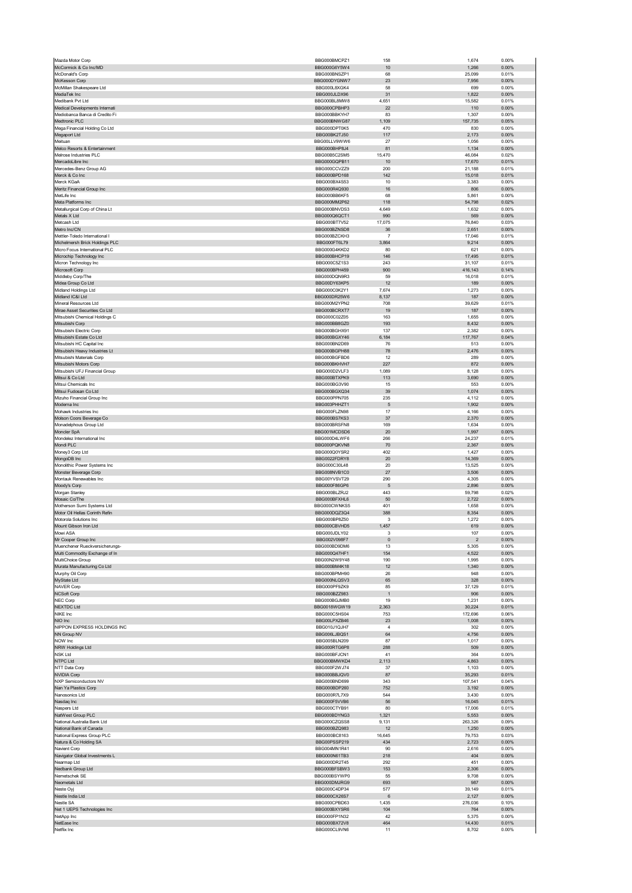| Mazda Motor Corp                                             | BBG000BMCPZ1                 | 158                  | 1,674                            | 0.00%             |
|--------------------------------------------------------------|------------------------------|----------------------|----------------------------------|-------------------|
| McCormick & Co Inc/MD<br>McDonald's Corp                     | BBG000G6Y5W4<br>BBG000BNSZP1 | 10<br>68             | 1,266<br>25,099                  | 0.00%<br>0.01%    |
| McKesson Corp                                                | BBG000DYGNW7                 | 23                   | 7,956                            | 0.00%             |
| McMillan Shakespeare Ltd                                     | BBG000L8XGK4                 | 58                   | 699                              | 0.00%             |
| MediaTek Inc<br>Medibank Pvt Ltd                             | BBG000JLDX96<br>BBG000BL8MW8 | 31<br>4,651          | 1,822<br>15,582                  | 0.00%<br>0.01%    |
| Medical Developments Internati                               | BBG000CPBHP3                 | 22                   | 110                              | 0.00%             |
| Mediobanca Banca di Credito Fi                               | BBG000BBKYH7                 | 83                   | 1,307                            | 0.00%             |
| Medtronic PLC<br>Mega Financial Holding Co Ltd               | BBG000BNWG87<br>BBG000DPT0K5 | 1,109<br>470         | 157,735<br>830                   | 0.05%<br>0.00%    |
| Megaport Ltd                                                 | BBG00BK2TJ50                 | 117                  | 2,173                            | 0.00%             |
| Meituan                                                      | BBG00LLV9WW6                 | 27                   | 1,056                            | 0.00%             |
| Melco Resorts & Entertainment<br>Melrose Industries PLC      | BBG000BHP8J4<br>BBG00B5C2SM5 | 81<br>15,470         | 1,134<br>46,084                  | 0.00%<br>0.02%    |
| MercadoLibre Inc                                             | BBG000GOPB11                 | 10                   | 17,670                           | 0.01%             |
| Mercedes-Benz Group AG                                       | BBG000CCVZZ9                 | 200                  | 21,188                           | 0.01%             |
| Merck & Co Inc<br>Merck KGaA                                 | BBG000BPD168<br>BBG000BX4S53 | 142<br>10            | 15,018<br>3,383                  | 0.01%<br>0.00%    |
| Meritz Financial Group Inc                                   | BBG000R4Q930                 | 16                   | 806                              | 0.00%             |
| MetLife Inc                                                  | BBG000BB6KF5                 | 68                   | 5,861                            | 0.00%             |
| Meta Platforms Inc                                           | BBG000MM2P62<br>BBG000BNVDS3 | 118<br>4,649         | 54,798<br>1,632                  | 0.02%<br>0.00%    |
| Metallurgical Corp of China Lt<br>Metals X Ltd               | BBG000Q6QCT1                 | 990                  | 569                              | 0.00%             |
| Metcash Ltd                                                  | BBG000BT7V52                 | 17,075               | 76,840                           | 0.03%             |
| Metro Inc/CN<br>Mettler-Toledo International I               | BBG000BZNSD8<br>BBG000BZCKH3 | 36<br>$\overline{7}$ | 2,651<br>17,046                  | 0.00%<br>0.01%    |
| Michelmersh Brick Holdings PLC                               | BBG000FT6L79                 | 3,864                | 9,214                            | 0.00%             |
| Micro Focus International PLC                                | BBG000G4KKD2                 | 80                   | 621                              | 0.00%             |
| Microchip Technology Inc                                     | BBG000BHCP19                 | 146                  | 17,495                           | 0.01%             |
| Micron Technology Inc<br>Microsoft Corp                      | BBG000C5Z1S3<br>BBG000BPH459 | 243<br>900           | 31,107<br>416,143                | 0.01%<br>0.14%    |
| Middleby Corp/The                                            | BBG000DON9R3                 | 59                   | 16,018                           | 0.01%             |
| Midea Group Co Ltd                                           | BBG00DY63KP5<br>BBG000C0K2Y1 | 12                   | 189                              | 0.00%             |
| Midland Holdings Ltd<br>Midland IC&I Ltd                     | BBG000DR25W6                 | 7,674<br>8,137       | 1,273<br>187                     | 0.00%<br>0.00%    |
| Mineral Resources Ltd                                        | BBG000M2YPN2                 | 708                  | 39,629                           | 0.01%             |
| Mirae Asset Securities Co Ltd                                | BBG000BCRXT7                 | 19                   | 187                              | 0.00%             |
| Mitsubishi Chemical Holdings C<br>Mitsubishi Corp            | BBG000C02Z05<br>BBG000BB8GZ0 | 163<br>193           | 1,655<br>8,432                   | 0.00%<br>0.00%    |
| Mitsubishi Electric Corp                                     | BBG000BGHX91                 | 137                  | 2,382                            | 0.00%             |
| Mitsubishi Estate Co Ltd                                     | BBG000BGXY46                 | 6,184                | 117,767                          | 0.04%             |
| Mitsubishi HC Capital Inc<br>Mitsubishi Heavy Industries Lt  | BBG000BN2D69<br>BBG000BGPH88 | 76<br>78             | 513<br>2,476                     | 0.00%<br>0.00%    |
| Mitsubishi Materials Corp                                    | BBG000BGFBD6                 | 12                   | 289                              | 0.00%             |
| Mitsubishi Motors Corp                                       | BBG000BKHVH7                 | 227                  | 872                              | 0.00%             |
| Mitsubishi UFJ Financial Group<br>Mitsui & Co Ltd            | BBG000D2VLF3<br>BBG000BTXPK9 | 1,089<br>113         | 8,128<br>3,690                   | 0.00%<br>0.00%    |
| Mitsui Chemicals Inc                                         | BBG000BG3V90                 | 15                   | 553                              | 0.00%             |
| Mitsui Fudosan Co Ltd                                        | BBG000BGXQ34                 | 39                   | 1,074                            | 0.00%             |
| Mizuho Financial Group Inc<br>Moderna Inc                    | BBG000PPN705<br>BBG003PHHZT1 | 235<br>5             | 4,112<br>1,902                   | 0.00%<br>0.00%    |
| Mohawk Industries Inc                                        | BBG000FLZN98                 | 17                   | 4,166                            | 0.00%             |
| Molson Coors Beverage Co                                     | BBG000BS7KS3                 | 37                   | 2,370                            | 0.00%             |
| Monadelphous Group Ltd<br>Moncler SpA                        | BBG000BRSFN8<br>BBG001MCDSD6 | 169<br>20            | 1,634<br>1,997                   | 0.00%<br>0.00%    |
| Mondelez International Inc                                   | BBG000D4LWF6                 | 266                  | 24,237                           | 0.01%             |
| Mondi PLC                                                    | BBG000PQKVN8                 | 70                   | 2,367                            | 0.00%             |
| Money3 Corp Ltd<br>MongoDB Inc                               | BBG000Q0YSR2<br>BBG0022FDRY8 | 402<br>20            | 1,427<br>14,369                  | 0.00%<br>0.00%    |
| Monolithic Power Systems Inc                                 | BBG000C30L48                 | 20                   | 13,525                           | 0.00%             |
| Monster Beverage Corp                                        | BBG008NVB1C0                 | 27                   | 3,506                            | 0.00%             |
| Montauk Renewables Inc                                       | BBG00YVSVT29<br>BBG000F86GP6 | 290                  | 4,305                            | 0.00%             |
| Moody's Corp<br>Morgan Stanley                               | BBG000BLZRJ2                 | 5<br>443             | 2,896<br>59,798                  | 0.00%<br>0.02%    |
| Mosaic Co/The                                                | BBG000BFXHL6                 | 50                   | 2,722                            | 0.00%             |
| Motherson Sumi Systems Ltd<br>Motor Oil Hellas Corinth Refin | BBG000CWNKS5<br>BBG000DQZ3Q4 | 401<br>388           | 1,658<br>8,354                   | 0.00%<br>0.00%    |
| Motorola Solutions Inc                                       | BBG000BP8Z50                 | 3                    | 1,272                            | 0.00%             |
| Mount Gibson Iron Ltd                                        | BBG000CBVHD5                 | 1,457                | 619                              | 0.00%             |
| Mowi ASA                                                     | BBG000.IDLY02                |                      | 107                              | n nn%             |
| Mr Cooper Group Inc<br>Muenchener Rueckversicherungs-        | BBG002V098F7<br>BBG000BD9DM6 | $\pmb{0}$<br>13      | $\overline{\mathbf{c}}$<br>5,305 | 0.00%<br>0.00%    |
| Multi Commodity Exchange of In                               | BBG000Q47HF1                 | 154                  | 4,522                            | 0.00%             |
| MultiChoice Group                                            | BBG00N2W9Y48                 | 190                  | 1,995                            | 0.00%             |
| Murata Manufacturing Co Ltd<br>Murphy Oil Corp               | BBG000BM4K18<br>BBG000BPMH90 | 12<br>26             | 1,340<br>948                     | 0.00%<br>0.00%    |
| MyState Ltd                                                  | BBG000NLQSV3                 | 65                   | 328                              | 0.00%             |
| NAVER Corp                                                   | BBG000PF9ZK9                 | 85                   | 37,129                           | 0.01%             |
| NCSoft Corp<br>NEC Corp                                      | BBG000BZZ983<br>BBG000BGJMB0 | $\overline{1}$<br>19 | 906<br>1,231                     | 0.00%<br>0.00%    |
| NEXTDC Ltd                                                   | BBG0018WGW19                 | 2,363                | 30,224                           | 0.01%             |
| NIKE Inc<br>NIO Inc                                          | BBG000C5HS04                 | 753<br>23            | 172,696<br>1,008                 | 0.06%<br>0.00%    |
| NIPPON EXPRESS HOLDINGS INC                                  | BBG00LPXZB46<br>BBG010J1QJH7 | $\overline{4}$       | 302                              | 0.00%             |
| NN Group NV                                                  | BBG006LJBQS1                 | 64                   | 4,756                            | 0.00%             |
| NOW Inc<br>NRW Holdings Ltd                                  |                              |                      | 1,017                            | 0.00%             |
| NSK Ltd                                                      | BBG005BLN209                 | 87                   |                                  |                   |
|                                                              | BBG000RTG6P8<br>BBG000BFJCN1 | 288<br>41            | 509<br>364                       | 0.00%<br>0.00%    |
| NTPC Ltd                                                     | BBG000BMWKD4                 | 2,113                | 4,863                            | 0.00%             |
| NTT Data Corp                                                | BBG000F2WJ74                 | 37                   | 1,103                            | 0.00%             |
| <b>NVIDIA Corp</b><br>NXP Semiconductors NV                  | BBG000BBJQV0<br>BBG000BND699 | 87<br>343            | 35,293<br>107,541                | 0.01%<br>0.04%    |
| Nan Ya Plastics Corp                                         | BBG000BDP260                 | 752                  | 3,192                            | 0.00%             |
| Nanosonics Ltd                                               | BBG000R7L7X9                 | 544                  | 3,430                            | 0.00%             |
| Nasdaq Inc<br>Naspers Ltd                                    | BBG000F5VVB6<br>BBG000CTYB91 | 56<br>80             | 16,045<br>17,006                 | 0.01%<br>0.01%    |
| NatWest Group PLC                                            | BBG000BDYNG3                 | 1,321                | 5,553                            | 0.00%             |
| National Australia Bank Ltd                                  | BBG000CZQSS8                 | 9,131                | 263,326                          | 0.09%             |
| National Bank of Canada<br>National Express Group PLC        | BBG000BZQ983<br>BBG000BC8163 | 12<br>16,645         | 1,250<br>79,753                  | 0.00%<br>0.03%    |
| Natura & Co Holding SA                                       | BBG00PSSP219                 | 434                  | 2,723                            | 0.00%             |
| Navient Corp                                                 | BBG004MN1R41                 | 90                   | 2,616                            | 0.00%             |
| Navigator Global Investments L<br>Nearmap Ltd                | BBG000N61TB3<br>BBG000DR2T45 | 218<br>292           | 404<br>451                       | $0.00\%$<br>0.00% |
| Nedbank Group Ltd                                            | BBG000BFSBW3                 | 153                  | 2,306                            | 0.00%             |
| Nemetschek SE                                                | BBG000BSYWP0                 | 55                   | 9,708                            | 0.00%             |
| Neometals Ltd<br>Neste Oyj                                   | BBG000DMJRG9<br>BBG000C4DP34 | 693<br>577           | 987<br>39,149                    | 0.00%<br>0.01%    |
| Nestle India Ltd                                             | BBG000CX26S7                 | 6                    | 2,127                            | 0.00%             |
| Nestle SA                                                    | BBG000CPBD63                 | 1,435                | 276,036                          | 0.10%             |
| Net 1 UEPS Technologies Inc<br>NetApp Inc                    | BBG000BXYSR6<br>BBG000FP1N32 | 104<br>42            | 764<br>5,375                     | 0.00%<br>0.00%    |
| NetEase Inc<br>Netflix Inc                                   | BBG000BX72V8<br>BBG000CL9VN6 | 464<br>11            | 14,430<br>8,702                  | 0.01%<br>0.00%    |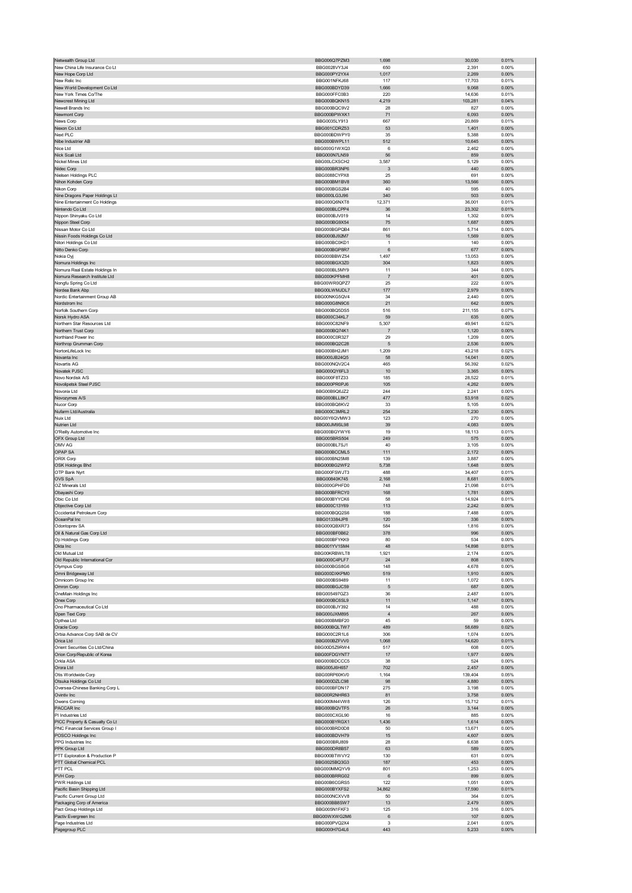| Netwealth Group Ltd                                       | BBG006Q7PZM3                 | 1,698          | 30,030           | 0.01%             |
|-----------------------------------------------------------|------------------------------|----------------|------------------|-------------------|
| New China Life Insurance Co Lt                            | BBG0028VY3J4                 | 650<br>1,017   | 2,391<br>2,269   | 0.00%<br>0.00%    |
| New Hope Corp Ltd<br>New Relic Inc                        | BBG000PY2YX4<br>BBG001NFKJ68 | 117            | 17,703           | 0.01%             |
| New World Development Co Ltd                              | BBG000BDYD39                 | 1,666          | 9,068            | 0.00%             |
| New York Times Co/The                                     | BBG000FFC0B3                 | 220            | 14,636           | 0.01%             |
| Newcrest Mining Ltd<br>Newell Brands Inc                  | BBG000BQKN15<br>BBG000BQC9V2 | 4,219<br>28    | 103,281<br>827   | 0.04%<br>0.00%    |
| Newmont Corp                                              | BBG000BPWXK1                 | 71             | 6,093            | 0.00%             |
| News Corp                                                 | BBG0035LY913                 | 667            | 20,869           | 0.01%             |
| Nexon Co Ltd                                              | BBG001CDRZ53                 | 53             | 1,401            | 0.00%             |
| Next PLC                                                  | BBG000BDWPY0                 | 35             | 5,388            | 0.00%             |
| Nibe Industrier AB<br>Nice Ltd                            | BBG000BWPL11<br>BBG000G1WXQ3 | 512<br>6       | 10,645<br>2,462  | 0.00%<br>0.00%    |
| Nick Scali Ltd                                            | BBG000N7LN59                 | 56             | 859              | 0.00%             |
| Nickel Mines Ltd                                          | BBG00LCXSCH2                 | 3,587          | 5,129            | 0.00%             |
| Nidec Corp                                                | BBG000BR3NP6                 | 3              | 440              | 0.00%             |
| Nielsen Holdings PLC<br>Nihon Kohden Corp                 | BBG0088CYPX8<br>BBG000BM1BV8 | 25<br>360      | 691<br>13,566    | 0.00%<br>0.00%    |
| Nikon Corp                                                | BBG000BGS2B4                 | 40             | 595              | 0.00%             |
| Nine Dragons Paper Holdings Lt                            | BBG000LG3J96                 | 340            | 503              | 0.00%             |
| Nine Entertainment Co Holdings                            | BBG000Q6NXT8                 | 12,371         | 36,001           | 0.01%             |
| Nintendo Co Ltd<br>Nippon Shinyaku Co Ltd                 | BBG000BLCPP4<br>BBG000BJV019 | 36<br>14       | 23,302<br>1,302  | 0.01%<br>0.00%    |
| Nippon Steel Corp                                         | BBG000BG9X54                 | 75             | 1,687            | 0.00%             |
| Nissan Motor Co Ltd                                       | BBG000BGPQB4                 | 861            | 5,714            | 0.00%             |
| Nissin Foods Holdings Co Ltd                              | BBG000BJ92M7                 | 16             | 1,569            | 0.00%             |
| Nitori Holdings Co Ltd                                    | BBG000BC0KD1                 | $\mathbf{1}$   | 140              | 0.00%             |
| Nitto Denko Corp<br>Nokia Oyj                             | BBG000BGP8R7<br>BBG000BBWZ54 | 6<br>1,497     | 677<br>13,053    | 0.00%<br>0.00%    |
| Nomura Holdings Inc                                       | BBG000BGX3Z0                 | 304            | 1,823            | 0.00%             |
| Nomura Real Estate Holdings In                            | BBG000BL5MY9                 | 11             | 344              | 0.00%             |
| Nomura Research Institute Ltd                             | BBG000KPFMH8                 | $\overline{7}$ | 401              | 0.00%             |
| Nongfu Spring Co Ltd                                      | BBG00WR0QPZ7                 | 25             | 222              | 0.00%             |
| Nordea Bank Abp<br>Nordic Entertainment Group AB          | BBG00LWMJDL7<br>BBG00NKG5QV4 | 177<br>34      | 2,979<br>2,440   | 0.00%<br>0.00%    |
| Nordstrom Inc                                             | BBG000G8N9C6                 | 21             | 642              | 0.00%             |
| Norfolk Southern Corp                                     | BBG000BQ5DS5                 | 516            | 211,155          | 0.07%             |
| Norsk Hydro ASA                                           | BBG000C34KL7                 | 59             | 635              | 0.00%             |
| Northern Star Resources Ltd                               | BBG000C82NF9                 | 5,307          | 49,941           | 0.02%             |
| Northern Trust Corp<br>Northland Power Inc                | BBG000BQ74K1                 | $\overline{7}$ | 1,120            | 0.00%             |
| Northrop Grumman Corp                                     | BBG000C0R327<br>BBG000BQ2C28 | 29<br>5        | 1,209<br>2,536   | 0.00%<br>0.00%    |
| NortonLifeLock Inc                                        | BBG000BH2JM1                 | 1,209          | 43,218           | 0.02%             |
| Novanta Inc                                               | BBG000JB24Q5                 | 58             | 14,041           | 0.00%             |
| Novartis AG                                               | BBG000NQV2C4                 | 465            | 56,392           | 0.02%             |
| Novatek PJSC                                              | BBG000QY6FL3                 | 10             | 3,365            | 0.00%             |
| Novo Nordisk A/S<br>Novolipetsk Steel PJSC                | BBG000F8TZ33<br>BBG000PR0PJ6 | 185<br>105     | 28,522<br>4,262  | 0.01%<br>0.00%    |
| Novonix Ltd                                               | BBG00B9Q6JZ2                 | 244            | 2,241            | 0.00%             |
| Novozymes A/S                                             | BBG000BLL8K7                 | 477            | 53,918           | 0.02%             |
| Nucor Corp                                                | BBG000BQ8KV2                 | 33             | 5,105            | 0.00%             |
| Nufarm Ltd/Australia                                      | BBG000C3MRL2                 | 254            | 1,230            | 0.00%             |
| Nuix Ltd<br>Nutrien Ltd                                   | BBG00Y6QVMW3<br>BBG00JM9SL98 | 123<br>39      | 270<br>4,083     | 0.00%<br>0.00%    |
| O'Reilly Automotive Inc                                   | BBG000BGYWY6                 | 19             | 18,113           | 0.01%             |
| OFX Group Ltd                                             | BBG005BRS504                 | 249            | 575              | $0.00\%$          |
|                                                           |                              |                |                  |                   |
| OMV AG                                                    | BBG000BL7SJ1                 | 40             | 3,105            | 0.00%             |
| OPAP SA                                                   | BBG000BCCML5                 | 111            | 2,172            | 0.00%             |
| ORIX Corp                                                 | BBG000BN25M8                 | 139            | 3,887            | 0.00%             |
| <b>OSK Holdings Bhd</b>                                   | BBG000BG2WF2                 | 5,738          | 1,648            | 0.00%             |
| OTP Bank Nyrt<br>OVS SpA                                  | BBG000FSWJT3<br>BBG00840K745 | 488<br>2,168   | 34,407<br>8,681  | 0.01%<br>0.00%    |
| OZ Minerals Ltd                                           | BBG000GPHFD0                 | 748            | 21,098           | 0.01%             |
| Obayashi Corp                                             | BBG000BFRCY0                 | 168            | 1,781            | 0.00%             |
| Obic Co Ltd                                               | BBG000BYYCK6                 | 58             | 14,924           | 0.01%             |
| Objective Corp Ltd                                        | BBG000C13Y69                 | 113            | 2,242            | 0.00%             |
| Occidental Petroleum Corp<br>OceanPal Inc                 | BBG000BQQ2S6<br>BBG013384JP8 | 188<br>120     | 7,488<br>336     | 0.00%<br>0.00%    |
| Odontoprev SA                                             | BBG000QBXR73                 | 584            | 1,816            | 0.00%             |
| Oil & Natural Gas Corp Ltd                                | BBG000BE0B62                 | 378            | QQF              | n nn%             |
| Oji Holdings Corp                                         | BBG000BFYKK9                 | 80             | 534              | 0.00%             |
| Okta Inc<br>Old Mutual Ltd                                | BBG001YV1SM4<br>BBG00KRBWLT8 | 48<br>1,921    | 14,898           | 0.01%<br>0.00%    |
| Old Republic International Cor                            | BBG000C4PLF7                 | 24             | 2,174<br>808     | 0.00%             |
| Olympus Corp                                              | BBG000BGS8G6                 | 148            | 4,678            | 0.00%             |
| Omni Bridgeway Ltd                                        | BBG000DXKPM0                 | 519            | 1,910            | $0.00\%$          |
| Omnicom Group Inc                                         | BBG000BS9489                 | 11             | 1,072            | 0.00%             |
| Omron Corp<br>OneMain Holdings Inc                        | BBG000BGJC59                 | 5              | 687              | 0.00%             |
| Onex Corp                                                 | BBG005497GZ3<br>BBG000BC6SL9 | 36<br>11       | 2,487<br>1,147   | 0.00%<br>0.00%    |
| Ono Pharmaceutical Co Ltd                                 | BBG000BJY392                 | 14             | 488              | 0.00%             |
| Open Text Corp                                            | BBG000JXM895                 | $\overline{4}$ | 267              | 0.00%             |
| Opthea Ltd                                                | BBG000BMBF20                 | 45             | 59               | 0.00%             |
| Oracle Corp<br>Orbia Advance Corp SAB de CV               | BBG000BQLTW7<br>BBG000C2R1L6 | 489<br>306     | 58,689<br>1,074  | 0.02%<br>0.00%    |
| Orica Ltd                                                 | BBG000BZFVV0                 | 1,068          | 14,620           | 0.01%             |
| Orient Securities Co Ltd/China                            | BBG00D5Z9RW4                 | 517            | 608              | 0.00%             |
| Orion Corp/Republic of Korea                              | BBG00FDGYNT7                 | 17             | 1,977            | 0.00%             |
| Orkla ASA                                                 | BBG000BDCCC5                 | 38             | 524              | 0.00%             |
| Orora Ltd                                                 | BBG005J6H657<br>BBG00RP60KV0 | 702<br>1,164   | 2,457            | 0.00%<br>0.05%    |
| Otis Worldwide Corp<br>Otsuka Holdings Co Ltd             | BBG000DZLC98                 | 98             | 139,404<br>4,880 | 0.00%             |
| Oversea-Chinese Banking Corp L                            | BBG000BFDN17                 | 275            | 3,198            | 0.00%             |
| Ovintiv Inc                                               | BBG00R2NHR63                 | 81             | 3,758            | 0.00%             |
| Owens Corning                                             | BBG000M44VW8                 | 126            | 15,712           | 0.01%             |
| PACCAR Inc<br>PI Industries Ltd                           | BBG000BQVTF5<br>BBG000CXGL90 | 26<br>16       | 3,144<br>885     | 0.00%<br>0.00%    |
| PICC Property & Casualty Co Lt                            | BBG000BYRGX1                 | 1,436          | 1,614            | 0.00%             |
| PNC Financial Services Group I                            | BBG000BRD0D8                 | 50             | 13,671           | 0.00%             |
| POSCO Holdings Inc                                        | BBG000BDVH79                 | 15             | 4,607            | 0.00%             |
| PPG Industries Inc                                        | BBG000BRJ809                 | 28             | 6,638            | 0.00%             |
| PPK Group Ltd                                             | BBG000DR8B57                 | 63             | 589              | $0.00\%$          |
| PTT Exploration & Production P<br>PTT Global Chemical PCL | BBG000BTWVY2<br>BBG0025BQ3G3 | 130<br>187     | 631<br>453       | 0.00%<br>0.00%    |
| PTT PCL                                                   | BBG000MMQYV9                 | 801            | 1,253            | 0.00%             |
| PVH Corp                                                  | BBG000BRRG02                 | 6              | 899              | 0.00%             |
| PWR Holdings Ltd                                          | BBG00B6CGRS5                 | 122            | 1,051            | 0.00%             |
| Pacific Basin Shipping Ltd                                | BBG000BYXFS2                 | 34,862         | 17,590           | 0.01%             |
| Pacific Current Group Ltd<br>Packaging Corp of America    | BBG000NCXVV8<br>BBG000BB8SW7 | 50<br>13       | 364<br>2,479     | 0.00%<br>0.00%    |
| Pact Group Holdings Ltd                                   | BBG005N1FKF3                 | 125            | 316              | 0.00%             |
| Pactiv Evergreen Inc                                      | BBG00WXWG2M6                 | 6              | 107              | 0.00%             |
| Page Industries Ltd<br>Pagegroup PLC                      | BBG000PVQ2X4<br>BBG000H7G4L6 | 3<br>443       | 2,041<br>5,233   | 0.00%<br>$0.00\%$ |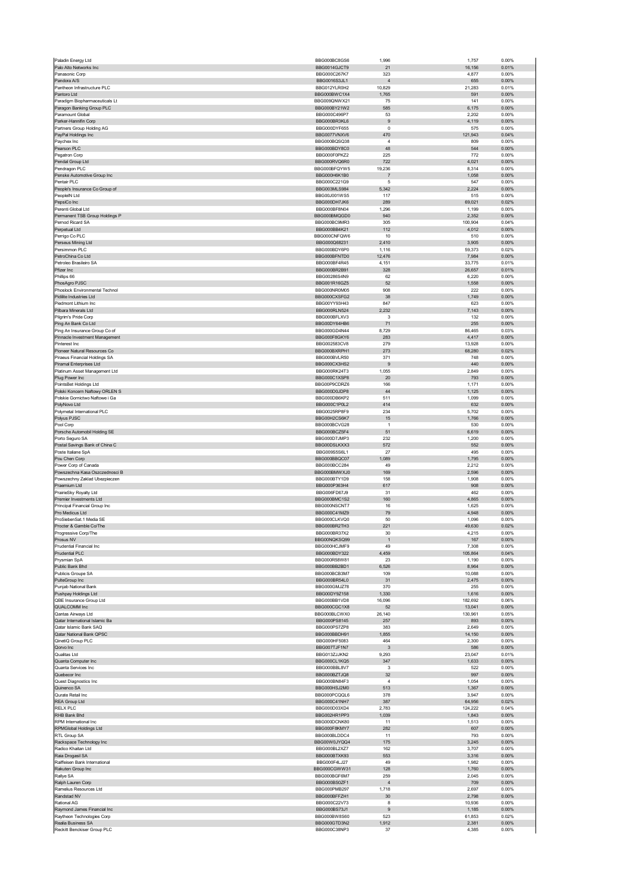|                                                             | BBG000BC8GS6                 | 1,996                   | 1,757            | 0.00%          |
|-------------------------------------------------------------|------------------------------|-------------------------|------------------|----------------|
| Palo Alto Networks Inc<br>Panasonic Corp                    | BBG0014GJCT9<br>BBG000C267K7 | 21<br>323               | 16,156<br>4,877  | 0.01%<br>0.00% |
| Pandora A/S                                                 | BBG0016S3JL1                 | $\overline{4}$          | 655              | 0.00%          |
| Pantheon Infrastructure PLC                                 | BBG012YLR0H2                 | 10,829                  | 21,283           | 0.01%          |
| Pantoro Ltd                                                 | BBG000BWC1X4                 | 1,765                   | 591              | 0.00%          |
| Paradigm Biopharmaceuticals Lt<br>Paragon Banking Group PLC | BBG009QNWX21<br>BBG000BY21W2 | 75<br>585               | 141<br>6,175     | 0.00%<br>0.00% |
| Paramount Global                                            | BBG000C496P7                 | 53                      | 2,202            | 0.00%          |
| Parker-Hannifin Corp                                        | BBG000BR3KL6                 | 9                       | 4,119            | 0.00%          |
| Partners Group Holding AG                                   | BBG000DYF655                 | $\circ$                 | 575              | 0.00%          |
| PayPal Holdings Inc                                         | BBG0077VNXV6<br>BBG000BQSQ38 | 470<br>$\overline{4}$   | 121,943<br>809   | 0.04%<br>0.00% |
| Paychex Inc<br>Pearson PLC                                  | BBG000BDY8C0                 | 48                      | 544              | 0.00%          |
| Pegatron Corp                                               | BBG000F0PKZ2                 | 225                     | 772              | 0.00%          |
| Pendal Group Ltd                                            | BBG000RVO6R0                 | 722                     | 4,021            | 0.00%          |
| Pendragon PLC                                               | BBG000BFQYW5                 | 19,236                  | 8,314            | 0.00%          |
| Penske Automotive Group Inc<br>Pentair PLC                  | BBG000H6K1B0<br>BBG000C221G9 | 7<br>5                  | 1,058<br>547     | 0.00%<br>0.00% |
| People's Insurance Co Group of                              | BBG003MLS984                 | 5,342                   | 2,224            | 0.00%          |
| PeopleIN Ltd                                                | BBG00J001WS5                 | 117                     | 515              | 0.00%          |
| PepsiCo Inc                                                 | BBG000DH7JK6                 | 289                     | 69,021           | 0.02%          |
| Perenti Global Ltd<br>Permanent TSB Group Holdings P        | BBG000BF8N04<br>BBG000BMQGD0 | 1,296<br>940            | 1,199<br>2,352   | 0.00%<br>0.00% |
| Pernod Ricard SA                                            | BBG000BC9MR3                 | 305                     | 100,904          | 0.04%          |
| Perpetual Ltd                                               | BBG000BB4K21                 | 112                     | 4,012            | 0.00%          |
| Perrigo Co PLC                                              | BBG000CNFQW6                 | 10                      | 510              | 0.00%          |
| Perseus Mining Ltd<br>Persimmon PLC                         | BBG000Q68231<br>BBG000BDY6P0 | 2,410<br>1.116          | 3,905<br>59,373  | 0.00%<br>0.02% |
| PetroChina Co Ltd                                           | BBG000BFNTD0                 | 12,476                  | 7,984            | 0.00%          |
| Petroleo Brasileiro SA                                      | BBG000BF4R45                 | 4,151                   | 33,775           | 0.01%          |
| Pfizer Inc                                                  | BBG000BR2B91                 | 328                     | 26,657           | 0.01%          |
| Phillips 66<br>PhosAgro PJSC                                | BBG00286S4N9<br>BBG001R16GZ5 | 62<br>52                | 6,220            | 0.00%<br>0.00% |
| Phoslock Environmental Technol                              | BBG000NR0M05                 | 908                     | 1,558<br>222     | 0.00%          |
| Pidilite Industries Ltd                                     | BBG000CXSFG2                 | 38                      | 1,749            | 0.00%          |
| Piedmont Lithium Inc                                        | BBG00YY93H43                 | 847                     | 623              | 0.00%          |
| Pilbara Minerals Ltd                                        | BBG000RLN524                 | 2,232                   | 7,143            | 0.00%          |
| Pilgrim's Pride Corp                                        | BBG000BFLXV3                 | 3                       | 132              | 0.00%          |
| Ping An Bank Co Ltd<br>Ping An Insurance Group Co of        | BBG00DY64HB6<br>BBG000GD4N44 | 71<br>8,729             | 255<br>86,465    | 0.00%<br>0.03% |
| Pinnacle Investment Management                              | BBG000F8GKY6                 | 283                     | 4,417            | 0.00%          |
| Pinterest Inc                                               | BBG002583CV8                 | 279                     | 13,928           | 0.00%          |
| Pioneer Natural Resources Co                                | BBG000BXRPH1                 | 273                     | 68,280           | 0.02%          |
| Piraeus Financial Holdings SA                               | BBG000BVLR50                 | 371                     | 748              | 0.00%          |
| Piramal Enterprises Ltd                                     | BBG000CX3HS2                 | 9                       | 440              | 0.00%          |
| Platinum Asset Management Ltd<br>Plug Power Inc             | BBG000RK24T3<br>BBG000C1XSP8 | 1,055<br>20             | 2,849<br>793     | 0.00%<br>0.00% |
| PointsBet Holdings Ltd                                      | BBG00P9CDRZ6                 | 166                     | 1,171            | 0.00%          |
| Polski Koncern Naftowy ORLEN S                              | BBG000D0JDP8                 | 44                      | 1,125            | 0.00%          |
| Polskie Gornictwo Naftowe i Ga                              | BBG000DB6KP2                 | 511                     | 1,099            | 0.00%          |
| PolyNovo Ltd                                                | BBG000C1P0L2                 | 414                     | 632              | 0.00%          |
| Polymetal International PLC<br>Polyus PJSC                  | BBG0025RP8F9<br>BBG00H2CS6K7 | 234<br>15               | 5,702<br>1,766   | 0.00%<br>0.00% |
| Pool Corp                                                   | BBG000BCVG28                 | $\overline{1}$          | 530              | 0.00%          |
| Porsche Automobil Holding SE                                | BBG000BCZ5F4                 | 51                      | 6,619            | 0.00%          |
| Porto Seguro SA                                             | BBG000D7JMP3                 | 232                     | 1,200            | 0.00%          |
| Postal Savings Bank of China C                              | BBG00DSLKXX3                 | 572                     | 552              | 0.00%          |
| Poste Italiane SpA<br>Pou Chen Corp                         | BBG009S5S6L1<br>BBG000BBQC07 | 27<br>1,089             | 495<br>1,795     | 0.00%<br>0.00% |
| Power Corp of Canada                                        | BBG000BCC284                 | 49                      | 2,212            | 0.00%          |
| Powszechna Kasa Oszczednosci B                              | BBG000BMWXJ0                 | 169                     | 2,596            | 0.00%          |
| Powszechny Zaklad Ubezpieczen                               | BBG000BTY1D9                 | 158                     | 1,908            | 0.00%          |
| Praemium Ltd                                                | BBG000P363H4                 | 617                     | 908              | 0.00%          |
| PrairieSky Royalty Ltd<br>Premier Investments Ltd           | BBG006FD67J9<br>BBG000BMC1S2 | 31<br>160               | 462<br>4,865     | 0.00%<br>0.00% |
| Principal Financial Group Inc                               |                              |                         | 1,625            |                |
|                                                             |                              |                         |                  |                |
| Pro Medicus Ltd                                             | BBG000NSCNT7<br>BBG000C41MZ9 | 16<br>79                | 4,948            | 0.00%<br>0.00% |
| ProSiebenSat.1 Media SE                                     | BBG000CLKVQ0                 | 50                      | 1,096            | 0.00%          |
| Procter & Gamble Co/The                                     | BBG000BR2TH3                 | 221                     | 49,630           | 0.02%          |
| sive Corp/The<br>Progr                                      | BBG000BR37X2                 |                         | 4,215            | n nn%          |
| Prosus NV                                                   | BBG00NQKSQ99                 | $\overline{1}$          | 167              | 0.00%          |
| Prudential Financial Inc<br>Prudential PLC                  | BBG000HCJMF9<br>BBG000BDY322 | 49<br>4,459             | 7,308<br>105,864 | 0.00%<br>0.04% |
| Prysmian SpA                                                | BBG000R58W81                 | 23                      | 1,190            | 0.00%          |
| Public Bank Bhd                                             | BBG000BB2BD1                 | 6,526                   | 8,964            | 0.00%          |
| Publicis Groupe SA                                          | BBG000BCB3M7                 | 109                     | 10,088           | 0.00%          |
| PulteGroup Inc                                              | BBG000BR54L0                 | 31                      | 2,475            | 0.00%<br>0.00% |
| Punjab National Bank<br>Pushpay Holdings Ltd                | BBG000GMJZ78<br>BBG00DY9Z158 | 370<br>1,330            | 255<br>1,616     | 0.00%          |
| QBE Insurance Group Ltd                                     | BBG000BB1VD8                 | 16,096                  | 182,692          | 0.06%          |
| <b>QUALCOMM Inc</b>                                         | BBG000CGC1X8                 | 52                      | 13,041           | 0.00%          |
| Qantas Airways Ltd                                          | BBG000BLCWX0                 | 26,140                  | 130,961          | 0.05%          |
| Qatar International Islamic Ba<br>Qatar Islamic Bank SAQ    | BBG000PS8145<br>BBG000PS7ZP8 | 257<br>383              | 893<br>2,649     | 0.00%<br>0.00% |
| Qatar National Bank QPSC                                    | BBG000BBDH91                 | 1,855                   | 14,150           | 0.00%          |
| QinetiQ Group PLC                                           | BBG000HF5083                 | 464                     | 2,300            | 0.00%          |
| Qorvo Inc                                                   | BBG007TJF1N7                 | $\mathbf{3}$            | 586              | 0.00%          |
| Qualitas Ltd                                                | BBG013ZJJKN2                 | 9,293                   | 23,047           | 0.01%          |
| Quanta Computer Inc<br>Quanta Services Inc                  | BBG000CL1KQ5<br>BBG000BBL8V7 | 347<br>3                | 1,633<br>522     | 0.00%<br>0.00% |
| Quebecor Inc                                                | BBG000BZTJQ8                 | 32                      | 997              | 0.00%          |
| Quest Diagnostics Inc                                       | BBG000BN84F3                 | $\overline{4}$          | 1,054            | 0.00%          |
| Quinenco SA                                                 | BBG000HSJ2M0                 | 513                     | 1,367            | 0.00%          |
| Qurate Retail Inc                                           | BBG000PCQQL6                 | 378<br>387              | 3,947<br>64,956  | 0.00%<br>0.02% |
| REA Group Ltd<br><b>RELX PLC</b>                            | BBG000C41NH7<br>BBG000D03XD4 | 2,783                   | 124,222          | 0.04%          |
| RHB Bank Bhd                                                | BBG002HR1PP3                 | 1,039                   | 1,843            | 0.00%          |
| RPM International Inc                                       | BBG000DCNK80                 | 11                      | 1,513            | 0.00%          |
| RPMGlobal Holdings Ltd                                      | BBG000F8KMY7                 | 282                     | 607              | 0.00%          |
| RTL Group SA                                                | BBG000BLDDC4                 | 11                      | 793              | 0.00%          |
| Rackspace Technology Inc<br>Radico Khaitan Ltd              | BBG00W0JYQQ4<br>BBG000BL2XZ7 | 175<br>162              | 3,245<br>3,707   | 0.00%<br>0.00% |
| Raia Drogasil SA                                            | BBG000BTXK93                 | 553                     | 3,316            | 0.00%          |
| Raiffeisen Bank International                               | BBG000F4LJ27                 | 49                      | 1,982            | 0.00%          |
| Rakuten Group Inc                                           | BBG000CGWW31                 | 128                     | 1,760            | 0.00%          |
| Rallye SA                                                   | BBG000BGF6M7                 | 259                     | 2,045            | 0.00%          |
| Ralph Lauren Corp<br>Ramelius Resources Ltd                 | BBG000BS0ZF1<br>BBG000PMB297 | $\overline{4}$<br>1,718 | 709<br>2,697     | 0.00%<br>0.00% |
| Randstad NV                                                 | BBG000BFFZH1                 | 30                      | 2,798            | 0.00%          |
| Rational AG                                                 | BBG000C22V73                 | 8                       | 10,936           | 0.00%          |
| Raymond James Financial Inc                                 | BBG000BS73J1                 | 9                       | 1,185            | 0.00%          |
| Raytheon Technologies Corp<br>Realia Business SA            | BBG000BW8S60<br>BBG000GTD3N2 | 523<br>1,912            | 61,853<br>2,381  | 0.02%<br>0.00% |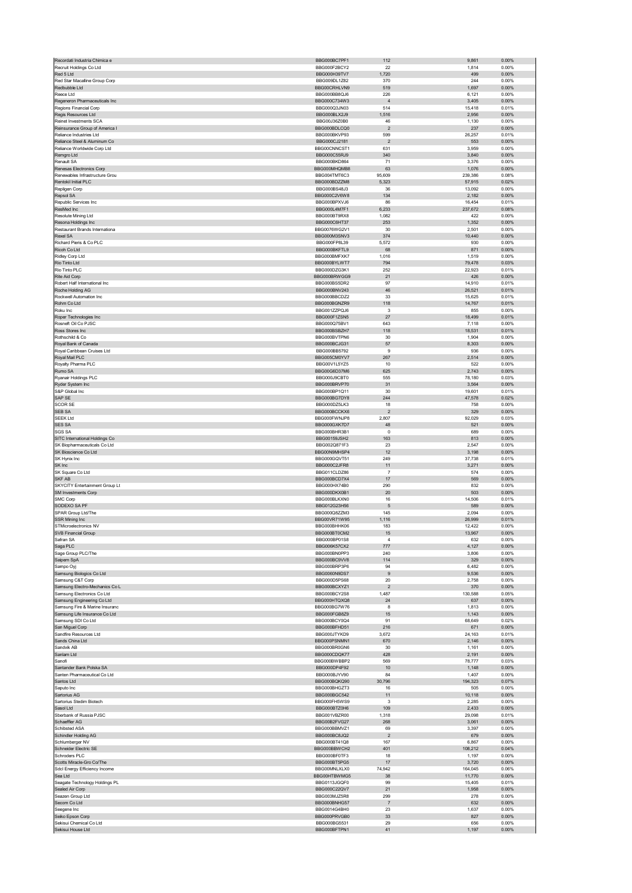| Recordati Industria Chimica e                                | BBG000BC7PF1                 | 112                     | 9,861             | 0.00%             |
|--------------------------------------------------------------|------------------------------|-------------------------|-------------------|-------------------|
| Recruit Holdings Co Ltd<br>Red 5 Ltd                         | BBG000F2BCY2<br>BBG000H39TV7 | 22<br>1,720             | 1,814<br>499      | 0.00%<br>0.00%    |
| Red Star Macalline Group Corp                                | BBG009DL1Z82                 | 370                     | 244               | 0.00%             |
| Redbubble Ltd                                                | BBG00CRHLVN9                 | 519                     | 1,697             | 0.00%             |
| Reece Ltd                                                    | BBG000BB8QJ6                 | 226                     | 6,121             | 0.00%             |
| Regeneron Pharmaceuticals Inc<br>Regions Financial Corp      | BBG000C734W3<br>BBG000Q3JN03 | $\overline{4}$<br>514   | 3,405             | $0.00\%$<br>0.01% |
| Regis Resources Ltd                                          | BBG000BLX2J9                 | 1,516                   | 15,418<br>2,956   | 0.00%             |
| Reinet Investments SCA                                       | BBG00J36Z0B0                 | 46                      | 1,130             | 0.00%             |
| Reinsurance Group of America I                               | BBG000BDLCQ0                 | $\overline{2}$          | 237               | 0.00%             |
| Reliance Industries Ltd                                      | BBG000BKVP93                 | 599                     | 26,257            | 0.01%             |
| Reliance Steel & Aluminum Co<br>Reliance Worldwide Corp Ltd  | BBG000CJ2181<br>BBG00CNNCST1 | $\overline{2}$<br>631   | 553<br>3,959      | 0.00%<br>0.00%    |
| Remgro Ltd                                                   | BBG000C55RJ9                 | 340                     | 3,840             | 0.00%             |
| Renault SA                                                   | BBG000BKD864                 | 71                      | 3,376             | 0.00%             |
| Renesas Electronics Corp                                     | BBG000MHQMB8                 | 63                      | 1,076             | 0.00%             |
| Renewables Infrastructure Grou<br>Rentokil Initial PLC       | BBG004TMT6C3<br>BBG000BDZZM8 | 95,609<br>5,323         | 239,386<br>57,915 | 0.08%<br>0.02%    |
| Repligen Corp                                                | BBG000BS48J3                 | 36                      | 13,092            | 0.00%             |
| Repsol SA                                                    | BBG000C2V6W8                 | 134                     | 2,182             | 0.00%             |
| Republic Services Inc                                        | BBG000BPXVJ6                 | 86                      | 16,454            | 0.01%             |
| ResMed Inc                                                   | BBG000L4M7F1                 | 6,233                   | 237,672           | 0.08%             |
| Resolute Mining Ltd<br>Resona Holdings Inc                   | BBG000BT9RX8<br>BBG000C6HT37 | 1,082<br>253            | 422<br>1,352      | 0.00%<br>0.00%    |
| Restaurant Brands Internationa                               | BBG0076WG2V1                 | 30                      | 2,501             | 0.00%             |
| Rexel SA                                                     | BBG000M3SNV3                 | 374                     | 10,440            | 0.00%             |
| Richard Pieris & Co PLC                                      | BBG000FP8L39                 | 5,572                   | 930               | 0.00%             |
| Ricoh Co Ltd                                                 | BBG000BKFTL9                 | 68                      | 871               | 0.00%             |
| Ridley Corp Ltd<br>Rio Tinto Ltd                             | BBG000BMFXK7<br>BBG000BYLWT7 | 1,016                   | 1,519             | 0.00%             |
| Rio Tinto PLC                                                | BBG000DZG3K1                 | 794<br>252              | 79,478<br>22,923  | 0.03%<br>0.01%    |
| Rite Aid Corp                                                | BBG000BRWGG9                 | 21                      | 426               | 0.00%             |
| Robert Half International Inc                                | BBG000BS5DR2                 | 97                      | 14,910            | 0.01%             |
| Roche Holding AG                                             | BBG000BNV243                 | 46                      | 26,521            | 0.01%             |
| Rockwell Automation Inc<br>Rohm Co Ltd                       | BBG000BBCDZ2<br>BBG000BGNZR9 | 33<br>118               | 15,625<br>14,767  | 0.01%<br>0.01%    |
| Roku Inc                                                     | BBG001ZZPQJ6                 | 3                       | 855               | 0.00%             |
| Roper Technologies Inc                                       | BBG000F1ZSN5                 | 27                      | 18,499            | 0.01%             |
| Rosneft Oil Co PJSC                                          | BBG000Q75BV1                 | 643                     | 7,118             | 0.00%             |
| Ross Stores Inc                                              | BBG000BSB7H7                 | 118                     | 18,531            | 0.01%             |
| Rothschild & Co                                              | BBG000BVTPN6                 | 30                      | 1,904             | 0.00%             |
| Royal Bank of Canada<br>Royal Caribbean Cruises Ltd          | BBG000BCJG31<br>BBG000BB5792 | 57<br>9                 | 8,303<br>936      | 0.00%<br>0.00%    |
| Royal Mail PLC                                               | BBG005CM0YV7                 | 267                     | 2,514             | 0.00%             |
| Royalty Pharma PLC                                           | BBG00V1L5YZ5                 | 10                      | 522               | 0.00%             |
| Rumo SA                                                      | BBG00G6D37M6                 | 625                     | 2,743             | 0.00%             |
| Ryanair Holdings PLC                                         | BBG000J9CBT0                 | 555                     | 78,180            | 0.03%             |
| Ryder System Inc<br>S&P Global Inc                           | BBG000BRVP70<br>BBG000BP1Q11 | 31<br>30                | 3,564             | 0.00%<br>0.01%    |
| SAP SE                                                       | BBG000BG7DY8                 | 244                     | 19,601<br>47,578  | 0.02%             |
| <b>SCOR SE</b>                                               | BBG000DZ5LK3                 | 18                      | 758               | 0.00%             |
| SEB SA                                                       | BBG000BCCKX6                 | $\overline{c}$          | 329               | 0.00%             |
| <b>SEEK Ltd</b>                                              | BBG000FWNJP8                 | 2,807                   | 92,029            | 0.03%             |
| <b>SES SA</b>                                                | BBG000GXK7D7                 | 48                      | 521               | 0.00%             |
| <b>SGS SA</b><br>SITC International Holdings Co              | BBG000BHR3B1<br>BBG00159JSH2 | 0<br>163                | 689<br>813        | 0.00%<br>$0.00\%$ |
|                                                              |                              |                         |                   |                   |
| SK Biopharmaceuticals Co Ltd                                 | BBG002Q871F3                 | 23                      | 2,547             | 0.00%             |
| SK Bioscience Co Ltd                                         | BBG00N9MHSP4                 | 12                      | 3,198             | 0.00%             |
| SK Hynix Inc                                                 | BBG000GQVT51                 | 249                     | 37,738            | 0.01%             |
| SK Inc                                                       | BBG000C2JFR8                 | 11                      | 3,271             | 0.00%             |
| SK Square Co Ltd                                             | BBG011CLDZ86                 | $\overline{7}$          | 574               | 0.00%             |
| <b>SKF AB</b>                                                | BBG000BCD7X4                 | 17                      | 569               | 0.00%             |
| SKYCITY Entertainment Group Lt<br>SM Investments Corp        | BBG000HX74B0<br>BBG000DKX0B1 | 290<br>20               | 832<br>503        | 0.00%<br>0.00%    |
| SMC Corp                                                     | BBG000BLKXN0                 | 16                      | 14,506            | 0.01%             |
| SODEXO SA PF                                                 | BBG012G23H56                 | 5                       | 589               | 0.00%             |
| SPAR Group Ltd/The                                           | BBG000Q8ZZM3                 | 145                     | 2,094             | 0.00%             |
| SSR Mining Inc<br>STMicroelectronics NV                      | BBG00VR71W95<br>BBG000BHHK06 | 1,116<br>183            | 26,999<br>12,422  | 0.01%<br>0.00%    |
| VB Financial Groun                                           | BBG000BT0CM2                 |                         | 13967             | n nn%             |
| Safran SA                                                    | BBG000BP01S8                 | 4                       | 632               | 0.00%             |
| Saga PLC                                                     | BBG006K57CX2                 | 777                     | 4,127             | $0.00\%$          |
| Sage Group PLC/The                                           | BBG000BN0PP3                 | 240                     | 3,806             | 0.00%             |
| Saipem SpA                                                   | BBG000BC9VV8<br>BBG000BRP3P6 | 114                     | 329               | 0.00%             |
| Sampo Oyj<br>Samsung Biologics Co Ltd                        | BBG0060N9DS7                 | 94<br>9                 | 6,482<br>9,536    | 0.00%<br>$0.00\%$ |
| Samsung C&T Corp                                             | BBG000D5PS68                 | 20                      | 2,758             | 0.00%             |
| Samsung Electro-Mechanics Co L                               | BBG000BCXYZ1                 | $\overline{2}$          | 370               | 0.00%             |
| Samsung Electronics Co Ltd                                   | BBG000BCY2S8<br>BBG000HTQXQ8 | 1,487<br>24             | 130,588<br>637    | 0.05%<br>0.00%    |
| Samsung Engineering Co Ltd<br>Samsung Fire & Marine Insuranc | BBG000BG7W76                 | 8                       | 1,813             | 0.00%             |
| Samsung Life Insurance Co Ltd                                | BBG000FGB8Z9                 | 15                      | 1,143             | 0.00%             |
| Samsung SDI Co Ltd                                           | BBG000BCY0Q4                 | 91                      | 68,649            | 0.02%             |
| San Miguel Corp                                              | BBG000BFHD51                 | 216                     | 671               | 0.00%             |
| Sandfire Resources Ltd<br>Sands China Ltd                    | BBG000JTYKD9<br>BBG000PSNMN1 | 3,672<br>670            | 24,163<br>2,146   | 0.01%<br>$0.00\%$ |
| Sandvik AB                                                   | BBG000BR0GN6                 | 30                      | 1,161             | 0.00%             |
| Sanlam Ltd                                                   | BBG000CDQK77                 | 428                     | 2,191             | 0.00%             |
| Sanofi                                                       | BBG000BWBBP2                 | 569                     | 78,777            | 0.03%             |
| Santander Bank Polska SA                                     | BBG000DP4F92                 | 10<br>84                | 1,148             | 0.00%             |
| Santen Pharmaceutical Co Ltd<br>Santos Ltd                   | BBG000BJYV90<br>BBG000BQKQ90 | 30,796                  | 1,407<br>194,323  | 0.00%<br>0.07%    |
| Saputo Inc                                                   | BBG000BHGZT3                 | 16                      | 505               | 0.00%             |
| Sartorius AG                                                 | BBG000BGC542                 | 11                      | 10,118            | 0.00%             |
| Sartorius Stedim Biotech                                     | BBG000FH5WS9                 | 3                       | 2,285             | 0.00%             |
| Sasol Ltd<br>Sberbank of Russia PJSC                         | BBG000BTZ0H6<br>BBG001VBZR00 | 109<br>1,318            | 2,433<br>29,098   | 0.00%<br>0.01%    |
| Schaeffler AG                                                | BBG00B2FVG27                 | 268                     | 3,061             | 0.00%             |
| <b>Schibsted ASA</b>                                         | BBG000BBMVZ1                 | 69                      | 3,397             | 0.00%             |
| Schindler Holding AG                                         | BBG000BC8JQ2                 | $\overline{\mathbf{c}}$ | 679               | 0.00%             |
| Schlumberger NV                                              | BBG000BT41Q8                 | 167                     | 6,867             | 0.00%             |
| Schneider Electric SE                                        | BBG000BBWCH2                 | 401                     | 108,212           | 0.04%             |
| Schroders PLC<br>Scotts Miracle-Gro Co/The                   | BBG000BF0TF3<br>BBG000BT5PG5 | 18<br>17                | 1,197<br>3,720    | 0.00%<br>0.00%    |
| Sdcl Energy Efficiency Income                                | BBG00MNLXLX0                 | 74,942                  | 164,045           | 0.06%             |
| Sea Ltd                                                      | BBG00HTBWMG5                 | 38                      | 11,770            | 0.00%             |
| Seagate Technology Holdings PL                               | BBG0113JGQF0                 | 99                      | 15,405            | 0.01%             |
| Sealed Air Corp                                              | BBG000C22QV7                 | 21                      | 1,958             | 0.00%             |
| Seazen Group Ltd<br>Secom Co Ltd                             | BBG003MJZ5R8<br>BBG000BNHG57 | 299<br>$\overline{7}$   | 278<br>632        | 0.00%<br>0.00%    |
| Seegene Inc                                                  | BBG0014G4BH0                 | 23                      | 1,637             | 0.00%             |
| Seiko Epson Corp                                             | BBG000PRVGB0                 | 33                      | 827               | 0.00%             |
| Sekisui Chemical Co Ltd<br>Sekisui House Ltd                 | BBG000BG5531<br>BBG000BFTPN1 | 29<br>41                | 656<br>1,197      | 0.00%<br>$0.00\%$ |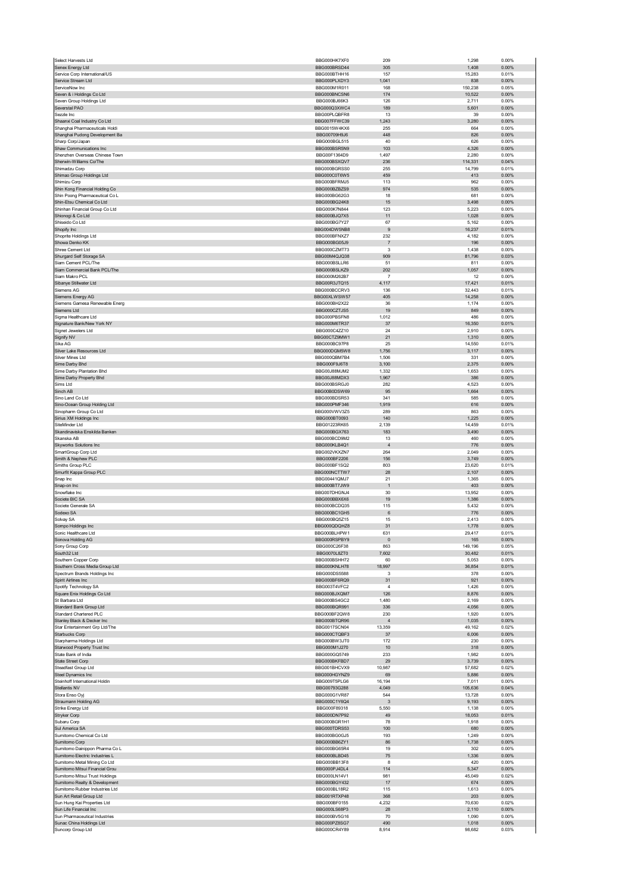| Select Harvests Ltd                                              | BBG000HK7XF0                 | 209                   | 1,298             | 0.00%          |
|------------------------------------------------------------------|------------------------------|-----------------------|-------------------|----------------|
| Senex Energy Ltd                                                 | BBG000BRSD44                 | 305                   | 1,408             | 0.00%          |
| Service Corp International/US                                    | BBG000BTHH16                 | 157                   | 15,283            | 0.01%          |
| Service Stream Ltd<br>ServiceNow Inc                             | BBG000PLXDY3<br>BBG000M1R011 | 1,041<br>168          | 838               | 0.00%<br>0.05% |
| Seven & i Holdings Co Ltd                                        | BBG000BNCSN6                 | 174                   | 150,238<br>10,522 | 0.00%          |
| Seven Group Holdings Ltd                                         | BBG000BJ66K3                 | 126                   | 2,711             | 0.00%          |
| Severstal PAO                                                    | BBG000Q3XWC4                 | 189                   | 5,601             | 0.00%          |
| Sezzle Inc                                                       | BBG00PLQBFR8                 | 13                    | 39                | 0.00%          |
| Shaanxi Coal Industry Co Ltd                                     | BBG007FFWC39                 | 1,243                 | 3,280             | 0.00%          |
| Shanghai Pharmaceuticals Holdi                                   | BBG0015W4KX6                 | 255                   | 664               | 0.00%          |
| Shanghai Pudong Development Ba                                   | BBG00709H9J6                 | 448                   | 826               | 0.00%          |
| Sharp Corp/Japan                                                 | <b>BBG000BGL515</b>          | 40                    | 626               | 0.00%          |
| Shaw Communications Inc                                          | BBG000BSR5N9                 | 103                   | 4,326             | 0.00%          |
| Shenzhen Overseas Chinese Town<br>Sherwin-Williams Co/The        | BBG00F1364D9                 | 1,497                 | 2,280<br>114,331  | 0.00%<br>0.04% |
| Shimadzu Corp                                                    | BBG000BSXQV7<br>BBG000BGRSS0 | 236<br>255            | 14,799            | 0.01%          |
| Shimao Group Holdings Ltd                                        | BBG000C0T6W5                 | 459                   | 413               | 0.00%          |
| Shimizu Corp                                                     | BBG000BFRMJ5                 | 113                   | 962               | 0.00%          |
| Shin Kong Financial Holding Co                                   | BBG000BZBZS9                 | 974                   | 535               | 0.00%          |
| Shin Poong Pharmaceutical Co L                                   | BBG000BG62G3                 | 18                    | 681               | 0.00%          |
| Shin-Etsu Chemical Co Ltd                                        | BBG000BG24K8                 | 15                    | 3,498             | 0.00%          |
| Shinhan Financial Group Co Ltd                                   | BBG000K7N844                 | 123                   | 5,223             | 0.00%          |
| Shionogi & Co Ltd                                                | BBG000BJQ7X5                 | 11                    | 1,028             | 0.00%          |
| Shiseido Co Ltd                                                  | BBG000BG7Y27                 | 67                    | 5,162             | 0.00%          |
| Shopify Inc                                                      | BBG004DW5NB8                 | 9                     | 16,237            | 0.01%          |
| Shoprite Holdings Ltd<br>Showa Denko KK                          | BBG000BFNXZ7<br>BBG000BG05J9 | 232<br>$\overline{7}$ | 4,182<br>196      | 0.00%<br>0.00% |
| Shree Cement Ltd                                                 | BBG000CZMT73                 | 3                     | 1,438             | 0.00%          |
| Shurgard Self Storage SA                                         | BBG00M4QJQ38                 | 909                   | 81,796            | 0.03%          |
| Siam Cement PCL/The                                              | BBG000BSLLR6                 | 51                    | 811               | 0.00%          |
| Siam Commercial Bank PCL/The                                     | BBG000BSLKZ9                 | 202                   | 1,057             | 0.00%          |
| Siam Makro PCL                                                   | BBG000M262B7                 | $\overline{7}$        | 12                | 0.00%          |
| Sibanye Stillwater Ltd                                           | BBG00R3JTQ15                 | 4,117                 | 17,421            | 0.01%          |
| Siemens AG                                                       | BBG000BCCRV3                 | 136                   | 32,443            | 0.01%          |
| Siemens Energy AG                                                | BBG00XLWSW57                 | 405                   | 14,258            | 0.00%          |
| Siemens Gamesa Renewable Energ                                   | BBG000BH2X22                 | 36                    | 1,174             | 0.00%          |
| Siemens Ltd                                                      | BBG000CZTJS5                 | 19                    | 849               | 0.00%          |
| Sigma Healthcare Ltd<br>Signature Bank/New York NY               | BBG000PBSFN8<br>BBG000M6TR37 | 1,012<br>37           | 486<br>16,350     | 0.00%<br>0.01% |
| Signet Jewelers Ltd                                              | BBG000C4ZZ10                 | 24                    | 2,910             | 0.00%          |
| Signify NV                                                       | BBG00CTZ9MW1                 | 21                    | 1,310             | 0.00%          |
| Sika AG                                                          | BBG000BC97P8                 | 25                    | 14,550            | 0.01%          |
| Silver Lake Resources Ltd                                        | BBG000DGM5W8                 | 1,756                 | 3,117             | 0.00%          |
| Silver Mines Ltd                                                 | BBG000QBM7B4                 | 1,506                 | 331               | 0.00%          |
| Sime Darby Bhd                                                   | BBG000F9J6T8                 | 3,100                 | 2,375             | 0.00%          |
| Sime Darby Plantation Bhd                                        | BBG00J88MJM2                 | 1,332                 | 1,653             | 0.00%          |
| Sime Darby Property Bhd                                          | BBG00J88MDX3                 | 1,967                 | 386               | 0.00%          |
| Sims Ltd                                                         | BBG000BSRGJ0                 | 282                   | 4,523             | 0.00%          |
| Sinch AB                                                         | BBG00B0DSW69                 | 95                    | 1,664             | 0.00%          |
| Sino Land Co Ltd                                                 | BBG000BDSR53                 | 341                   | 585               | 0.00%          |
| Sino-Ocean Group Holding Ltd<br>Sinopharm Group Co Ltd           | BBG000PMF346<br>BBG000VWV3Z5 | 1,919<br>289          | 616<br>863        | 0.00%<br>0.00% |
| Sirius XM Holdings Inc                                           | BBG000BT0093                 | 140                   | 1,225             | 0.00%          |
| SiteMinder Ltd                                                   | BBG01223RK65                 | 2,139                 | 14,459            | 0.01%          |
| Skandinaviska Enskilda Banken                                    | BBG000BGX763                 | 183                   | 3,490             | 0.00%          |
| Skanska AB                                                       | BBG000BCD9M2                 | 13                    | 460               | 0.00%          |
| <b>Skyworks Solutions Inc</b>                                    | BBG000KLB4Q1                 | $\sqrt{4}$            | 776               | 0.00%          |
| SmartGroup Corp Ltd                                              | BBG002VKXZN7                 | 264                   | 2,049             | 0.00%          |
| Smith & Nephew PLC                                               | BBG000BF2206                 | 156                   | 3,749             | 0.00%          |
|                                                                  |                              |                       |                   |                |
| Smiths Group PLC                                                 | BBG000BF1SQ2                 | 803                   | 23,620            | 0.01%          |
| Smurfit Kappa Group PLC                                          | BBG000NCTTW7                 | 28                    | 2,107             | 0.00%          |
| Snap Inc                                                         | BBG00441QMJ7                 | 21                    | 1,365             | 0.00%          |
| Snap-on Inc                                                      | BBG000BT7JW9                 | $\overline{1}$        | 403               | 0.00%          |
| Snowflake Inc                                                    | BBG007DHGNJ4                 | 30                    | 13,952            | 0.00%          |
| Societe BIC SA<br>Societe Generale SA                            | BBG000BBX6X6                 | 19                    | 1,386             | 0.00%          |
| Sodexo SA                                                        | BBG000BCDQ35                 | 115                   | 5,432             | 0.00%          |
| Solvay SA                                                        | BBG000BC1GH5<br>BBG000BQ5Z15 | 6<br>15               | 776<br>2,413      | 0.00%<br>0.00% |
| Sompo Holdings Inc                                               | BBG000QDQHZ8                 | 31                    | 1,778             | 0.00%          |
| Sonic Healthcare I td                                            | BBG000BI HPW1                | 631                   | 29417             | 0.01%          |
| Sonova Holding AG                                                | BBG000RSPBY9                 | $\bf{0}$              | 165               | 0.00%          |
| Sony Group Corp                                                  | BBG000C26F38                 | 863                   | 149,196           | 0.05%          |
| South32 Ltd                                                      | BBG0070L8ZT0                 | 7,602                 | 30,482            | 0.01%          |
| Southern Copper Corp                                             | BBG000BSHH72                 | 60                    | 5,053             | 0.00%          |
| Southern Cross Media Group Ltd                                   | BBG000KNLH78                 | 18,997                | 36,854            | 0.01%          |
| Spectrum Brands Holdings Inc<br>Spirit Airlines Inc              | BBG000DS5588<br>BBG000BF6RQ9 | 3<br>31               | 378<br>921        | 0.00%<br>0.00% |
| Spotify Technology SA                                            | BBG003T4VFC2                 | $\sqrt{4}$            | 1,426             | 0.00%          |
| Square Enix Holdings Co Ltd                                      | BBG000BJXQM7                 | 126                   | 8,876             | 0.00%          |
| St Barbara Ltd                                                   | BBG000BS4GC2                 | 1,480                 | 2,169             | 0.00%          |
| Standard Bank Group Ltd                                          | BBG000BQR991                 | 336                   | 4,056             | 0.00%          |
| Standard Chartered PLC                                           | BBG000BF2QW8                 | 230                   | 1,920             | 0.00%          |
| Stanley Black & Decker Inc                                       | BBG000BTQR96                 | $\overline{4}$        | 1,035             | 0.00%          |
| Star Entertainment Grp Ltd/The                                   | <b>BBG0017SCN04</b>          | 13,359                | 49,162            | 0.02%          |
| Starbucks Corp<br>Starpharma Holdings Ltd                        | BBG000CTQBF3<br>BBG000BW3JT0 | 37<br>172             | 6,006<br>230      | 0.00%<br>0.00% |
| Starwood Property Trust Inc                                      | BBG000M1J270                 | 10                    | 318               | 0.00%          |
| State Bank of India                                              | BBG000GQ5749                 | 233                   | 1,982             | 0.00%          |
| State Street Corp                                                | BBG000BKFBD7                 | 29                    | 3,739             | 0.00%          |
| Steadfast Group Ltd                                              | BBG001BHCVX9                 | 10,987                | 57,682            | 0.02%          |
| Steel Dynamics Inc                                               | BBG000HGYNZ9                 | 69                    | 5,886             | 0.00%          |
| Steinhoff International Holdin                                   | BBG009T5PLG6                 | 16,194                | 7,011             | 0.00%          |
| Stellantis NV                                                    | BBG00793G288                 | 4,049                 | 105,636           | 0.04%          |
| Stora Enso Oyj<br>Straumann Holding AG                           | BBG000G1VR87<br>BBG000C1Y6Q4 | 544<br>3              | 13,728<br>9,193   | 0.00%<br>0.00% |
| Strike Energy Ltd                                                | BBG000F89318                 | 5,550                 | 1,138             | 0.00%          |
| Stryker Corp                                                     | BBG000DN7P92                 | 49                    | 18,053            | 0.01%          |
| Subaru Corp                                                      | BBG000BGR1H1                 | 78                    | 1,918             | 0.00%          |
| Sul America SA                                                   | BBG000TDRS53                 | 100                   | 680               | 0.00%          |
| Sumitomo Chemical Co Ltd                                         | BBG000BG0GJ5                 | 193                   | 1,249             | 0.00%          |
| Sumitomo Corp                                                    | BBG000BB6ZY1                 | 86                    | 1,738             | 0.00%          |
| Sumitomo Dainippon Pharma Co L                                   | BBG000BG65R4                 | 19                    | 302               | 0.00%          |
| Sumitomo Electric Industries L                                   | BBG000BLBD45                 | 75                    | 1,336             | 0.00%          |
| Sumitomo Metal Mining Co Ltd                                     | BBG000BB13F8                 | 8                     | 420               | 0.00%          |
| Sumitomo Mitsui Financial Grou<br>Sumitomo Mitsui Trust Holdings | BBG000PJ4DL4<br>BBG000LN14V1 | 114<br>981            | 5,347<br>45,049   | 0.00%<br>0.02% |
| Sumitomo Realty & Development                                    | BBG000BGY432                 | 17                    | 674               | 0.00%          |
| Sumitomo Rubber Industries Ltd                                   | BBG000BL18R2                 | 115                   | 1,613             | 0.00%          |
| Sun Art Retail Group Ltd                                         | BBG001RTXP48                 | 368                   | 203               | 0.00%          |
| Sun Hung Kai Properties Ltd                                      | BBG000BF0155                 | 4,232                 | 70,630            | 0.02%          |
| Sun Life Financial Inc                                           | BBG000LS68P3                 | 28                    | 2,110             | 0.00%          |
| Sun Pharmaceutical Industries                                    | BBG000BV5G16                 | 70                    | 1,090             | 0.00%          |
| Sunac China Holdings Ltd<br>Suncorp Group Ltd                    | BBG000PZ8SG7<br>BBG000CR4Y89 | 490<br>8,914          | 1,018<br>98,682   | 0.00%<br>0.03% |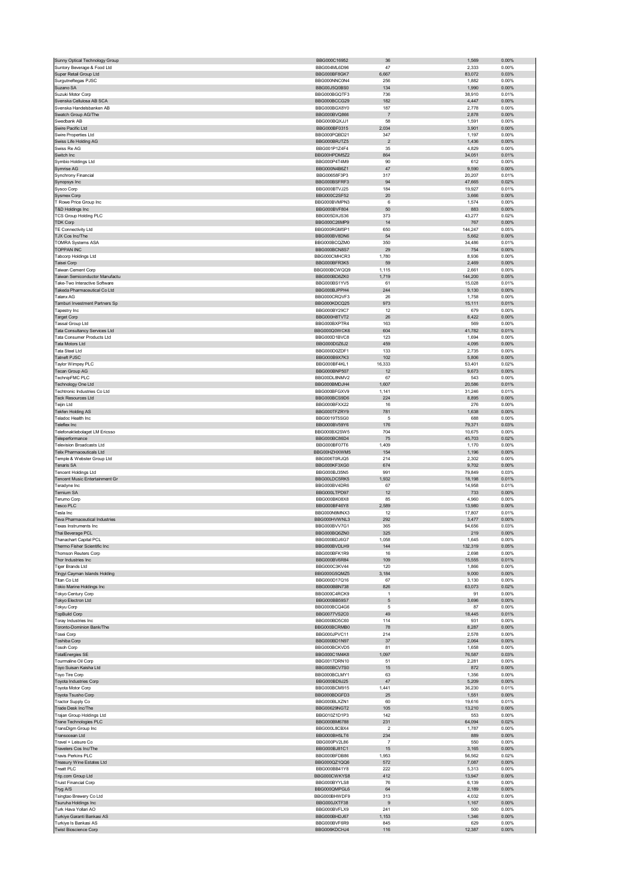| Sunny Optical Technology Group                      | BBG000C16952                 | 36                    | 1,569           | 0.00%          |
|-----------------------------------------------------|------------------------------|-----------------------|-----------------|----------------|
| Suntory Beverage & Food Ltd                         | BBG004ML6D96                 | 47                    | 2,333           | 0.00%          |
| Super Retail Group Ltd                              | BBG000BF8GK7                 | 6,667                 | 83,072          | 0.03%          |
| Surgutneftegas PJSC                                 | BBG000NNC0N4                 | 256                   | 1,882           | 0.00%          |
| Suzano SA                                           | BBG00J5Q0BS0                 | 134                   | 1,990           | 0.00%          |
| Suzuki Motor Corp                                   | BBG000BGQTF3                 | 736                   | 38,910          | 0.01%          |
| Svenska Cellulosa AB SCA                            | BBG000BCCG29                 | 182                   | 4,447           | 0.00%          |
| Svenska Handelsbanken AB                            | BBG000BGX8Y0<br>BBG000BVQ866 | 187<br>$\overline{7}$ | 2,778<br>2,878  | 0.00%<br>0.00% |
| Swatch Group AG/The<br>Swedbank AB                  | BBG000BQXJJ1                 | 58                    | 1,591           | 0.00%          |
| Swire Pacific Ltd                                   | BBG000BF0315                 | 2,034                 | 3,901           | 0.00%          |
| Swire Properties Ltd                                | BBG000PQBD21                 | 347                   | 1,197           | 0.00%          |
| Swiss Life Holding AG                               | BBG000BRJTZ5                 | $\mathbf 2$           | 1,436           | 0.00%          |
| Swiss Re AG                                         | BBG001P1Z4F4                 | 35                    | 4,829           | 0.00%          |
| Switch Inc                                          | BBG00HPDM5Z2                 | 864                   | 34,051          | 0.01%          |
| Symbio Holdings Ltd                                 | BBG000P4T4M9                 | 90                    | 612             | 0.00%          |
| Symrise AG                                          | BBG000N4B6Z1                 | $47\,$                | 9,590           | $0.00\%$       |
| Synchrony Financial                                 | BBG00658F3P3                 | 317                   | 20,207          | 0.01%          |
| Synopsys Inc                                        | BBG000BSFRF3                 | 94                    | 47,665          | 0.02%          |
| Sysco Corp                                          | BBG000BTVJ25                 | 184                   | 19,927          | 0.01%          |
| <b>Sysmex Corp</b>                                  | BBG000C2SF52                 | 20                    | 3,666           | 0.00%          |
| T Rowe Price Group Inc                              | BBG000BVMPN3                 | 6                     | 1,574           | 0.00%          |
| T&D Holdings Inc                                    | BBG000BVF804                 | 50                    | 883             | $0.00\%$       |
| TCS Group Holding PLC                               | BBG005DXJS36                 | 373                   | 43,277          | 0.02%          |
| <b>TDK Corp</b>                                     | BBG000C26MP9                 | 14                    | 767             | 0.00%          |
| TE Connectivity Ltd                                 | BBG000RGM5P1                 | 650                   | 144,247         | 0.05%          |
| TJX Cos Inc/The                                     | BBG000BV8DN6                 | 54                    | 5,662           | 0.00%          |
| <b>TOMRA Systems ASA</b>                            | BBG000BCQZM0                 | 350                   | 34,486          | 0.01%          |
| TOPPAN INC                                          | BBG000BCN8S7<br>BBG000CMHCR3 | 29                    | 754<br>8,936    | 0.00%<br>0.00% |
| Tabcorp Holdings Ltd<br>Taisei Corp                 | BBG000BFR3K5                 | 1,780<br>59           | 2,469           | 0.00%          |
| Taiwan Cement Corp                                  | BBG000BCWQQ9                 | 1,115                 | 2,661           | 0.00%          |
| Taiwan Semiconductor Manufactu                      | BBG000BD8ZK0                 | 1,719                 | 144,200         | 0.05%          |
| Take-Two Interactive Software                       | BBG000BS1YV5                 | 61                    | 15,028          | 0.01%          |
| Takeda Pharmaceutical Co Ltd                        | BBG000BJPPH4                 | 244                   | 9,130           | 0.00%          |
| Talanx AG                                           | BBG000CRQVF3                 | 26                    | 1,758           | 0.00%          |
| Tamburi Investment Partners Sp                      | BBG000KDCQ25                 | 973                   | 15,111          | 0.01%          |
| Tapestry Inc                                        | BBG000BY29C7                 | 12                    | 679             | 0.00%          |
| <b>Target Corp</b>                                  | BBG000H8TVT2                 | 26                    | 8,422           | 0.00%          |
| Tassal Group Ltd                                    | BBG000BXPTR4                 | 163                   | 569             | 0.00%          |
| <b>Tata Consultancy Services Ltd</b>                | BBG000Q0WCK6                 | 604                   | 41,782          | 0.01%          |
| <b>Tata Consumer Products Ltd</b>                   | BBG000D1BVC8                 | 123                   | 1,694           | 0.00%          |
| Tata Motors Ltd                                     | BBG000D0Z6J2                 | 459                   | 4,095           | 0.00%          |
| Tata Steel Ltd                                      | BBG000D0ZDF1                 | 133                   | 2,735           | 0.00%          |
| Tatneft PJSC                                        | BBG000B9X7K3                 | 102                   | 5,806           | 0.00%          |
| Taylor Wimpey PLC                                   | BBG000BF4KL1                 | 16,333                | 53,401          | 0.02%          |
| Tecan Group AG                                      | BBG000BNP507                 | 12                    | 9,673           | 0.00%          |
| TechnipFMC PLC                                      | BBG00DL8NMV2                 | 67                    | 543             | 0.00%          |
| <b>Technology One Ltd</b>                           | BBG000BMDJH4                 | 1,607                 | 20,586          | 0.01%          |
| <b>Techtronic Industries Co Ltd</b>                 | BBG000BFGXV9                 | 1,141                 | 31,246          | 0.01%          |
| Teck Resources Ltd                                  | BBG000BCS9D6                 | 224                   | 8,895           | 0.00%          |
| Teijin Ltd                                          | BBG000BFXX22                 | 16                    | 276             | 0.00%          |
| Tekfen Holding AS                                   | BBG000TFZRY9                 | 781                   | 1,638           | 0.00%          |
| <b>Teladoc Health Inc</b><br>Teleflex Inc           | BBG0019T5SG0<br>BBG000BV59Y6 | 5<br>176              | 688<br>79,371   | 0.00%<br>0.03% |
| Telefonaktiebolaget LM Ericsso                      | BBG000BX2SW5                 | 704                   | 10,675          | 0.00%          |
|                                                     |                              |                       |                 |                |
|                                                     |                              |                       |                 |                |
| Teleperformance                                     | BBG000BC86D4                 | 75                    | 45,703          | 0.02%          |
| <b>Television Broadcasts Ltd</b>                    | BBG000BF07T6                 | 1,409                 | 1,170           | 0.00%          |
| <b>Telix Pharmaceuticals Ltd</b>                    | BBG00HZHXWM5                 | 154                   | 1,196           | 0.00%          |
| Temple & Webster Group Ltd                          | BBG006T0RJQ5                 | 214                   | 2,302           | 0.00%          |
| Tenaris SA<br>Tencent Holdings Ltd                  | BBG000KF3XG0                 | 674                   | 9,702           | 0.00%          |
|                                                     | BBG000BJ35N5                 | 991                   | 79,849          | 0.03%          |
| Tencent Music Entertainment Gr<br>Teradyne Inc      | BBG00LDC5RK5<br>BBG000BV4DR6 | 1,932<br>67           | 18,198          | 0.01%<br>0.01% |
| Ternium SA                                          | BBG000LTPD97                 | 12                    | 14,958<br>733   | 0.00%          |
| Terumo Corp                                         | BBG000BK08X8                 | 85                    | 4,960           | 0.00%          |
| <b>Tesco PLC</b>                                    | BBG000BF46Y8                 | 2,589                 | 13,980          | $0.00\%$       |
| Tesla Inc                                           | BBG000N9MNX3                 | 12                    | 17,807          | 0.01%          |
| Teva Pharmaceutical Industries                      | BBG000HVWNL3                 | 292                   | 3,477           | 0.00%          |
| Texas Instruments Inc                               | BBG000BVV7G1                 | 365                   | 94,656          | 0.03%          |
| Thai Beverage PCL                                   | BBG000BQ6ZN0                 | 325                   | 219             | 0.00%          |
| Thanachart Capital PCL                              | BBG000BDJ6G7                 | 1,058                 | 1,645           | 0.00%          |
| Thermo Fisher Scientific Inc                        | BBG000BVDLH9                 | 144                   | 132,319         | 0.05%          |
| Thomson Reuters Corp                                | BBG000BFK1R9                 | 16                    | 2,698           | 0.00%          |
| Thor Industries Inc                                 | BBG000BV6R84                 | 109                   | 15,555          | 0.01%          |
| Tiger Brands Ltd                                    | BBG000C3KV44                 | 120                   | 1,866           | 0.00%          |
| Tingyi Cayman Islands Holding                       | BBG000G5QMZ5                 | 3,184                 | 9,000           | 0.00%          |
| Titan Co Ltd                                        | BBG000D17Q16                 | 67                    | 3,130           | 0.00%          |
| Tokio Marine Holdings Inc                           | BBG000BBN738<br>BBG000C4RCK9 | 826<br>$\mathbf{1}$   | 63,073<br>91    | 0.02%<br>0.00% |
| Tokyo Century Corp<br>Tokyo Electron Ltd            | BBG000BB59S7                 | 5                     | 3,696           | 0.00%          |
| Tokyu Corp                                          | BBG000BCQ4G6                 | 5                     | 87              | 0.00%          |
| <b>TopBuild Corp</b>                                | <b>BBG0077VS2C0</b>          | 49                    | 18,445          | 0.01%          |
| Toray Industries Inc                                | BBG000BD5C60                 | 114                   | 931             | 0.00%          |
| Toronto-Dominion Bank/The                           | BBG000BCRMB0                 | 78                    | 8,287           | 0.00%          |
| Tosei Corp                                          | BBG000JPVC11                 | 214                   | 2,578           | 0.00%          |
| Toshiba Corp                                        | BBG000BD1N97                 | 37                    | 2,064           | 0.00%          |
| <b>Tosoh Corp</b>                                   | BBG000BCKVD5                 | 81                    | 1,658           | 0.00%          |
| <b>TotalEnergies SE</b>                             | BBG000C1M4K8                 | 1,097                 | 76,587          | 0.03%          |
| Tourmaline Oil Corp                                 | BBG0017DRN10                 | 51                    | 2,281           | 0.00%          |
| Toyo Suisan Kaisha Ltd                              | BBG000BCV7S0                 | 15                    | 872             | 0.00%          |
| Toyo Tire Corp                                      | BBG000BCLMY1<br>BBG000BD9J25 | 63                    | 1,356           | 0.00%          |
| Toyota Industries Corp                              |                              | 47                    | 5,209           | 0.00%          |
| Toyota Motor Corp                                   | BBG000BCM915                 | 1,441                 | 36,230          | 0.01%          |
| Toyota Tsusho Corp<br>Tractor Supply Co             | BBG000BDGFD3<br>BBG000BLXZN1 | 25<br>60              | 1,551<br>19,616 | 0.00%<br>0.01% |
| Trade Desk Inc/The                                  | BBG00629NGT2                 | 105                   | 13,210          | 0.00%          |
| Trajan Group Holdings Ltd                           | BBG010Z1D1P3                 | 142                   | 553             | 0.00%          |
| <b>Trane Technologies PLC</b>                       | BBG000BM6788                 | 231                   | 64,094          | 0.02%          |
| TransDigm Group Inc                                 | BBG000L8CBX4                 | 2                     | 1,787           | 0.00%          |
| Transocean Ltd                                      | BBG000BH5LT6                 | 234                   | 889             | 0.00%          |
| Travel + Leisure Co                                 | BBG000PV2L86                 | $\overline{7}$        | 550             | 0.00%          |
| Travelers Cos Inc/The                               | BBG000BJ81C1                 | 15                    | 3,165           | 0.00%          |
| Travis Perkins PLC                                  | BBG000BFDB86                 | 1,953                 | 56,562          | 0.02%          |
| Treasury Wine Estates Ltd                           | BBG000QZ1QQ6                 | 572                   | 7,087           | $0.00\%$       |
| <b>Treatt PLC</b>                                   | BBG000BB41Y8                 | 222                   | 5,313           | 0.00%          |
| Trip.com Group Ltd                                  | BBG000CWKYS8                 | 412                   | 13,947          | 0.00%          |
| Truist Financial Corp                               | BBG000BYYLS8                 | 76                    | 6,139           | 0.00%          |
| Tryg A/S                                            | BBG000QMPGL6                 | 64                    | 2,189           | 0.00%          |
| Tsingtao Brewery Co Ltd                             | BBG000BHWDF9                 | 313                   | 4,032           | 0.00%          |
| Tsuruha Holdings Inc                                | BBG000JXTF38                 | 9                     | 1,167           | 0.00%          |
| Turk Hava Yollari AO                                | BBG000BVFLX9                 | 241                   | 500             | 0.00%          |
| Turkiye Garanti Bankasi AS<br>Turkiye Is Bankasi AS | BBG000BHDJ67<br>BBG000BVF6R9 | 1,153<br>845          | 1,346<br>629    | 0.00%<br>0.00% |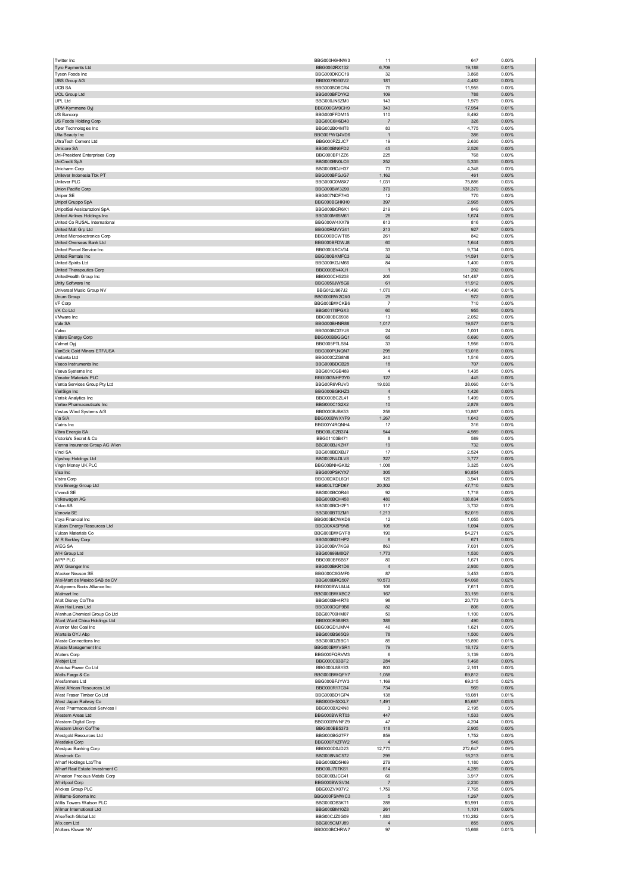| Twitter Inc                                              | BBG000H6HNW3                                 | 11                            | 647                      | 0.00%                   |
|----------------------------------------------------------|----------------------------------------------|-------------------------------|--------------------------|-------------------------|
| Tyro Payments Ltd<br>Tyson Foods Inc                     | BBG0062RX132<br>BBG000DKCC19                 | 6,709<br>32                   | 19,188<br>3,868          | 0.01%<br>0.00%          |
| <b>UBS Group AG</b>                                      | BBG007936GV2                                 | 181                           | 4,482                    | 0.00%                   |
| <b>UCB SA</b>                                            | BBG000BD8CR4                                 | 76                            | 11,955                   | 0.00%                   |
| <b>UOL Group Ltd</b><br><b>UPL Ltd</b>                   | BBG000BFDYK2<br>BBG000JN6ZM0                 | 109<br>143                    | 788<br>1,979             | 0.00%<br>0.00%          |
| UPM-Kymmene Oyj                                          | BBG000GM9CH9                                 | 343                           | 17,954                   | 0.01%                   |
| US Bancorp                                               | BBG000FFDM15<br>BBG00C6H6D40                 | 110<br>$\overline{7}$         | 8,492<br>326             | 0.00%<br>0.00%          |
| US Foods Holding Corp<br>Uber Technologies Inc           | BBG002B04MT8                                 | 83                            | 4,775                    | 0.00%                   |
| Ulta Beauty Inc                                          | BBG00FWQ4VD6                                 | $\overline{1}$                | 386                      | 0.00%                   |
| UltraTech Cement Ltd<br><b>Umicore SA</b>                | BBG000PZ2JC7<br>BBG000BN6FD2                 | 19<br>45                      | 2,630<br>2,526           | 0.00%<br>0.00%          |
| Uni-President Enterprises Corp                           | BBG000BF1ZZ6                                 | 225                           | 768                      | 0.00%                   |
| UniCredit SpA                                            | BBG000BN0LC6                                 | 252                           | 5,335                    | 0.00%                   |
| Unicharm Corp<br>Unilever Indonesia Tbk PT               | BBG000BDJH37<br>BBG000BFGJG7                 | 73<br>1,162                   | 4,348<br>461             | 0.00%<br>0.00%          |
| Unilever PLC                                             | BBG000C0M8X7                                 | 1,031                         | 75,886                   | 0.03%                   |
| Union Pacific Corp                                       | BBG000BW3299                                 | 379                           | 131,379                  | 0.05%                   |
| Uniper SE<br>Unipol Gruppo SpA                           | BBG007NDF7H0<br>BBG000BGHKH0                 | 12<br>397                     | 770<br>2,965             | 0.00%<br>0.00%          |
| UnipolSai Assicurazioni SpA                              | BBG000BCR6X1                                 | 219                           | 849                      | 0.00%                   |
| United Airlines Holdings Inc                             | BBG000M65M61                                 | 28                            | 1,674                    | 0.00%                   |
| United Co RUSAL International<br>United Malt Grp Ltd     | BBG000W4XX79<br>BBG00RMVY241                 | 613<br>213                    | 816<br>927               | 0.00%<br>0.00%          |
| United Microelectronics Corp                             | BBG000BCWT65                                 | 261                           | 842                      | 0.00%                   |
| United Overseas Bank Ltd<br>United Parcel Service Inc    | BBG000BFDWJ8<br>BBG000L9CV04                 | 60<br>33                      | 1,644                    | 0.00%<br>0.00%          |
| United Rentals Inc                                       | BBG000BXMFC3                                 | 32                            | 9,734<br>14,591          | 0.01%                   |
| <b>United Spirits Ltd</b>                                | BBG000KGJM66                                 | 84                            | 1,400                    | 0.00%                   |
| United Therapeutics Corp                                 | BBG000BV4XJ1<br>BBG000CH5208                 | $\overline{1}$<br>205         | 202<br>141,487           | 0.00%<br>0.05%          |
| UnitedHealth Group Inc<br>Unity Software Inc             | BBG0056JW5G6                                 | 61                            | 11,912                   | 0.00%                   |
| Universal Music Group NV                                 | BBG012J967J2                                 | 1,070                         | 41,490                   | 0.01%                   |
| <b>Unum Group</b><br>VF Corp                             | BBG000BW2QX0<br>BBG000BWCKB6                 | 29<br>$\overline{7}$          | 972<br>710               | 0.00%<br>0.00%          |
| VK Co Ltd                                                | BBG00178PGX3                                 | 60                            | 955                      | 0.00%                   |
| VMware Inc                                               | BBG000BC9938                                 | 13                            | 2,052                    | 0.00%                   |
| Vale SA<br>Valeo                                         | BBG000BHNR86<br>BBG000BCGYJ8                 | 1,017<br>24                   | 19,577<br>1,001          | 0.01%<br>0.00%          |
| Valero Energy Corp                                       | BBG000BBGGQ1                                 | 65                            | 6,690                    | 0.00%                   |
| Valmet Oyj                                               | BBG005PTLS84                                 | 33                            | 1,956                    | 0.00%                   |
| VanEck Gold Miners ETF/USA<br>Vedanta Ltd                | BBG000PLNQN7<br>BBG000CZG8N8                 | 295<br>240                    | 13,018                   | 0.00%<br>0.00%          |
| Veeco Instruments Inc                                    | BBG000BDCB28                                 | 18                            | 1,516<br>707             | 0.00%                   |
| Veeva Systems Inc                                        | BBG001CGB489                                 | 4                             | 1,435                    | 0.00%                   |
| Venator Materials PLC                                    | BBG00GNHP3Y0                                 | 127                           | 445                      | 0.00%                   |
| Ventia Services Group Pty Ltd<br>VeriSign Inc            | BBG00R6VRJV0<br>BBG000BGKHZ3                 | 19,030<br>$\overline{4}$      | 38,060<br>1,426          | 0.01%<br>0.00%          |
| Verisk Analytics Inc                                     | BBG000BCZL41                                 | 5                             | 1,499                    | 0.00%                   |
| Vertex Pharmaceuticals Inc                               | BBG000C1S2X2                                 | 10                            | 2,878                    | 0.00%                   |
| Vestas Wind Systems A/S<br>Via S/A                       | BBG000BJBK53<br>BBG000BWXYF9                 | 258<br>1,267                  | 10,867<br>1,643          | 0.00%<br>0.00%          |
| Viatris Inc                                              | BBG00Y4RQNH4                                 | 17                            | 316                      | 0.00%                   |
| Vibra Energia SA                                         | BBG00JC2B374                                 | 944                           | 4,989                    | 0.00%                   |
| Victoria's Secret & Co<br>Vienna Insurance Group AG Wien | BBG01103B471<br>BBG000BJKZH7                 | 8<br>19                       | 589<br>732               | 0.00%<br>0.00%          |
| Vinci SA                                                 | BBG000BDXBJ7                                 | 17                            | 2,524                    | 0.00%                   |
| Vipshop Holdings Ltd                                     | BBG002NLDLV8                                 | 327                           | 3,777                    | 0.00%                   |
| Virgin Money UK PLC<br>Visa Inc                          | BBG00BNHGK82<br>BBG000PSKYX7                 | 1,008<br>305                  | 3,325<br>90,854          | 0.00%<br>0.03%          |
| Vistra Corp                                              | BBG00DXDL6Q1                                 | 126                           | 3,941                    | 0.00%                   |
| Viva Energy Group Ltd                                    | BBG00L7QFD67                                 | 20,302                        | 47,710                   | 0.02%                   |
| Vivendi SE<br>Volkswagen AG                              | BBG000BC0R46<br>BBG000BCH458                 | 92<br>480                     | 1,718<br>138,834         | 0.00%<br>0.05%          |
| Volvo AB                                                 | BBG000BCH2F1                                 | 117                           | 3,732                    | 0.00%                   |
| Vonovia SE                                               | BBG000BT0ZM1                                 | 1,213                         | 92,019                   | 0.03%                   |
| Voya Financial Inc<br>Vulcan Energy Resources Ltd        | BBG000BCWKD6<br>BBG00KXSP9N5                 | 12<br>105                     | 1,055<br>1,094           | 0.00%<br>0.00%          |
| /ulcan Materials Co                                      | <b>BRG000BWGYES</b>                          | 1 Qr                          | 54,271                   | 0.02%                   |
| W R Berkley Corp                                         | BBG000BD1HP2                                 | 6                             | 671                      | 0.00%                   |
| WEG SA<br>WH Group Ltd                                   | BBG000BV7KG9<br>BBG00699M8Q7                 | 863<br>1,773                  | 7,031<br>1,530           | 0.00%<br>0.00%          |
| WPP PLC                                                  | BBG000BF6B57                                 | 80                            | 1,671                    | 0.00%                   |
| WW Grainger Inc                                          | BBG000BKR1D6<br>BBG000C6GMF0                 | $\overline{4}$<br>87          | 2,930                    | 0.00%                   |
| Wacker Neuson SE<br>Wal-Mart de Mexico SAB de CV         | BBG000BRQ507                                 | 10,573                        | 3,453<br>54,068          | 0.00%<br>0.02%          |
| Walgreens Boots Alliance Inc                             | BBG000BWLMJ4                                 | 106                           | 7,611                    | 0.00%                   |
| Walmart Inc<br>Walt Disney Co/The                        | BBG000BWXBC2<br>BBG000BH4R78                 | 167<br>98                     | 33,159<br>20,773         | 0.01%<br>0.01%          |
| Wan Hai Lines Ltd                                        | BBG000GQF9B6                                 | 82                            | 806                      | 0.00%                   |
| Wanhua Chemical Group Co Ltd                             | BBG00709HM07                                 | 50                            | 1,100                    | 0.00%                   |
| Want Want China Holdings Ltd<br>Warrior Met Coal Inc     | BBG000R588R3<br>BBG00GD1JMV4                 | 388<br>46                     | 490<br>1,621             | 0.00%<br>0.00%          |
| Wartsila OYJ Abp                                         | BBG000BS65Q9                                 | 78                            | 1,500                    | 0.00%                   |
| Waste Connections Inc                                    | BBG000DZ8BC1                                 | 85                            | 15,890                   | 0.01%                   |
| Waste Management Inc<br><b>Waters Corp</b>               | BBG000BWVSR1<br>BBG000FQRVM3                 | 79<br>6                       | 18,172<br>3,139          | 0.01%<br>0.00%          |
| Webjet Ltd                                               | BBG000C93BF2                                 | 284                           | 1,468                    | 0.00%                   |
| Weichai Power Co Ltd                                     | BBG000L8BY83                                 | 803                           | 2,161                    | 0.00%                   |
| Wells Fargo & Co<br>Wesfarmers Ltd                       | BBG000BWQFY7                                 |                               | 69,812                   | 0.02%<br>0.02%          |
| West African Resources Ltd                               |                                              | 1,058                         |                          |                         |
| West Fraser Timber Co Ltd                                | BBG000BFJYW3<br>BBG000R17C94                 | 1,169<br>734                  | 69,315<br>969            | 0.00%                   |
| West Japan Railway Co                                    | BBG000BD1GP4                                 | 138                           | 18,081                   | 0.01%                   |
|                                                          | BBG000H5XXL7                                 | 1,491                         | 85,687                   | 0.03%                   |
| West Pharmaceutical Services I<br>Western Areas Ltd      | BBG000BX24N8<br>BBG000BWRT03                 | 3<br>447                      | 2,195<br>1,533           | 0.00%<br>0.00%          |
| Western Digital Corp                                     | BBG000BWNFZ9                                 | 47                            | 4,204                    | 0.00%                   |
| Western Union Co/The                                     | BBG000BB5373                                 | 118                           | 2,905                    | 0.00%                   |
| Westgold Resources Ltd<br><b>Westlake Corp</b>           | BBG000BG27F7<br>BBG000PXZFW2                 | 859<br>$\overline{4}$         | 1,752<br>546             | 0.00%<br>0.00%          |
| Westpac Banking Corp                                     | BBG000D0JD23                                 | 12,770                        | 272,647                  | 0.09%                   |
| Westrock Co                                              | BBG008NXC572                                 | 299                           | 18,213                   | 0.01%                   |
| Wharf Holdings Ltd/The<br>Wharf Real Estate Investment C | BBG000BD5H69<br>BBG00J76TKS1                 | 279<br>614                    | 1,180<br>4,289           | 0.00%<br>0.00%          |
| Wheaton Precious Metals Corp                             | BBG000BJCC41                                 | 66                            | 3,917                    | 0.00%                   |
| <b>Whirlpool Corp</b>                                    | BBG000BWSV34                                 | $\overline{7}$                | 2,230                    | 0.00%                   |
| Wickes Group PLC<br>Williams-Sonoma Inc                  | BBG00ZVX07Y2<br>BBG000FSMWC3                 | 1,759<br>5                    | 7,765<br>1,267           | 0.00%<br>0.00%          |
| Willis Towers Watson PLC                                 | BBG000DB3KT1                                 | 288                           | 93,991                   | 0.03%                   |
| Wilmar International Ltd                                 | BBG000BM10Z8                                 | 261                           | 1,101                    | 0.00%                   |
| WiseTech Global Ltd<br>Wix.com Ltd<br>Wolters Kluwer NV  | BBG00CJZ0G09<br>BBG005CM7J89<br>BBG000BCHRW7 | 1,883<br>$\overline{4}$<br>97 | 110,282<br>855<br>15,668 | 0.04%<br>0.00%<br>0.01% |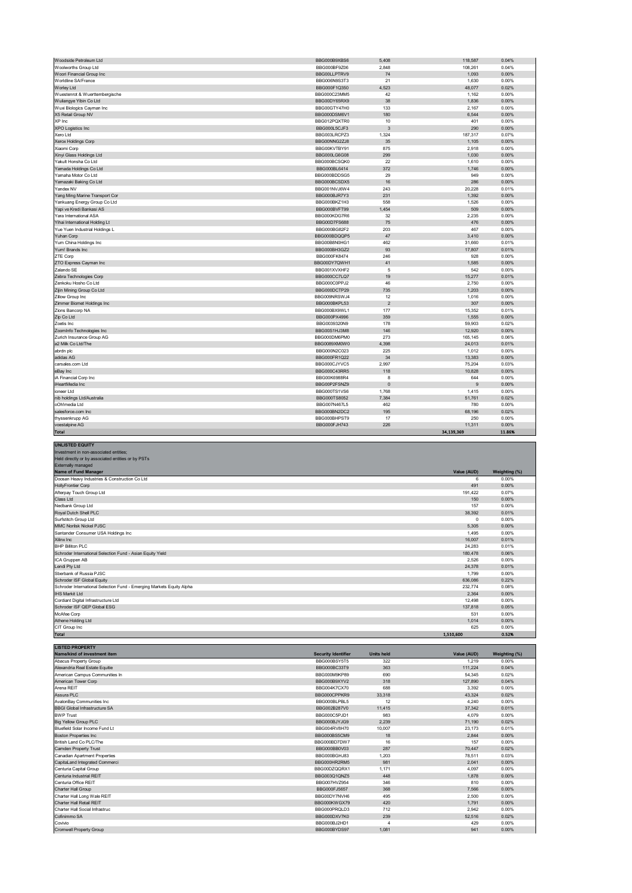| Woodside Petroleum Ltd         | BBG000B9XBS6 | 5,408          | 118,587    | 0.04%  |
|--------------------------------|--------------|----------------|------------|--------|
| Woolworths Group Ltd           | BBG000BF9Z06 | 2,848          | 108,261    | 0.04%  |
| Woori Financial Group Inc      | BBG00LLPTRV9 | 74             | 1,093      | 0.00%  |
| Worldline SA/France            | BBG006N9S3T3 | 21             | 1,630      | 0.00%  |
| Worley Ltd                     | BBG000F1Q350 | 4,523          | 48,077     | 0.02%  |
| Wuestenrot & Wuerttembergische | BBG000C23MM5 | 42             | 1,162      | 0.00%  |
| Wuliangye Yibin Co Ltd         | BBG00DY65RX9 | 38             | 1,836      | 0.00%  |
| Wuxi Biologics Cayman Inc      | BBG00GTY47H0 | 133            | 2,167      | 0.00%  |
| X5 Retail Group NV             | BBG000DSM6V1 | 180            | 6,544      | 0.00%  |
| XP Inc                         | BBG012PQXTR0 | 10             | 401        | 0.00%  |
| XPO Logistics Inc              | BBG000L5CJF3 | 3              | 290        | 0.00%  |
| Xero Ltd                       | BBG003LRCPZ3 | 1,324          | 187,317    | 0.07%  |
| Xerox Holdings Corp            | BBG00NNG2ZJ8 | 35             | 1,105      | 0.00%  |
| Xiaomi Corp                    | BBG00KVTBY91 | 875            | 2,918      | 0.00%  |
| Xinyi Glass Holdings Ltd       | BBG000LG6G08 | 299            | 1,030      | 0.00%  |
| Yakult Honsha Co Ltd           | BBG000BCSQK0 | 22             | 1,610      | 0.00%  |
| Yamada Holdings Co Ltd         | BBG000BL6414 | 372            | 1,746      | 0.00%  |
| Yamaha Motor Co Ltd            | BBG000BDDSG5 | 29             | 949        | 0.00%  |
| Yamazaki Baking Co Ltd         | BBG000BCSDX5 | 16             | 286        | 0.00%  |
| Yandex NV                      | BBG001NVJ6W4 | 243            | 20,228     | 0.01%  |
| Yang Ming Marine Transport Cor | BBG000BJR7Y3 | 231            | 1,392      | 0.00%  |
| Yankuang Energy Group Co Ltd   | BBG000BKZ1H3 | 558            | 1,526      | 0.00%  |
| Yapi ve Kredi Bankasi AS       | BBG000BVFT99 | 1,454          | 509        | 0.00%  |
| Yara International ASA         | BBG000KDG7R6 | 32             | 2,235      | 0.00%  |
| Yihai International Holding Lt | BBG00D7FS688 | 75             | 476        | 0.00%  |
| Yue Yuen Industrial Holdings L | BBG000BG82F2 | 203            | 467        | 0.00%  |
| Yuhan Corp                     | BBG000BDQQP5 | 47             | 3,410      | 0.00%  |
| Yum China Holdings Inc         | BBG00B8N0HG1 | 462            | 31,660     | 0.01%  |
| Yum! Brands Inc                | BBG000BH3GZ2 | 93             | 17,807     | 0.01%  |
| ZTE Corp                       | BBG000FK8474 | 246            | 928        | 0.00%  |
| ZTO Express Cayman Inc         | BBG00DY7QWH1 | 41             | 1,585      | 0.00%  |
| Zalando SE                     | BBG001XVXHF2 | 5              | 542        | 0.00%  |
| Zebra Technologies Corp        | BBG000CC7LQ7 | 19             | 15,277     | 0.01%  |
|                                |              | 46             |            |        |
| Zenkoku Hosho Co Ltd           | BBG000C0PPJ2 | 735            | 2,750      | 0.00%  |
| Zijin Mining Group Co Ltd      | BBG000DCTP29 |                | 1,203      | 0.00%  |
| Zillow Group Inc               | BBG009NRSWJ4 | 12             | 1,016      | 0.00%  |
| Zimmer Biomet Holdings Inc     | BBG000BKPL53 | $\overline{2}$ | 307        | 0.00%  |
| Zions Bancorp NA               | BBG000BX9WL1 | 177            | 15,352     | 0.01%  |
| Zip Co Ltd                     | BBG000PX4996 | 359            | 1,555      | 0.00%  |
| Zoetis Inc                     | BBG0039320N9 | 178            | 59,903     | 0.02%  |
| ZoomInfo Technologies Inc      | BBG00S1HJ3M8 | 146            | 12,920     | 0.00%  |
| Zurich Insurance Group AG      | BBG000DM6PM0 | 273            | 165,145    | 0.06%  |
| a2 Milk Co Ltd/The             | BBG0089XM0W0 | 4,398          | 24,013     | 0.01%  |
| abrdn plc                      | BBG000N2C023 | 225            | 1,012      | 0.00%  |
| adidas AG                      | BBG000FR1Q22 | 34             | 13,383     | 0.00%  |
| carsales.com Ltd               | BBG000CJYVC5 | 2,997          | 75,204     | 0.03%  |
| eBay Inc                       | BBG000C43RR5 | 118            | 10,828     | 0.00%  |
| iA Financial Corp Inc          | BBG00K6988R4 | 8              | 644        | 0.00%  |
| iHeartMedia Inc                | BBG00P2FSNZ9 | $\mathbf{0}$   | 9          | 0.00%  |
| ioneer Ltd                     | BBG000TS1VS6 | 1,768          | 1,415      | 0.00%  |
| nib holdings Ltd/Australia     | BBG000TS8052 | 7,384          | 51,761     | 0.02%  |
| oOh!media Ltd                  | BBG007N467L5 | 462            | 780        | 0.00%  |
| salesforce.com Inc             | BBG000BN2DC2 | 195            | 68,196     | 0.02%  |
| thyssenkrupp AG                | BBG000BHPST9 | 17             | 250        | 0.00%  |
| voestalpine AG                 | BBG000FJH743 | 226            | 11,311     | 0.00%  |
| <b>Total</b>                   |              |                | 34,139,369 | 11.86% |
|                                |              |                |            |        |
| <b>UNLISTED EQUITY</b>         |              |                |            |        |

| Investment in non-associated entities:                                |             |               |
|-----------------------------------------------------------------------|-------------|---------------|
| Held directly or by associated entities or by PSTs                    |             |               |
| <b>Externally managed</b>                                             |             |               |
| Name of Fund Manager                                                  | Value (AUD) | Weighting (%) |
| Doosan Heavy Industries & Construction Co Ltd                         | 6           | 0.00%         |
| <b>HollyFrontier Corp</b>                                             | 491         | 0.00%         |
| Afterpay Touch Group Ltd                                              | 191.422     | 0.07%         |
| Class Ltd                                                             | 150         | 0.00%         |
| Nedbank Group Ltd                                                     | 157         | 0.00%         |
| Royal Dutch Shell PLC                                                 | 38,392      | 0.01%         |
| Surfstitch Group Ltd                                                  | 0           | 0.00%         |
| <b>MMC Norilsk Nickel PJSC</b>                                        | 5.305       | 0.00%         |
| Santander Consumer USA Holdings Inc                                   | 1.495       | 0.00%         |
| Xilinx Inc                                                            | 16,007      | 0.01%         |
| <b>BHP Billiton PLC</b>                                               | 24,283      | 0.01%         |
| Schroder International Selection Fund - Asian Equity Yield            | 180,478     | 0.06%         |
| ICA Gruppen AB                                                        | 2,526       | 0.00%         |
| Lendi Pty Ltd                                                         | 24,378      | 0.01%         |
| Sberbank of Russia PJSC                                               | 1.799       | 0.00%         |
| Schroder ISF Global Equity                                            | 636,086     | 0.22%         |
| Schroder International Selection Fund - Emerging Markets Equity Alpha | 232,774     | 0.08%         |
| <b>IHS Markit Ltd</b>                                                 | 2,364       | 0.00%         |
| Cordiant Digital Infrastructure Ltd                                   | 12,498      | 0.00%         |
| Schroder ISF QEP Global ESG                                           | 137,818     | 0.05%         |
| McAfee Corp                                                           | 531         | 0.00%         |
| Athene Holding Ltd                                                    | 1,014       | 0.00%         |
| CIT Group Inc                                                         | 625         | 0.00%         |
| <b>Total</b>                                                          | 1,510,600   | 0.52%         |

| <b>LISTED PROPERTY</b>               |                            |                   |             |               |
|--------------------------------------|----------------------------|-------------------|-------------|---------------|
| Name/kind of investment item         | <b>Security Identifier</b> | <b>Units held</b> | Value (AUD) | Weighting (%) |
| Abacus Property Group                | BBG000BSY5T5               | 322               | 1.219       | 0.00%         |
| Alexandria Real Estate Equitie       | BBG000BC33T9               | 363               | 111.224     | 0.04%         |
| American Campus Communities In       | BBG000M9KP89               | 690               | 54,345      | 0.02%         |
| American Tower Corp                  | BBG000B9XYV2               | 318               | 127,890     | 0.04%         |
| Arena REIT                           | BBG004K7CX70               | 688               | 3.392       | 0.00%         |
| Assura PLC                           | BBG000CPPKR9               | 33,318            | 43.324      | 0.02%         |
| AvalonBay Communities Inc            | BBG000BLPBL5               | 12                | 4.240       | 0.00%         |
| <b>BBGI Global Infrastructure SA</b> | BBG002B287V0               | 11,415            | 37,342      | 0.01%         |
| <b>BWP Trust</b>                     | BBG000C5PJD1               | 983               | 4,079       | 0.00%         |
| <b>Big Yellow Group PLC</b>          | BBG000BJYJG9               | 2,239             | 71,190      | 0.02%         |
| Bluefield Solar Income Fund Lt       | BBG004RV8H70               | 10,007            | 23,173      | 0.01%         |
| <b>Boston Properties Inc</b>         | BBG000BS5CM9               | 18                | 2.844       | 0.00%         |
| British Land Co PLC/The              | BBG000BD7DW7               | 16                | 157         | 0.00%         |
| Camden Property Trust                | BBG000BB0V03               | 287               | 70.447      | 0.02%         |
| Canadian Apartment Properties        | BBG000BGHJ83               | 1.203             | 78.511      | 0.03%         |
| CapitaLand Integrated Commerci       | BBG000HR2RM5               | 981               | 2,041       | 0.00%         |
| Centuria Capital Group               | BBG00DZQQRX1               | 1.171             | 4.097       | 0.00%         |
| Centuria Industrial REIT             | BBG003Q1QNZ5               | 448               | 1.878       | 0.00%         |
| Centuria Office REIT                 | BBG007HVZ954               | 346               | 810         | 0.00%         |
| <b>Charter Hall Group</b>            | BBG000FJ5657               | 368               | 7.566       | 0.00%         |
| Charter Hall Long Wale REIT          | BBG00DY7NVH6               | 495               | 2.500       | 0.00%         |
| Charter Hall Retail REIT             | BBG000KWGX79               | 420               | 1.791       | 0.00%         |
| Charter Hall Social Infrastruc       | BBG000PRQLD3               | 712               | 2,942       | 0.00%         |
| Cofinimmo SA                         | BBG000DXV7K0               | 239               | 52,516      | 0.02%         |
| Covivio                              | BBG000BJ2HD1               | 4                 | 429         | 0.00%         |
| <b>Cromwell Property Group</b>       | BBG000BYDS97               | 1.081             | 941         | 0.00%         |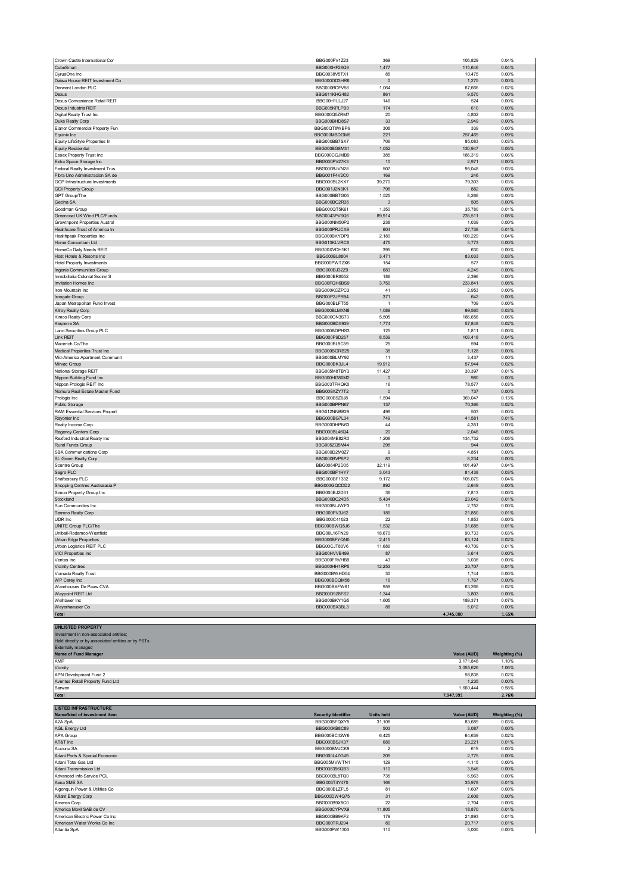| Crown Castle International Cor        | BBG000FV1Z23        | 369          | 105,829   | 0.04% |
|---------------------------------------|---------------------|--------------|-----------|-------|
| CubeSmart                             | BBG000HF28Q9        | 1,477        | 115,646   | 0.04% |
| CyrusOne Inc                          | BBG0038V5TX1        | 85           | 10,475    | 0.00% |
| Daiwa House REIT Investment Co        | BBG000DD3HR6        | $\mathbf{0}$ | 1,275     | 0.00% |
| Derwent London PLC                    | BBG000BDFV58        | 1,064        | 67,666    | 0.02% |
|                                       |                     |              |           |       |
| Dexus                                 | <b>BBG011KHG482</b> | 861          | 9,570     | 0.00% |
| Dexus Convenience Retail REIT         | BBG00H1LLJ27        | 146          | 524       | 0.00% |
| Dexus Industria REIT                  | BBG005KPLPB9        | 174          | 610       | 0.00% |
| Digital Realty Trust Inc              | BBG000Q57RM7        | 20           | 4,802     | 0.00% |
|                                       | BBG000BHD8S7        | 33           | 2,949     | 0.00% |
| Duke Realty Corp                      |                     |              |           |       |
| Elanor Commercial Property Fun        | BBG00QT8WBP6        | 308          | 339       | 0.00% |
| Equinix Inc                           | BBG000MBDGM6        | 221          | 257,469   | 0.09% |
| Equity LifeStyle Properties In        | BBG000BB7SX7        | 706          | 85,083    | 0.03% |
|                                       | BBG000BG8M31        | 1,052        |           | 0.05% |
| <b>Equity Residential</b>             |                     |              | 130,947   |       |
| Essex Property Trust Inc              | BBG000CGJMB9        | 385          | 186,319   | 0.06% |
| Extra Space Storage Inc               | BBG000PV27K3        | 10           | 2,971     | 0.00% |
| Federal Realty Investment Trus        | BBG000BJVN28        | 507          | 95,048    | 0.03% |
|                                       |                     |              |           |       |
| Fibra Uno Administracion SA de        | BBG001F4V2C0        | 169          | 246       | 0.00% |
| GCP Infrastructure Investments        | BBG000BL2KX7        | 39,270       | 79,303    | 0.03% |
| <b>GDI Property Group</b>             | BBG001J2N6K1        | 798          | 882       | 0.00% |
| GPT Group/The                         | BBG000BBTG05        | 1,525        | 8,266     | 0.00% |
|                                       |                     |              |           |       |
| Gecina SA                             | BBG000BC2R35        | 3            | 505       | 0.00% |
| Goodman Group                         | BBG000QT5K61        | 1,350        | 35,780    | 0.01% |
| Greencoat UK Wind PLC/Funds           | BBG0043PV6Q6        | 89,914       | 235,511   | 0.08% |
| <b>Growthpoint Properties Austral</b> | BBG000NM50P2        | 238          | 1,039     | 0.00% |
|                                       |                     |              |           |       |
| Healthcare Trust of America In        | BBG000PRJCX9        | 604          | 27,738    | 0.01% |
| <b>Healthpeak Properties Inc</b>      | BBG000BKYDP9        | 2,180        | 108,229   | 0.04% |
| Home Consortium Ltd                   | BBG013KLVRC6        | 475          | 3,773     | 0.00% |
| HomeCo Daily Needs REIT               | BBG00XVDH1K1        | 395          | 630       | 0.00% |
|                                       |                     |              |           |       |
| Host Hotels & Resorts Inc             | BBG000BL8804        | 3,471        | 83,033    | 0.03% |
| <b>Hotel Property Investments</b>     | BBG000PWTZX6        | 154          | 577       | 0.00% |
| Ingenia Communities Group             | BBG000BJ32Z9        | 683          | 4,249     | 0.00% |
|                                       |                     |              |           |       |
| Inmobiliaria Colonial Socimi S        | BBG000BR8552        | 186          | 2,396     | 0.00% |
| Invitation Homes Inc                  | BBG00FQH6BS9        | 3,750        | 233,841   | 0.08% |
| Iron Mountain Inc.                    | BBG000KCZPC3        | 41           | 2,953     | 0.00% |
| Irongate Group                        | BBG00P2JPR94        | 371          | 642       | 0.00% |
|                                       |                     |              |           |       |
| Japan Metropolitan Fund Invest        | BBG000BLFT55        | $\mathbf{1}$ | 709       | 0.00% |
| Kilroy Realty Corp                    | BBG000BLMXN8        | 1,089        | 99,565    | 0.03% |
| Kimco Realty Corp                     | BBG000CN3S73        | 5,505        | 186,656   | 0.06% |
| Klepierre SA                          | BBG000BDX939        | 1,774        | 57,848    | 0.02% |
|                                       |                     |              |           |       |
| Land Securities Group PLC             | BBG000BDPHS3        | 125          | 1,811     | 0.00% |
| Link REIT                             | BBG000P9D267        | 8,539        | 103,418   | 0.04% |
| Macerich Co/The                       | BBG000BL9C59        | 25           | 594       | 0.00% |
| Medical Properties Trust Inc          | BBG000BGRB25        | 35           | 1,128     | 0.00% |
|                                       |                     |              |           |       |
| Mid-America Apartment Communit        | BBG000BLMY92        | 11           | 3,437     | 0.00% |
| Mirvac Group                          | BBG000BK3JL4        | 19,912       | 57,944    | 0.02% |
| National Storage REIT                 | BBG005M8TBY3        | 11,427       | 30,397    | 0.01% |
|                                       |                     |              |           |       |
| Nippon Building Fund Inc              | BBG000HG80M2        | $\pmb{0}$    | 980       | 0.00% |
| Nippon Prologis REIT Inc              | BBG003TFHQK0        | 16           | 78,577    | 0.03% |
| Nomura Real Estate Master Fund        | BBG009XZY7T2        | $\mathbf 0$  | 737       | 0.00% |
| Prologis Inc                          | BBG000B9Z0J8        | 1,594        | 369,047   | 0.13% |
|                                       |                     |              |           |       |
| Public Storage                        | BBG000BPPN67        | 137          | 70,366    | 0.02% |
| RAM Essential Services Propert        | BBG012NNBB29        | 498          | 503       | 0.00% |
| Rayonier Inc                          | BBG000BG7L34        | 749          | 41,581    | 0.01% |
| Realty Income Corp                    | BBG000DHPN63        | 44           | 4,351     | 0.00% |
|                                       |                     |              |           |       |
| Regency Centers Corp                  | BBG000BL46Q4        | 20           | 2,046     | 0.00% |
| Rexford Industrial Realty Inc         | BBG004MB82R0        | 1,208        | 134,732   | 0.05% |
| Rural Funds Group                     | BBG005ZQ5M44        | 298          | 944       | 0.00% |
| SBA Communications Corp               | BBG000D2M0Z7        | 9            | 4,851     | 0.00% |
|                                       |                     |              |           |       |
| SL Green Realty Corp                  | BBG000BVP5P2        | 83           | 8,234     | 0.00% |
| Scentre Group                         | BBG0064P2D05        | 32,119       | 101,497   | 0.04% |
| Segro PLC                             | BBG000BF1HY7        | 3,043        | 81,438    | 0.03% |
| Shaftesbury PLC                       | BBG000BF1332        | 9,172        | 105,079   | 0.04% |
|                                       | BBG003GQCDD2        | 892          |           | 0.00% |
| Shopping Centres Australasia P        |                     |              | 2,649     |       |
| Simon Property Group Inc              | BBG000BJ2D31        | 36           | 7,813     | 0.00% |
| Stockland                             | BBG000BC24D5        | 5,434        | 23,042    | 0.01% |
| Sun Communities Inc                   | BBG000BLJWF3        | 10           | 2,752     | 0.00% |
| Terreno Realty Corp                   | BBG000PV3J62        | 186          | 21,850    | 0.01% |
|                                       |                     |              |           |       |
| UDR Inc                               | BBG000C41023        | 22           | 1,853     | 0.00% |
| UNITE Group PLC/The                   | BBG000BWQ5J6        | 1,532        | 31,685    | 0.01% |
| Unibail-Rodamco-Westfield             | BBG00L16FN29        | 18,670       | 90,733    | 0.03% |
| Urban Edge Properties                 | BBG006BFYQN0        | 2,415        |           | 0.02% |
|                                       |                     |              | 63,124    |       |
| Urban Logistics REIT PLC              | BBG00CJT80V6        | 11,686       | 40,709    | 0.01% |
| VICI Properties Inc                   | BBG00HVVB499        | 87           | 3,614     | 0.00% |
| Ventas Inc                            | BBG000FRVHB9        | 43           | 3,036     | 0.00% |
|                                       | BBG000HH1RP5        | 12,253       | 20,707    | 0.01% |
| <b>Vicinity Centres</b>               |                     |              |           |       |
| Vornado Realty Trust                  | BBG000BWHD54        | 30           | 1,744     | 0.00% |
| WP Carey Inc                          | BBG000BCQM58        | 16           | 1,767     | 0.00% |
| Warehouses De Pauw CVA                | BBG000BXFW61        | 959          | 63,266    | 0.02% |
|                                       |                     |              |           |       |
| Waypoint REIT Ltd                     | BBG00D9Z8FS2        | 1,344        | 3,803     | 0.00% |
| Welltower Inc                         | BBG000BKY1G5        | 1,605        | 189,371   | 0.07% |
| Weyerhaeuser Co                       |                     |              |           |       |
|                                       | BBG000BX3BL3        | 88           | 5,012     | 0.00% |
|                                       |                     |              |           |       |
| Total                                 |                     |              | 4,745,000 | 1.65% |
| <b>UNLISTED PROPERTY</b>              |                     |              |           |       |

| Held directly or by associated entities or by PSTs |             |               |
|----------------------------------------------------|-------------|---------------|
| <b>Externally managed</b>                          |             |               |
| Name of Fund Manager                               | Value (AUD) | Weighting (%) |
| AMP                                                | 3.171.848   | 1.10%         |
| Vicinity                                           | 3,055,626   | 1.06%         |
| APN Development Fund 2                             | 58.838      | 0.02%         |
| Aventus Retail Property Fund Ltd                   | 1,235       | 0.00%         |
| Barwon                                             | 1.660.444   | 0.58%         |
| <b>Total</b>                                       | 7,947,991   | 2.76%         |
|                                                    |             |               |

**LISTED INFRASTRUCTURE**

| ILIƏ I ED INFRAƏ IRUC I URE    |                            |                   |             |               |
|--------------------------------|----------------------------|-------------------|-------------|---------------|
| Name/kind of investment item   | <b>Security Identifier</b> | <b>Units held</b> | Value (AUD) | Weighting (%) |
| A2A SpA                        | BBG000BFQXY5               | 31,108            | 83,689      | 0.03%         |
| <b>AGL Energy Ltd</b>          | BBG000KB8C89               | 503               | 3,087       | 0.00%         |
| APA Group                      | BBG000BC42W6               | 6,425             | 64,639      | 0.02%         |
| AT&T Inc                       | BBG000BSJK37               | 686               | 23,221      | 0.01%         |
| Acciona SA                     | BBG000BMJCK9               | $\overline{2}$    | 619         | 0.00%         |
| Adani Ports & Special Economic | BBG000L4ZG49               | 205               | 2,775       | 0.00%         |
| Adani Total Gas Ltd            | BBG005MVWTN1               | 129               | 4.115       | 0.00%         |
| Adani Transmission Ltd         | BBG008396QB3               | 110               | 3,546       | 0.00%         |
| Advanced Info Service PCL      | BBG000BL8TQ0               | 735               | 6,963       | 0.00%         |
| Aena SME SA                    | BBG003T4Y470               | 166               | 35,978      | 0.01%         |
| Algonquin Power & Utilities Co | BBG000BLZFL5               | 81                | 1.607       | 0.00%         |
| Alliant Energy Corp            | BBG000DW4Q75               | 31                | 2.608       | 0.00%         |
| Ameren Corp                    | BBG000B9X8C0               | 22                | 2,704       | 0.00%         |
| America Movil SAB de CV        | BBG000CYPVX9               | 11,805            | 18,870      | 0.01%         |
| American Electric Power Co Inc | BBG000BB9KF2               | 179               | 21,893      | 0.01%         |
| American Water Works Co Inc    | BBG000TRJ294               | 80                | 20,717      | 0.01%         |
| Atlantia SpA                   | BBG000PW1303               | 110               | 3.000       | 0.00%         |
|                                |                            |                   |             |               |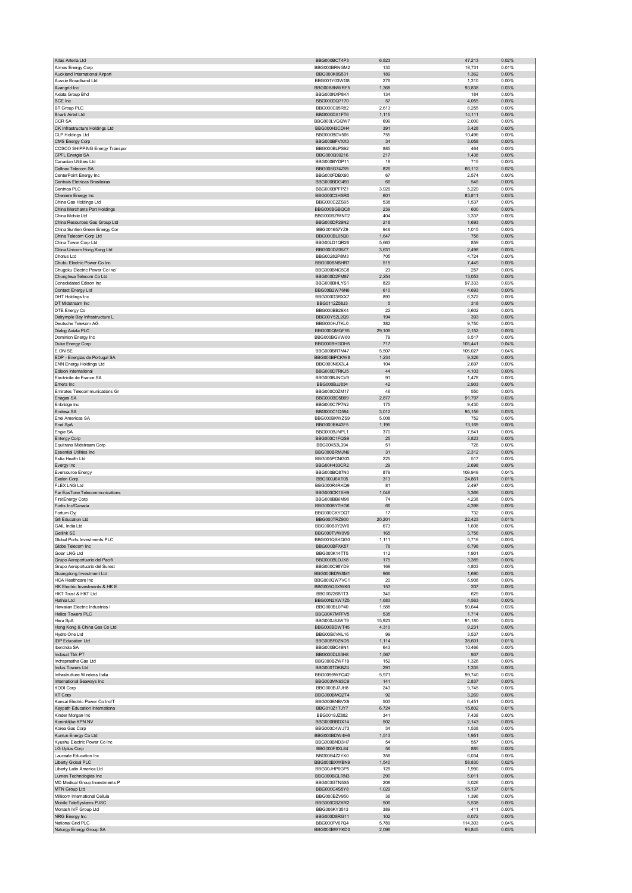| Atlas Arteria Ltd                                     | BBG000BCT4P3                 | 6,823         | 47,213           | 0.02%          |
|-------------------------------------------------------|------------------------------|---------------|------------------|----------------|
| Atmos Energy Corp                                     | BBG000BRNGM2                 | 130           | 18,731           | 0.01%          |
| Auckland International Airport                        | BBG000K0S531                 | 189           | 1,362            | 0.00%          |
| Aussie Broadband Ltd                                  | BBG001Y03WG8                 | 276           | 1,310            | 0.00%          |
| Avangrid Inc                                          | BBG00B8NWRF5                 | 1,368         | 93,838           | 0.03%          |
| Axiata Group Bhd                                      | BBG000NXP8K4                 | 134           | 184              | 0.00%          |
| BCE Inc                                               | BBG000DQ7170                 | 57            | 4,055            | 0.00%          |
| <b>BT Group PLC</b>                                   | BBG000C05R82                 | 2,613         | 8,255            | 0.00%          |
| <b>Bharti Airtel Ltd</b><br>CCR SA                    | BBG000DX1FT6<br>BBG000LVGQW7 | 1,115<br>699  | 14,111<br>2,000  | 0.00%<br>0.00% |
| CK Infrastructure Holdings Ltd                        | BBG000H3CDH4                 | 391           | 3,428            | 0.00%          |
| <b>CLP Holdings Ltd</b>                               | BBG000BDV566                 | 755           | 10,496           | 0.00%          |
| CMS Energy Corp                                       | BBG000BFVXX0                 | 34            | 3,058            | 0.00%          |
| COSCO SHIPPING Energy Transpor                        | BBG000BLPS92                 | 885           | 464              | 0.00%          |
| CPFL Energia SA                                       | BBG000Q99216                 | 217           | 1,438            | 0.00%          |
| Canadian Utilities Ltd                                | BBG000BYDP11                 | 18            | 715              | 0.00%          |
| Cellnex Telecom SA                                    | BBG008G74Z89                 | 826           | 66,112           | 0.02%          |
| CenterPoint Energy Inc                                | BBG000FDBX90                 | 67            | 2,574            | 0.00%          |
| Centrais Eletricas Brasileiras                        | BBG000BDG493                 | 66            | 545              | 0.00%          |
| Centrica PLC                                          | BBG000BPFPZ1                 | 3,926         | 5,229            | 0.00%          |
| Cheniere Energy Inc                                   | BBG000C3HSR0                 | 601           | 83,811           | 0.03%          |
| China Gas Holdings Ltd                                | BBG000C2ZS65                 | 538           | 1,537            | 0.00%          |
| China Merchants Port Holdings                         | BBG000BGBQC8                 | 239           | 600              | 0.00%          |
| China Mobile Ltd                                      | BBG000BZWNT2                 | 404           | 3,337            | 0.00%          |
| China Resources Gas Group Ltd                         | BBG000DP29N2                 | 218           | 1,693            | 0.00%          |
| China Suntien Green Energy Cor                        | BBG001657YZ9                 | 946           | 1,015            | 0.00%          |
| China Telecom Corp Ltd                                | BBG000BL05Q0                 | 1,647         | 756              | 0.00%          |
| China Tower Corp Ltd                                  | BBG00LD1QR26                 | 5,663         | 859              | 0.00%          |
| China Unicom Hong Kong Ltd                            | BBG000DZ05Z7                 | 3,631         | 2,498            | 0.00%          |
| Chorus Ltd                                            | BBG00282P8M3                 | 705           | 4,724            | 0.00%          |
| Chubu Electric Power Co Inc                           | BBG000BNBHR7                 | 515           | 7,449            | 0.00%          |
| Chugoku Electric Power Co Inc/                        | BBG000BNC5C8                 | 23            | 257              | 0.00%          |
| Chunghwa Telecom Co Ltd                               | BBG000D2FM87                 | 2,254         | 13,053           | 0.00%          |
| Consolidated Edison Inc                               | BBG000BHLYS1                 | 829           | 97,333           | 0.03%          |
| Contact Energy Ltd                                    | BBG00B2W76N6                 | 610           | 4,693            | 0.00%          |
| DHT Holdings Inc                                      | BBG000G3RXX7                 | 893           | 6,372            | 0.00%          |
| DT Midstream Inc                                      | BBG0112Z58J3                 | 5             | 318              | 0.00%          |
| DTE Energy Co                                         | BBG000BB29X4<br>BBG00Y52L2Q9 | 22<br>194     | 3,602<br>393     | 0.00%<br>0.00% |
| Dalrymple Bay Infrastructure L<br>Deutsche Telekom AG | BBG000HJTKL0                 | 382           | 9,750            | 0.00%          |
|                                                       |                              |               |                  |                |
| Dialog Axiata PLC<br>Dominion Energy Inc              | BBG000QMQF55<br>BBG000BGVW60 | 29,109<br>79  | 2,152<br>8,517   | 0.00%<br>0.00% |
| Duke Energy Corp                                      | BBG000BHGDH5                 | 717           | 103,441          | 0.04%          |
| E.ON SE                                               | BBG000BR7M47                 | 5,507         | 105,027          | 0.04%          |
| EDP - Energias de Portugal SA                         | BBG000BPCKW8                 | 1,234         | 9,326            | 0.00%          |
| <b>ENN Energy Holdings Ltd</b>                        | BBG000N6X3L4                 | 104           | 2,697            | 0.00%          |
| Edison International                                  | BBG000D7RKJ5                 | 44            | 4,103            | 0.00%          |
| Electricite de France SA                              | BBG000BJNCV9                 | 91            | 1,478            | 0.00%          |
| Emera Inc                                             | BBG000BJJ834                 | 42            | 2,903            | 0.00%          |
| Emirates Telecommunications Gr                        | BBG000C0ZM17                 | 46            | 550              | 0.00%          |
| Enagas SA                                             | BBG000BD5B99                 | 2,877         | 91,797           | 0.03%          |
| Enbridge Inc                                          | BBG000C7P7N2                 | 175           | 9,430            | 0.00%          |
| Endesa SA                                             | BBG000C1Q594                 | 3,012         | 95,156           | 0.03%          |
| Enel Americas SA                                      | BBG000BKWZS9                 | 5,008         | 752              | 0.00%          |
| Enel SpA                                              | BBG000BK43F5                 | 1,195         | 13,169           | 0.00%          |
| Engie SA                                              | BBG000BJNPL1                 | 370           | 7,541            | 0.00%          |
| <b>Entergy Corp</b>                                   | BBG000C1FQS9                 | 25            | 3,823            | 0.00%          |
| Equitrans Midstream Corp                              | BBG00K53L394                 | 51            | 726              | 0.00%          |
| <b>Essential Utilities Inc</b>                        | BBG000BRMJN6                 | 31            | 2,312            | 0.00%          |
| Estia Health Ltd                                      | BBG005PCNG03                 | 225           | 517              | 0.00%          |
| Evergy Inc                                            | BBG00H433CR2                 | 29            | 2,698            | 0.00%          |
| <b>Eversource Energy</b>                              | BBG000BQ87N0                 | 879           | 109,949          | 0.04%          |
| Exelon Corp                                           | BBG000J6XT05                 | 313           | 24,861           | 0.01%          |
| <b>FLEX LNG Ltd</b>                                   | BBG000R4RKQ9                 | 81            | 2,497            | 0.00%          |
| Far EasTone Telecommunications                        | BBG000CK1XH9                 | 1,048         | 3,366            | 0.00%          |
| <b>FirstEnergy Corp</b>                               | BBG000BB6M98                 | 74            | 4,238            | 0.00%          |
| Fortis Inc/Canada                                     | BBG000BYTHG6                 | 66            | 4,398            | 0.00%          |
| Fortum Ovi                                            | BBG000CKYDQ7                 | 17            | 732              | 0.00%          |
| G8 Education Ltd                                      | BBG000TR7900                 | 20,201        | 22,423           | 0.01%          |
| GAIL India Ltd                                        | BBG000B9Y2W0                 | 673           | 1,608            | 0.00%          |
| ietlink S⊢                                            | <b>RRGOOD I AMADAR</b>       | כס ו          | 3,756            | <b>U.UU%</b>   |
| Global Ports Investments PLC                          | BBG001QSKQG0                 | 1,111         | 5,716            | 0.00%          |
| Globe Telecom Inc                                     | BBG000BFXK57                 | 76            | 6,798            | 0.00%          |
| Golar LNG Ltd                                         | BBG000K14TT5                 | 112           | 1,901            | 0.00%          |
| Grupo Aeroportuario del Pacifi                        | BBG000BLDJX8                 | 179           | 3,389            | 0.00%          |
| Grupo Aeroportuario del Surest                        | BBG000C98YD9                 | 169           | 4,803            | 0.00%          |
| Guangdong Investment Ltd                              | BBG000BDW8M1                 | 966           | 1,690            | 0.00%          |
| HCA Healthcare Inc                                    | BBG000QW7VC1                 | 20            | 6,908            | 0.00%          |
| HK Electric Investments & HK E<br>HKT Trust & HKT Ltd | BBG005Q0XWK0<br>BBG00226B1T3 | 153<br>340    | 207<br>629       | 0.00%<br>0.00% |
| Hafnia Ltd                                            | BBG00N2XW7Z5                 |               |                  | 0.00%          |
| Hawaiian Electric Industries I                        | BBG000BL0P40                 | 1,683         | 4,563<br>90,644  | 0.03%          |
| <b>Helios Towers PLC</b>                              |                              |               |                  | 0.00%          |
| Hera SpA                                              |                              | 1,588         |                  |                |
| Hong Kong & China Gas Co Ltd                          | BBG00K7MFFV5<br>BBG000J8JWT9 | 535<br>15,923 | 1,714<br>91,180  | 0.03%          |
| Hydro One Ltd                                         | BBG000BDWT45                 |               | 9,231            | 0.00%          |
|                                                       | BBG00B0VKL16                 | 4,310<br>99   | 3,537            | 0.00%          |
| IDP Education Ltd                                     | BBG00BF0ZND5                 | 1,114         | 38,601           | 0.01%          |
| Iberdrola SA                                          | BBG000BC49N1                 | 643           | 10,466           | 0.00%          |
| Indosat Tbk PT                                        | BBG000DL53H8                 | 1,567         | 937              | 0.00%          |
| Indraprastha Gas Ltd                                  | BBG000BZWF19                 | 152           | 1,326            | 0.00%          |
| Indus Towers Ltd                                      | BBG000TDKBZ4                 | 291           | 1,335            | 0.00%          |
| Infrastrutture Wireless Italia                        | BBG0099WFQ42                 | 5,971         | 99,740           | 0.03%          |
| International Seaways Inc                             | BBG003MN93C9                 | 141           | 2,837            | 0.00%          |
| KDDI Corp                                             | BBG000BJ7JH8                 | 243           | 9,745            | 0.00%          |
| KT Corp                                               | BBG000BMQ2T4                 | 92            | 3,269            | 0.00%          |
| Kansai Electric Power Co Inc/T                        | BBG000BNBVX9                 | 503           | 6,451            | 0.00%          |
| Keypath Education Internationa                        | BBG010Z1TJY7                 | 6,724         | 15,802           | 0.01%          |
| Kinder Morgan Inc                                     | BBG0019JZ882                 | 341           | 7,438            | 0.00%          |
| Koninklijke KPN NV                                    | BBG000BBDX14                 | 502           | 2,143            | 0.00%          |
| Korea Gas Corp                                        | BBG000C4WJ73                 | 34            | 1,538            | 0.00%          |
| Kunlun Energy Co Ltd                                  | BBG000BDW4H6                 | 1,513         | 1,951            | 0.00%          |
| Kyushu Electric Power Co Inc                          | BBG000BND3H7                 | 54            | 557              | 0.00%          |
| <b>LG Uplus Corp</b>                                  | BBG000F8XL84                 | 56            | 885              | 0.00%          |
| Laureate Education Inc                                | BBG00B4Z2YX0                 | 358           | 6,034            | 0.00%          |
| Liberty Global PLC                                    | BBG000BXWBN9                 | 1,540         | 58,830           | 0.02%          |
| Liberty Latin America Ltd                             | BBG00JHP6GP5                 | 126           | 1,990            | 0.00%          |
| Lumen Technologies Inc                                | BBG000BGLRN3                 | 290           | 5,011            | 0.00%          |
| MD Medical Group Investments P                        | BBG003GTN5S5                 | 208           | 3,026            | 0.00%          |
| MTN Group Ltd                                         | BBG000C4S5Y8                 | 1,029         | 15,137           | 0.01%          |
| Millicom International Cellula                        | BBG000BZV950                 | 36            | 1,396            | 0.00%          |
| Mobile TeleSystems PJSC                               | BBG000CSZKR2                 | 506           | 5,538            | 0.00%          |
| Monash IVF Group Ltd                                  | BBG006KY3513<br>BBG000D8RG11 | 389<br>102    | 411              | 0.00%<br>0.00% |
| NRG Energy Inc<br>National Grid PLC                   | BBG000FV67Q4                 | 5,789         | 6,072<br>114,303 | 0.04%          |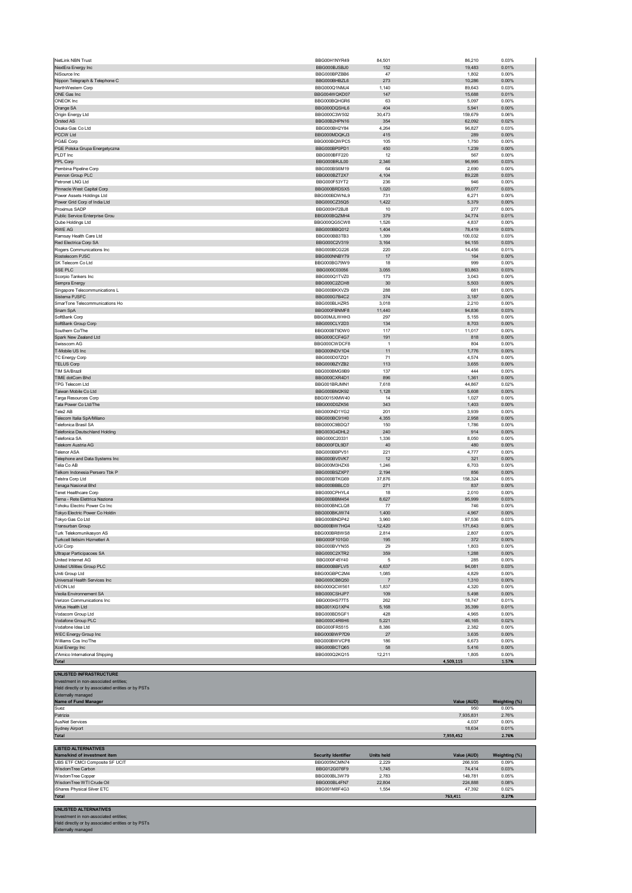| NextEra Energy Inc                                         | BBG000BJSBJ0                 | 152                     | 19,483             | 0.01%                  |
|------------------------------------------------------------|------------------------------|-------------------------|--------------------|------------------------|
| NiSource Inc.<br>Nippon Telegraph & Telephone C            | BBG000BPZBB6<br>BBG000BHBZL6 | 47<br>273               | 1,802<br>10,286    | 0.00%<br>0.00%         |
| NorthWestern Corp                                          | BBG000Q1NMJ4                 | 1,140                   | 89,643             | 0.03%                  |
| ONE Gas Inc                                                | BBG004WQKD07                 | 147                     | 15,688             | 0.01%                  |
| ONEOK Inc                                                  | BBG000BQHGR6                 | 63                      | 5,097              | 0.00%                  |
| Orange SA                                                  | BBG000DQSHL6<br>BBG000C3W502 | 404<br>30,473           | 5,941<br>159,679   | 0.00%<br>0.06%         |
| Origin Energy Ltd<br>Orsted AS                             | BBG00B2HPN16                 | 354                     | 62,092             | 0.02%                  |
| Osaka Gas Co Ltd                                           | BBG000BH2Y84                 | 4,264                   | 96,827             | 0.03%                  |
| PCCW Ltd                                                   | BBG000MDQKJ3                 | 415                     | 289                | 0.00%                  |
| PG&E Corp                                                  | BBG000BQWPC5                 | 105                     | 1,750              | 0.00%                  |
| PGE Polska Grupa Energetyczna<br>PLDT Inc                  | BBG000BP0PD1<br>BBG000BFF220 | 450<br>12               | 1,239<br>567       | 0.00%<br>0.00%         |
| PPL Corp                                                   | BBG000BRJL00                 | 2,346                   | 96,995             | 0.03%                  |
| Pembina Pipeline Corp                                      | BBG000BS6M19                 | 64                      | 2,690              | 0.00%                  |
| Pennon Group PLC                                           | BBG000BZT2X7                 | 4,104                   | 89,228             | 0.03%                  |
| Petronet LNG Ltd                                           | BBG000F53YT2                 | 236                     | 946                | 0.00%                  |
| Pinnacle West Capital Corp                                 | BBG000BRDSX5                 | 1,020                   | 99,077             | 0.03%                  |
| Power Assets Holdings Ltd<br>Power Grid Corp of India Ltd  | BBG000BDWNL9<br>BBG000CZ35Q5 | 731<br>1,422            | 6,271<br>5,379     | 0.00%<br>0.00%         |
| Proximus SADP                                              | BBG000H72BJ8                 | 10                      | 277                | 0.00%                  |
| Public Service Enterprise Grou                             | BBG000BQZMH4                 | 379                     | 34,774             | 0.01%                  |
| Qube Holdings Ltd                                          | BBG000QG5CW8                 | 1,526                   | 4,837              | 0.00%                  |
| RWE AG<br>Ramsay Health Care Ltd                           | BBG000BBQ012<br>BBG000BB3TB3 | 1,404<br>1,399          | 78,419<br>100,032  | 0.03%<br>0.03%         |
| Red Electrica Corp SA                                      | BBG000C2V319                 | 3,164                   | 94,155             | 0.03%                  |
| Rogers Communications Inc                                  | BBG000BCG226                 | 220                     | 14,456             | 0.01%                  |
| Rostelecom PJSC                                            | BBG000NNBY79                 | $17$                    | 164                | 0.00%                  |
| SK Telecom Co Ltd                                          | BBG000BG79W9                 | 18                      | 999                | 0.00%                  |
| SSE PLC                                                    | BBG000C03056                 | 3,055                   | 93,863             | 0.03%                  |
| Scorpio Tankers Inc<br>Sempra Energy                       | BBG000Q1TVZ0<br>BBG000C2ZCH8 | 173<br>30               | 3,043<br>5,503     | 0.00%<br>0.00%         |
| Singapore Telecommunications L                             | BBG000BKXVZ9                 | 288                     | 681                | 0.00%                  |
| Sistema PJSFC                                              | BBG000G7B4C2                 | 374                     | 3,187              | 0.00%                  |
| SmarTone Telecommunications Ho                             | BBG000BLHZR5                 | 3,018                   | 2,210              | 0.00%                  |
| Snam SpA                                                   | BBG000FBNMF8                 | 11,440                  | 94,836             | 0.03%                  |
| SoftBank Corp<br>SoftBank Group Corp                       | BBG00MJLWHH3<br>BBG000CLY2D3 | 297<br>134              | 5,155<br>8,703     | 0.00%<br>0.00%         |
| Southern Co/The                                            | BBG000BT9DW0                 | 117                     | 11,017             | 0.00%                  |
| Spark New Zealand Ltd                                      | BBG000CCF4G7                 | 191                     | 818                | 0.00%                  |
| Swisscom AG                                                | BBG000CWDCF8                 | $\overline{1}$          | 804                | 0.00%                  |
| T-Mobile US Inc                                            | BBG000NDV1D4                 | 11                      | 1,776              | 0.00%                  |
| TC Energy Corp<br><b>TELUS Corp</b>                        | BBG000D07ZQ1<br>BBG000BZYZB2 | 71                      | 4,574              | 0.00%                  |
| TIM SA/Brazil                                              | BBG000BMG9B9                 | 113<br>137              | 3,655<br>444       | 0.00%<br>0.00%         |
| TIME dotCom Bhd                                            | BBG000CXR4D1                 | 896                     | 1,361              | 0.00%                  |
| TPG Telecom Ltd                                            | BBG001BRJMN1                 | 7,618                   | 44,867             | 0.02%                  |
| Taiwan Mobile Co Ltd                                       | BBG000BM2K92                 | 1,128                   | 5,608              | 0.00%                  |
| Targa Resources Corp                                       | BBG0015XMW40                 | 14                      | 1,027              | 0.00%                  |
| Tata Power Co Ltd/The<br>Tele2 AB                          | BBG000D0ZK56<br>BBG000ND1YG2 | 343<br>201              | 1,403<br>3,939     | 0.00%<br>0.00%         |
| Telecom Italia SpA/Milano                                  | BBG000BC91H0                 | 4,355                   | 2,958              | 0.00%                  |
| Telefonica Brasil SA                                       | BBG000C9BDQ7                 | 150                     | 1,786              | 0.00%                  |
| Telefonica Deutschland Holding                             | BBG003G4DHL2                 | 240                     | 914                | 0.00%                  |
| Telefonica SA                                              | BBG000C20331<br>BBG000FDL9D7 | 1,336                   | 8,050              | 0.00%<br>0.00%         |
| Telekom Austria AG<br>Telenor ASA                          | BBG000BBPV51                 | 40<br>221               | 480<br>4,777       | 0.00%                  |
| Telephone and Data Systems Inc                             | BBG000BV0VK7                 | 12                      | 321                | 0.00%                  |
| Telia Co AB                                                | BBG000M3HZX6                 | 1,246                   | 6,703              | 0.00%                  |
| Telkom Indonesia Persero Tbk P                             | BBG000BSZXP7                 | 2,194                   | 856                | 0.00%                  |
| Telstra Corp Ltd<br>Tenaga Nasional Bhd                    | BBG000BTKG69<br>BBG000BBBLC0 | 37,876<br>271           | 158,324<br>837     | 0.05%<br>0.00%         |
| Tenet Healthcare Corp                                      | BBG000CPHYL4                 | 18                      | 2,010              | 0.00%                  |
| Terna - Rete Elettrica Naziona                             | BBG000BBM454                 | 8,627                   | 95,999             | 0.03%                  |
| Tohoku Electric Power Co Inc                               | BBG000BNCLQ8                 |                         |                    |                        |
|                                                            |                              | 77                      | 746                | 0.00%                  |
| Tokyo Electric Power Co Holdin                             | BBG000BKJW74                 | 1,400                   | 4,967              | 0.00%                  |
| Tokyo Gas Co Ltd                                           | BBG000BNDP42                 | 3,960                   | 97,536             | 0.03%                  |
| Transurban Group                                           | BBG000BW7HG4                 | 12,420                  | 171,643            | 0.06%                  |
| Turk Telekomunikasyon AS<br>Turkcell Iletisim Hizmetleri A | BBG000BR8WS8<br>BBG000F101G0 | 2,814<br>195            | 2,807<br>372       | 0.00%<br>0.00%         |
| UGI Corp                                                   | BBG000BVYN55                 | 29                      | 1,803              | 0.00%                  |
| Ultrapar Participacoes SA                                  | BBG000C2XTR2                 | 359                     | 1,288              | 0.00%                  |
| United Internet AG                                         | BBG000F45Y40                 | 5                       | 285                | 0.00%                  |
| United Utilities Group PLC                                 | BBG000BBFLV5                 | 4,637                   | 94,081             | 0.03%                  |
| Uniti Group Ltd<br>Universal Health Services Inc           | BBG00GBPC2M4<br>BBG000CB8Q50 | 1,085<br>$\overline{7}$ | 4,829              | 0.00%<br>0.00%         |
| <b>VEON Ltd</b>                                            | BBG000QCW561                 | 1,837                   | 1,310<br>4,320     | 0.00%                  |
| Veolia Environnement SA                                    | BBG000CSHJP7                 | 109                     | 5,498              | 0.00%                  |
| Verizon Communications Inc                                 | BBG000HS77T5                 | 262                     | 18,747             | 0.01%                  |
| Virtus Health Ltd                                          | BBG001XG1XP4                 | 5,168                   | 35,399             | 0.01%                  |
| Vodacom Group Ltd<br>Vodafone Group PLC                    | BBG000BD5GF1<br>BBG000C4R6H6 | 428<br>5,221            | 4,965<br>46,165    | 0.00%<br>0.02%         |
| Vodafone Idea Ltd                                          | BBG000FR5515                 | 8,386                   | 2,382              | 0.00%                  |
| <b>WEC Energy Group Inc</b>                                | BBG000BWP7D9                 | 27                      | 3,635              | 0.00%                  |
| Williams Cos Inc/The                                       | BBG000BWVCP8                 | 186                     | 6,673              | 0.00%                  |
| Xcel Energy Inc                                            | BBG000BCTQ65                 | 58                      | 5,416              | 0.00%                  |
| d'Amico International Shipping                             | BBG000Q2KQ15                 | 12,211                  | 1,805              | 0.00%                  |
| Total<br><b>UNLISTED INFRASTRUCTURE</b>                    |                              |                         | 4,509,115          | 1.57%                  |
| Investment in non-associated entities;                     |                              |                         |                    |                        |
| Held directly or by associated entities or by PSTs         |                              |                         |                    |                        |
| Externally managed                                         |                              |                         |                    |                        |
| Name of Fund Manager<br>Suez                               |                              |                         | Value (AUD)<br>950 | Weighting (%)<br>0.00% |
| Patrizia                                                   |                              |                         | 7,935,831          | 2.76%                  |
| <b>AusNet Services</b>                                     |                              |                         | 4,037              | 0.00%                  |
| Sydney Airport                                             |                              |                         | 18,634             | 0.01%                  |
| Total                                                      |                              |                         | 7,959,452          | 2.76%                  |
| <b>LISTED ALTERNATIVES</b>                                 |                              |                         |                    |                        |
| Name/kind of investment item                               | <b>Security Identifier</b>   | <b>Units held</b>       | Value (AUD)        | Weighting (%)          |
| UBS ETF CMCI Composite SF UCIT                             | BBG005NCMN74                 | 2,229                   | 266,935            | 0.09%                  |
| WisdomTree Carbon                                          | BBG012G076F9                 | 1,745                   | 74,414             | 0.03%                  |
| WisdomTree Copper<br>WisdomTree WTI Crude Oil              | BBG000BL3W79<br>BBG000BL4FN7 | 2,783<br>22,804         | 149,781<br>224,888 | 0.05%<br>0.08%         |
| iShares Physical Silver ETC                                | BBG001M8F4G3                 | 1,554                   | 47,392             | 0.02%                  |
| <b>Total</b>                                               |                              |                         | 763,411            | 0.27%                  |
| <b>UNLISTED ALTERNATIVES</b>                               |                              |                         |                    |                        |

NetLink NBN Trust BBG00H1NYR49 84,501 86,210 0.03%

**UNLISTED ALTERNATIVES** Investment in non-associated entities; Held directly or by associated entities or by PSTs Externally managed